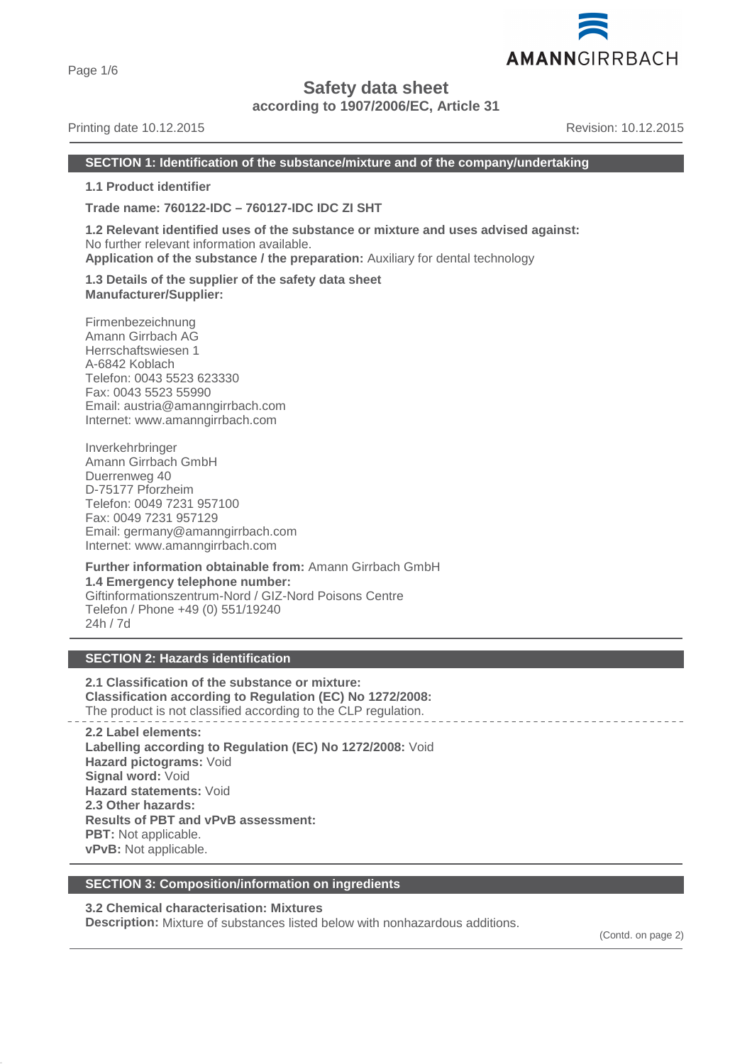Page 1/6

# **Safety data sheet**

**according to 1907/2006/EC, Article 31**

## Printing date 10.12.2015 **Revision: 10.12.2015** Revision: 10.12.2015

#### **SECTION 1: Identification of the substance/mixture and of the company/undertaking**

**1.1 Product identifier**

**Trade name: 760122-IDC – 760127-IDC IDC ZI SHT**

**1.2 Relevant identified uses of the substance or mixture and uses advised against:** No further relevant information available. **Application of the substance / the preparation:** Auxiliary for dental technology

**1.3 Details of the supplier of the safety data sheet Manufacturer/Supplier:**

Firmenbezeichnung Amann Girrbach AG Herrschaftswiesen 1 A-6842 Koblach Telefon: 0043 5523 623330 Fax: 0043 5523 55990 Email: austria@amanngirrbach.com Internet: www.amanngirrbach.com

Inverkehrbringer Amann Girrbach GmbH Duerrenweg 40 D-75177 Pforzheim Telefon: 0049 7231 957100 Fax: 0049 7231 957129 Email: germany@amanngirrbach.com Internet: www.amanngirrbach.com

**Further information obtainable from:** Amann Girrbach GmbH **1.4 Emergency telephone number:** Giftinformationszentrum-Nord / GIZ-Nord Poisons Centre Telefon / Phone +49 (0) 551/19240 24h / 7d

# **SECTION 2: Hazards identification**

**2.1 Classification of the substance or mixture: Classification according to Regulation (EC) No 1272/2008:** The product is not classified according to the CLP regulation.

**2.2 Label elements: Labelling according to Regulation (EC) No 1272/2008:** Void **Hazard pictograms:** Void **Signal word:** Void **Hazard statements:** Void **2.3 Other hazards: Results of PBT and vPvB assessment: PBT:** Not applicable. **vPvB:** Not applicable.

# **SECTION 3: Composition/information on ingredients**

# **3.2 Chemical characterisation: Mixtures**

**Description:** Mixture of substances listed below with nonhazardous additions.

(Contd. on page 2)

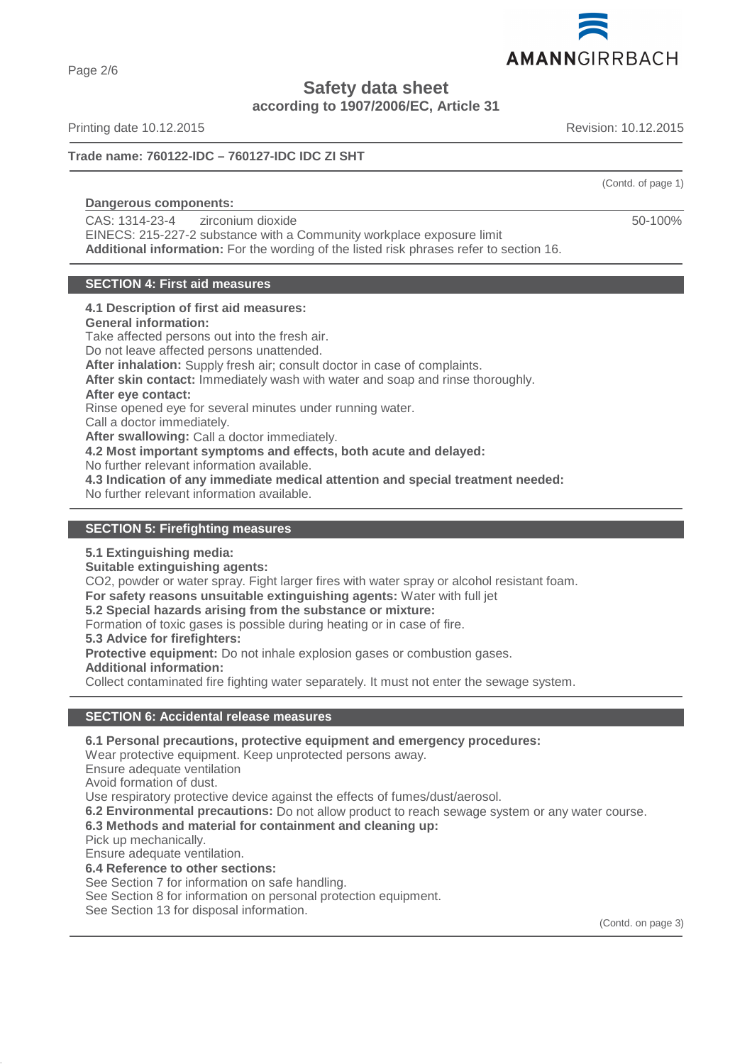AMANNGIRRBACH

**Safety data sheet**

**according to 1907/2006/EC, Article 31**

Printing date 10.12.2015 **Revision: 10.12.2015** Revision: 10.12.2015

# **Trade name: 760122-IDC – 760127-IDC IDC ZI SHT**

# **Dangerous components:**

CAS: 1314-23-4 zirconium dioxide

EINECS: 215-227-2 substance with a Community workplace exposure limit **Additional information:** For the wording of the listed risk phrases refer to section 16.

# **SECTION 4: First aid measures**

# **4.1 Description of first aid measures:**

**General information:**

Take affected persons out into the fresh air.

Do not leave affected persons unattended.

**After inhalation:** Supply fresh air; consult doctor in case of complaints.

**After skin contact:** Immediately wash with water and soap and rinse thoroughly.

**After eye contact:**

Rinse opened eye for several minutes under running water.

Call a doctor immediately.

**After swallowing:** Call a doctor immediately.

**4.2 Most important symptoms and effects, both acute and delayed:**

No further relevant information available.

**4.3 Indication of any immediate medical attention and special treatment needed:**

No further relevant information available.

# **SECTION 5: Firefighting measures**

**5.1 Extinguishing media:**

**Suitable extinguishing agents:**

CO2, powder or water spray. Fight larger fires with water spray or alcohol resistant foam.

**For safety reasons unsuitable extinguishing agents:** Water with full jet

# **5.2 Special hazards arising from the substance or mixture:**

Formation of toxic gases is possible during heating or in case of fire.

**5.3 Advice for firefighters:**

**Protective equipment:** Do not inhale explosion gases or combustion gases.

**Additional information:**

Collect contaminated fire fighting water separately. It must not enter the sewage system.

# **SECTION 6: Accidental release measures**

**6.1 Personal precautions, protective equipment and emergency procedures:**

Wear protective equipment. Keep unprotected persons away.

Ensure adequate ventilation

Avoid formation of dust.

Use respiratory protective device against the effects of fumes/dust/aerosol.

**6.2 Environmental precautions:** Do not allow product to reach sewage system or any water course.

**6.3 Methods and material for containment and cleaning up:**

Pick up mechanically.

Ensure adequate ventilation.

**6.4 Reference to other sections:**

See Section 7 for information on safe handling.

See Section 8 for information on personal protection equipment.

See Section 13 for disposal information.

(Contd. on page 3)



(Contd. of page 1)

50-100%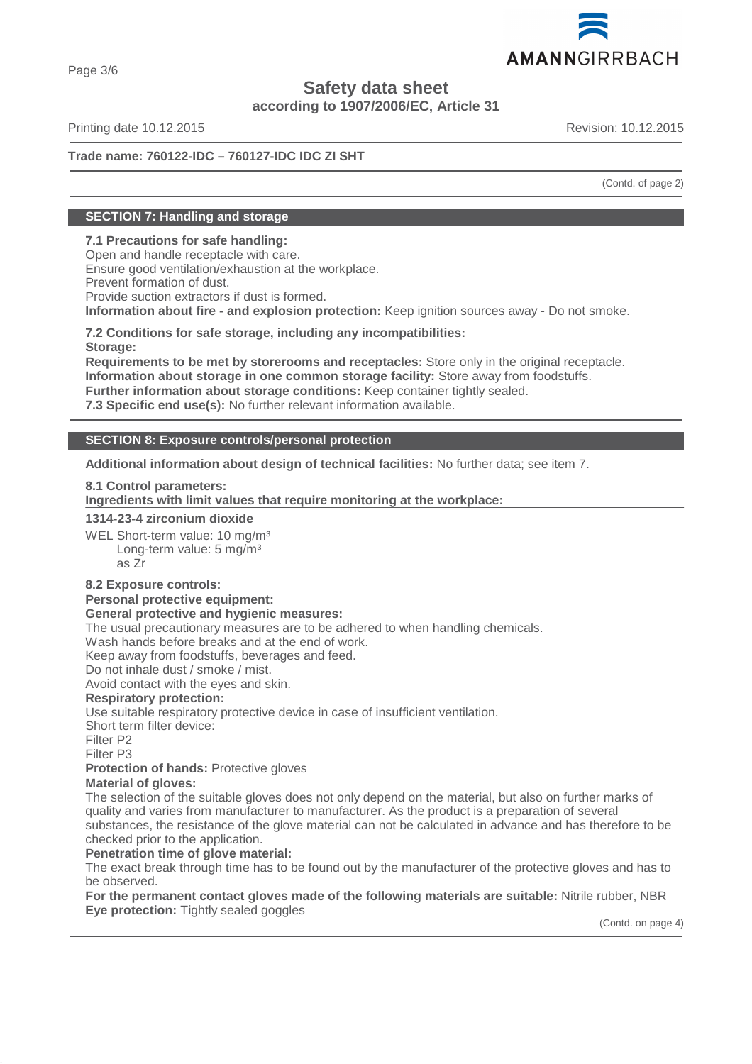

Page 3/6

# **Safety data sheet**

**according to 1907/2006/EC, Article 31**

Printing date 10.12.2015 **Revision: 10.12.2015** Revision: 10.12.2015

# **Trade name: 760122-IDC – 760127-IDC IDC ZI SHT**

(Contd. of page 2)

# **SECTION 7: Handling and storage**

# **7.1 Precautions for safe handling:**

Open and handle receptacle with care. Ensure good ventilation/exhaustion at the workplace. Prevent formation of dust. Provide suction extractors if dust is formed. **Information about fire - and explosion protection:** Keep ignition sources away - Do not smoke.

**7.2 Conditions for safe storage, including any incompatibilities: Storage:**

**Requirements to be met by storerooms and receptacles:** Store only in the original receptacle. **Information about storage in one common storage facility:** Store away from foodstuffs. **Further information about storage conditions:** Keep container tightly sealed. **7.3 Specific end use(s):** No further relevant information available.

# **SECTION 8: Exposure controls/personal protection**

**Additional information about design of technical facilities:** No further data; see item 7.

**8.1 Control parameters:**

**Ingredients with limit values that require monitoring at the workplace:** 

**1314-23-4 zirconium dioxide**

WEL Short-term value: 10 mg/m<sup>3</sup> Long-term value: 5 mg/m<sup>3</sup> as Zr

# **8.2 Exposure controls:**

**Personal protective equipment:**

# **General protective and hygienic measures:**

The usual precautionary measures are to be adhered to when handling chemicals.

Wash hands before breaks and at the end of work.

Keep away from foodstuffs, beverages and feed.

Do not inhale dust / smoke / mist.

Avoid contact with the eyes and skin.

# **Respiratory protection:**

Use suitable respiratory protective device in case of insufficient ventilation.

Short term filter device:

Filter P2

Filter P3

**Protection of hands:** Protective gloves

# **Material of gloves:**

The selection of the suitable gloves does not only depend on the material, but also on further marks of quality and varies from manufacturer to manufacturer. As the product is a preparation of several substances, the resistance of the glove material can not be calculated in advance and has therefore to be checked prior to the application.

# **Penetration time of glove material:**

The exact break through time has to be found out by the manufacturer of the protective gloves and has to be observed.

**For the permanent contact gloves made of the following materials are suitable:** Nitrile rubber, NBR **Eye protection:** Tightly sealed goggles

(Contd. on page 4)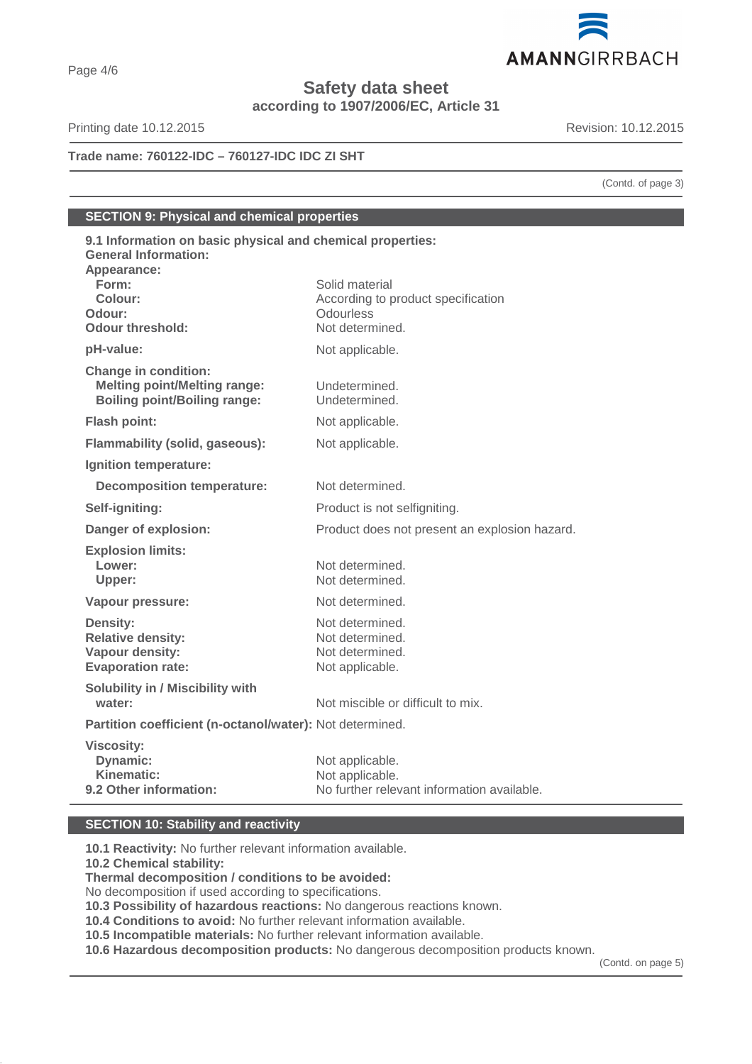

**Safety data sheet**

**according to 1907/2006/EC, Article 31**

Printing date 10.12.2015 **Revision: 10.12.2015** 

**Trade name: 760122-IDC – 760127-IDC IDC ZI SHT**

(Contd. of page 3)

# **SECTION 9: Physical and chemical properties**

| 9.1 Information on basic physical and chemical properties:<br><b>General Information:</b>                 |                                                                                  |
|-----------------------------------------------------------------------------------------------------------|----------------------------------------------------------------------------------|
| Appearance:                                                                                               |                                                                                  |
| Form:                                                                                                     | Solid material                                                                   |
| Colour:                                                                                                   | According to product specification                                               |
| Odour:                                                                                                    | Odourless                                                                        |
| <b>Odour threshold:</b>                                                                                   | Not determined.                                                                  |
| pH-value:                                                                                                 | Not applicable.                                                                  |
| <b>Change in condition:</b><br><b>Melting point/Melting range:</b><br><b>Boiling point/Boiling range:</b> | Undetermined.<br>Undetermined.                                                   |
| Flash point:                                                                                              | Not applicable.                                                                  |
| <b>Flammability (solid, gaseous):</b>                                                                     | Not applicable.                                                                  |
| Ignition temperature:                                                                                     |                                                                                  |
| <b>Decomposition temperature:</b>                                                                         | Not determined.                                                                  |
| Self-igniting:                                                                                            | Product is not selfigniting.                                                     |
| Danger of explosion:                                                                                      | Product does not present an explosion hazard.                                    |
| <b>Explosion limits:</b>                                                                                  |                                                                                  |
| Lower:                                                                                                    | Not determined.                                                                  |
| Upper:                                                                                                    | Not determined.                                                                  |
| Vapour pressure:                                                                                          | Not determined.                                                                  |
| <b>Density:</b>                                                                                           | Not determined.                                                                  |
| <b>Relative density:</b>                                                                                  | Not determined.                                                                  |
| Vapour density:                                                                                           | Not determined.                                                                  |
| <b>Evaporation rate:</b>                                                                                  | Not applicable.                                                                  |
| Solubility in / Miscibility with                                                                          |                                                                                  |
| water:                                                                                                    | Not miscible or difficult to mix.                                                |
| Partition coefficient (n-octanol/water): Not determined.                                                  |                                                                                  |
| <b>Viscosity:</b><br>Dynamic:<br>Kinematic:<br>9.2 Other information:                                     | Not applicable.<br>Not applicable.<br>No further relevant information available. |

# **SECTION 10: Stability and reactivity**

**10.1 Reactivity:** No further relevant information available.

**10.2 Chemical stability:**

**Thermal decomposition / conditions to be avoided:**

No decomposition if used according to specifications.

**10.3 Possibility of hazardous reactions:** No dangerous reactions known.

**10.4 Conditions to avoid:** No further relevant information available.

**10.5 Incompatible materials:** No further relevant information available.

**10.6 Hazardous decomposition products:** No dangerous decomposition products known.

(Contd. on page 5)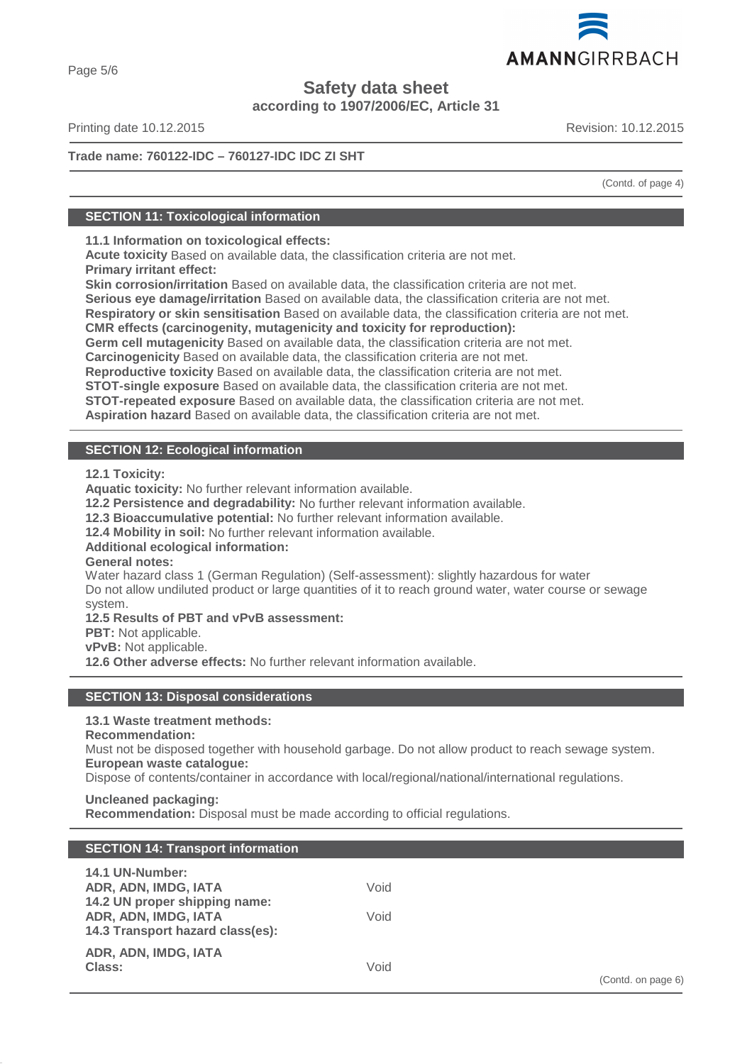

Page 5/6

# **Safety data sheet**

**according to 1907/2006/EC, Article 31**

Printing date 10.12.2015 **Revision: 10.12.2015** Revision: 10.12.2015

# **Trade name: 760122-IDC – 760127-IDC IDC ZI SHT**

(Contd. of page 4)

# **SECTION 11: Toxicological information**

**11.1 Information on toxicological effects:**

**Acute toxicity** Based on available data, the classification criteria are not met. **Primary irritant effect:**

**Skin corrosion/irritation** Based on available data, the classification criteria are not met.

**Serious eye damage/irritation** Based on available data, the classification criteria are not met.

**Respiratory or skin sensitisation** Based on available data, the classification criteria are not met.

**CMR effects (carcinogenity, mutagenicity and toxicity for reproduction):**

**Germ cell mutagenicity** Based on available data, the classification criteria are not met.

**Carcinogenicity** Based on available data, the classification criteria are not met.

**Reproductive toxicity** Based on available data, the classification criteria are not met.

**STOT-single exposure** Based on available data, the classification criteria are not met.

**STOT-repeated exposure** Based on available data, the classification criteria are not met.

**Aspiration hazard** Based on available data, the classification criteria are not met.

# **SECTION 12: Ecological information**

**12.1 Toxicity:**

**Aquatic toxicity:** No further relevant information available.

**12.2 Persistence and degradability:** No further relevant information available.

**12.3 Bioaccumulative potential:** No further relevant information available.

**12.4 Mobility in soil:** No further relevant information available.

# **Additional ecological information:**

**General notes:**

Water hazard class 1 (German Regulation) (Self-assessment): slightly hazardous for water Do not allow undiluted product or large quantities of it to reach ground water, water course or sewage system.

# **12.5 Results of PBT and vPvB assessment:**

**PBT:** Not applicable.

**vPvB:** Not applicable.

**12.6 Other adverse effects:** No further relevant information available.

# **SECTION 13: Disposal considerations**

# **13.1 Waste treatment methods:**

#### **Recommendation:**

Must not be disposed together with household garbage. Do not allow product to reach sewage system. **European waste catalogue:**

Dispose of contents/container in accordance with local/regional/national/international regulations.

#### **Uncleaned packaging:**

**Recommendation:** Disposal must be made according to official regulations.

# **SECTION 14: Transport information**

| 14.1 UN-Number:<br>ADR, ADN, IMDG, IATA                                                   | Void |
|-------------------------------------------------------------------------------------------|------|
| 14.2 UN proper shipping name:<br>ADR, ADN, IMDG, IATA<br>14.3 Transport hazard class(es): | Void |
| ADR, ADN, IMDG, IATA<br>Class:                                                            | Void |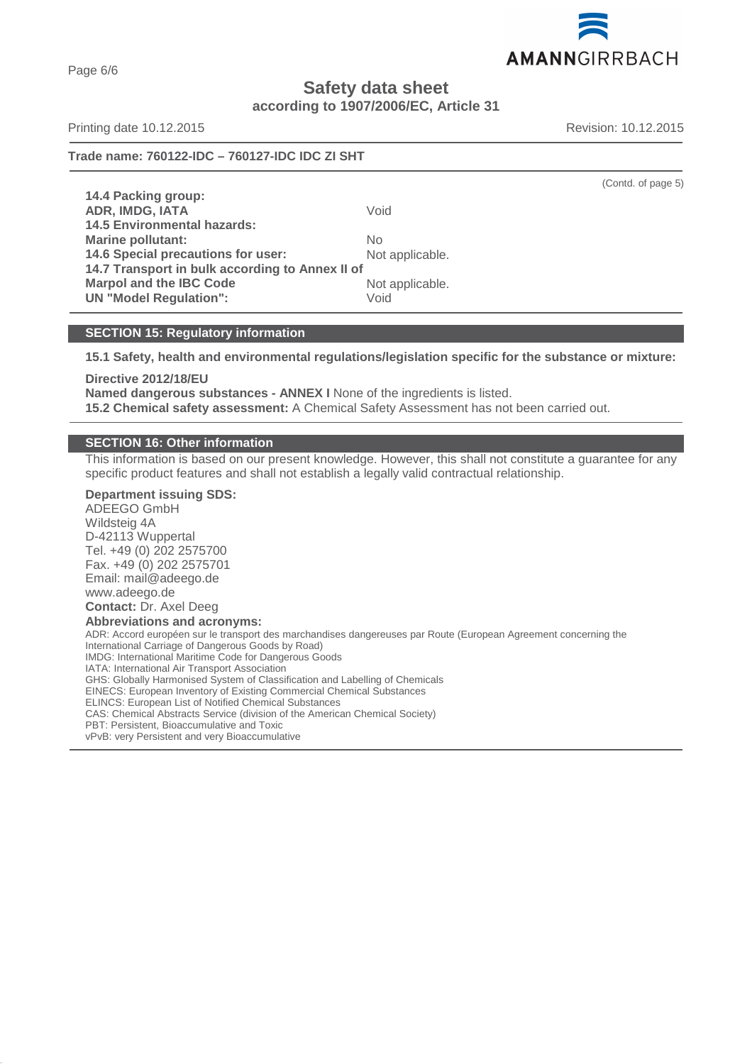AMANNGIRRBACH

**Safety data sheet**

**according to 1907/2006/EC, Article 31**

Printing date 10.12.2015 **Revision: 10.12.2015** Revision: 10.12.2015

(Contd. of page 5)

**Trade name: 760122-IDC – 760127-IDC IDC ZI SHT**

**14.4 Packing group: ADR, IMDG, IATA** Void **14.5 Environmental hazards: Marine pollutant:** No **14.6 Special precautions for user:** Not applicable. **14.7 Transport in bulk according to Annex II of Marpol and the IBC Code** Not applicable. **UN "Model Requlation":** Void

# **SECTION 15: Regulatory information**

**15.1 Safety, health and environmental regulations/legislation specific for the substance or mixture:**

**Directive 2012/18/EU Named dangerous substances - ANNEX I** None of the ingredients is listed. **15.2 Chemical safety assessment:** A Chemical Safety Assessment has not been carried out.

#### **SECTION 16: Other information**

This information is based on our present knowledge. However, this shall not constitute a guarantee for any specific product features and shall not establish a legally valid contractual relationship.

**Department issuing SDS:** ADEEGO GmbH Wildsteig 4A D-42113 Wuppertal Tel. +49 (0) 202 2575700 Fax. +49 (0) 202 2575701 Email: mail@adeego.de www.adeego.de **Contact:** Dr. Axel Deeg **Abbreviations and acronyms:** ADR: Accord européen sur le transport des marchandises dangereuses par Route (European Agreement concerning the International Carriage of Dangerous Goods by Road) IMDG: International Maritime Code for Dangerous Goods IATA: International Air Transport Association GHS: Globally Harmonised System of Classification and Labelling of Chemicals EINECS: European Inventory of Existing Commercial Chemical Substances ELINCS: European List of Notified Chemical Substances CAS: Chemical Abstracts Service (division of the American Chemical Society) PBT: Persistent, Bioaccumulative and Toxic vPvB: very Persistent and very Bioaccumulative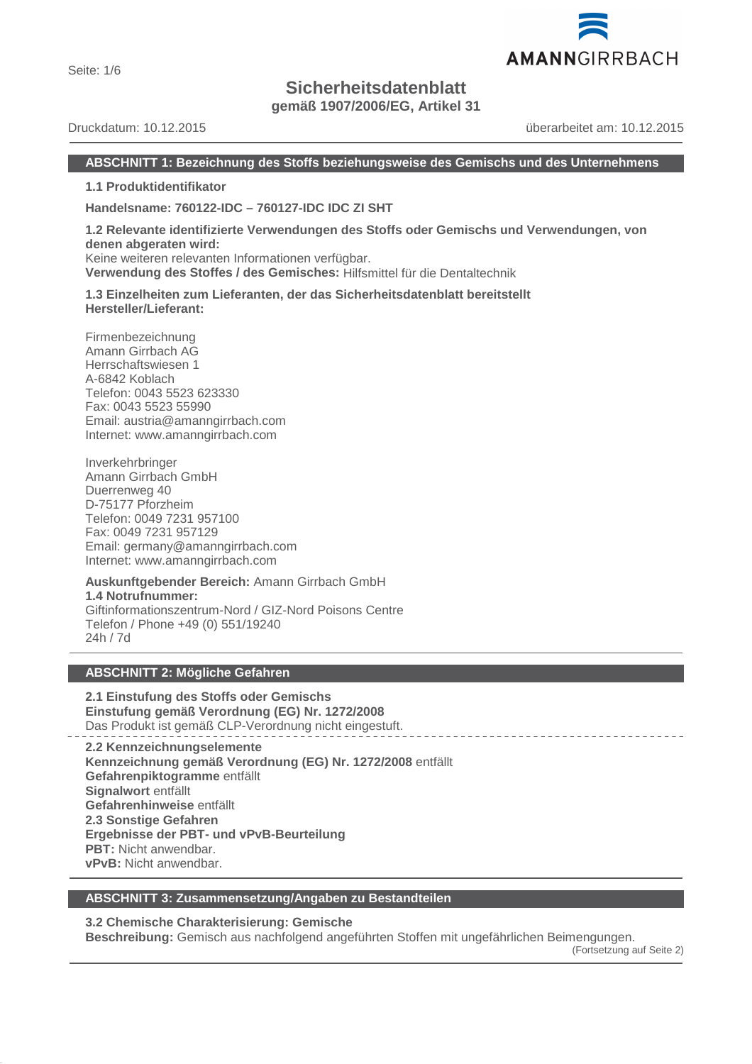Seite: 1/6

# **Sicherheitsdatenblatt**

**gemäß 1907/2006/EG, Artikel 31**

Druckdatum: 10.12.2015 überarbeitet am: 10.12.2015

# **ABSCHNITT 1: Bezeichnung des Stoffs beziehungsweise des Gemischs und des Unternehmens**

**1.1 Produktidentifikator**

**Handelsname: 760122-IDC – 760127-IDC IDC ZI SHT**

**1.2 Relevante identifizierte Verwendungen des Stoffs oder Gemischs und Verwendungen, von denen abgeraten wird:** Keine weiteren relevanten Informationen verfügbar.

**Verwendung des Stoffes / des Gemisches:** Hilfsmittel für die Dentaltechnik

**1.3 Einzelheiten zum Lieferanten, der das Sicherheitsdatenblatt bereitstellt Hersteller/Lieferant:**

Firmenbezeichnung Amann Girrbach AG Herrschaftswiesen 1 A-6842 Koblach Telefon: 0043 5523 623330 Fax: 0043 5523 55990 Email: austria@amanngirrbach.com Internet: www.amanngirrbach.com

Inverkehrbringer Amann Girrbach GmbH Duerrenweg 40 D-75177 Pforzheim Telefon: 0049 7231 957100 Fax: 0049 7231 957129 Email: germany@amanngirrbach.com Internet: www.amanngirrbach.com

**Auskunftgebender Bereich:** Amann Girrbach GmbH **1.4 Notrufnummer:** Giftinformationszentrum-Nord / GIZ-Nord Poisons Centre Telefon / Phone +49 (0) 551/19240 24h / 7d

# **ABSCHNITT 2: Mögliche Gefahren**

**2.1 Einstufung des Stoffs oder Gemischs Einstufung gemäß Verordnung (EG) Nr. 1272/2008** Das Produkt ist gemäß CLP-Verordnung nicht eingestuft.

**2.2 Kennzeichnungselemente Kennzeichnung gemäß Verordnung (EG) Nr. 1272/2008** entfällt **Gefahrenpiktogramme** entfällt **Signalwort** entfällt **Gefahrenhinweise** entfällt **2.3 Sonstige Gefahren Ergebnisse der PBT- und vPvB-Beurteilung PBT:** Nicht anwendbar. **vPvB:** Nicht anwendbar.

# **ABSCHNITT 3: Zusammensetzung/Angaben zu Bestandteilen**

**3.2 Chemische Charakterisierung: Gemische**

**Beschreibung:** Gemisch aus nachfolgend angeführten Stoffen mit ungefährlichen Beimengungen.

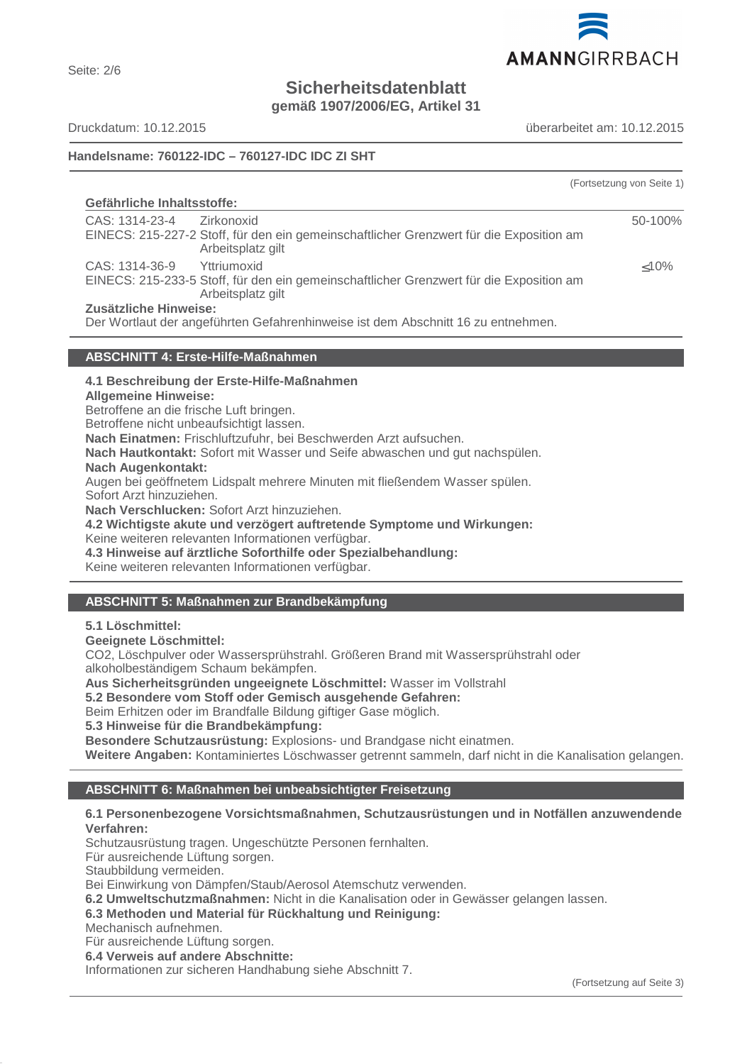

Seite: 2/6

# **Sicherheitsdatenblatt**

**gemäß 1907/2006/EG, Artikel 31**

Druckdatum: 10.12.2015 überarbeitet am: 10.12.2015

# **Handelsname: 760122-IDC – 760127-IDC IDC ZI SHT**

|                                                                                                                                              | (Fortsetzung von Seite 1) |
|----------------------------------------------------------------------------------------------------------------------------------------------|---------------------------|
| Gefährliche Inhaltsstoffe:                                                                                                                   |                           |
| CAS: 1314-23-4<br>Zirkonoxid<br>EINECS: 215-227-2 Stoff, für den ein gemeinschaftlicher Grenzwert für die Exposition am<br>Arbeitsplatz gilt | 50-100%                   |
| CAS: 1314-36-9 Yttriumoxid<br>EINECS: 215-233-5 Stoff, für den ein gemeinschaftlicher Grenzwert für die Exposition am<br>Arbeitsplatz gilt   | $<10\%$                   |
| Zusätzliche Hinweise:                                                                                                                        |                           |
| Der Wortlaut der angeführten Gefahrenhinweise ist dem Abschnitt 16 zu entnehmen.                                                             |                           |

# **ABSCHNITT 4: Erste-Hilfe-Maßnahmen**

# **4.1 Beschreibung der Erste-Hilfe-Maßnahmen**

**Allgemeine Hinweise:**

Betroffene an die frische Luft bringen.

Betroffene nicht unbeaufsichtigt lassen.

**Nach Einatmen:** Frischluftzufuhr, bei Beschwerden Arzt aufsuchen.

**Nach Hautkontakt:** Sofort mit Wasser und Seife abwaschen und gut nachspülen.

#### **Nach Augenkontakt:**

Augen bei geöffnetem Lidspalt mehrere Minuten mit fließendem Wasser spülen.

Sofort Arzt hinzuziehen.

**Nach Verschlucken:** Sofort Arzt hinzuziehen.

**4.2 Wichtigste akute und verzögert auftretende Symptome und Wirkungen:**

Keine weiteren relevanten Informationen verfügbar.

**4.3 Hinweise auf ärztliche Soforthilfe oder Spezialbehandlung:**

Keine weiteren relevanten Informationen verfügbar.

# **ABSCHNITT 5: Maßnahmen zur Brandbekämpfung**

**5.1 Löschmittel:**

**Geeignete Löschmittel:**

CO2, Löschpulver oder Wassersprühstrahl. Größeren Brand mit Wassersprühstrahl oder alkoholbeständigem Schaum bekämpfen.

**Aus Sicherheitsgründen ungeeignete Löschmittel:** Wasser im Vollstrahl

# **5.2 Besondere vom Stoff oder Gemisch ausgehende Gefahren:**

Beim Erhitzen oder im Brandfalle Bildung giftiger Gase möglich.

**5.3 Hinweise für die Brandbekämpfung:**

**Besondere Schutzausrüstung:** Explosions- und Brandgase nicht einatmen.

**Weitere Angaben:** Kontaminiertes Löschwasser getrennt sammeln, darf nicht in die Kanalisation gelangen.

# **ABSCHNITT 6: Maßnahmen bei unbeabsichtigter Freisetzung**

# **6.1 Personenbezogene Vorsichtsmaßnahmen, Schutzausrüstungen und in Notfällen anzuwendende Verfahren:**

Schutzausrüstung tragen. Ungeschützte Personen fernhalten.

Für ausreichende Lüftung sorgen.

Staubbildung vermeiden.

Bei Einwirkung von Dämpfen/Staub/Aerosol Atemschutz verwenden.

**6.2 Umweltschutzmaßnahmen:** Nicht in die Kanalisation oder in Gewässer gelangen lassen.

**6.3 Methoden und Material für Rückhaltung und Reinigung:**

Mechanisch aufnehmen.

Für ausreichende Lüftung sorgen.

**6.4 Verweis auf andere Abschnitte:**

Informationen zur sicheren Handhabung siehe Abschnitt 7.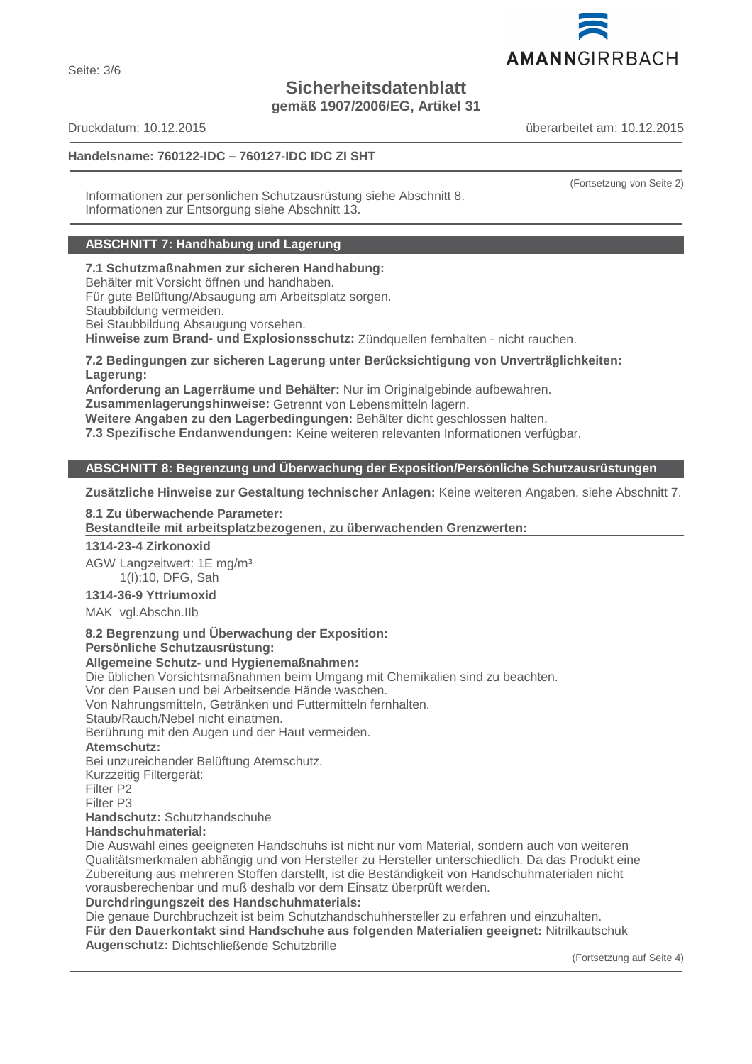

Seite: 3/6

# **Sicherheitsdatenblatt**

**gemäß 1907/2006/EG, Artikel 31**

Druckdatum: 10.12.2015 überarbeitet am: 10.12.2015

# **Handelsname: 760122-IDC – 760127-IDC IDC ZI SHT**

(Fortsetzung von Seite 2)

Informationen zur persönlichen Schutzausrüstung siehe Abschnitt 8. Informationen zur Entsorgung siehe Abschnitt 13.

# **ABSCHNITT 7: Handhabung und Lagerung**

**7.1 Schutzmaßnahmen zur sicheren Handhabung:**

Behälter mit Vorsicht öffnen und handhaben.

Für gute Belüftung/Absaugung am Arbeitsplatz sorgen.

Staubbildung vermeiden.

Bei Staubbildung Absaugung vorsehen.

**Hinweise zum Brand- und Explosionsschutz:** Zündquellen fernhalten - nicht rauchen.

**7.2 Bedingungen zur sicheren Lagerung unter Berücksichtigung von Unverträglichkeiten: Lagerung:**

**Anforderung an Lagerräume und Behälter:** Nur im Originalgebinde aufbewahren.

**Zusammenlagerungshinweise:** Getrennt von Lebensmitteln lagern.

**Weitere Angaben zu den Lagerbedingungen:** Behälter dicht geschlossen halten.

**7.3 Spezifische Endanwendungen:** Keine weiteren relevanten Informationen verfügbar.

# **ABSCHNITT 8: Begrenzung und Überwachung der Exposition/Persönliche Schutzausrüstungen**

**Zusätzliche Hinweise zur Gestaltung technischer Anlagen:** Keine weiteren Angaben, siehe Abschnitt 7.

# **8.1 Zu überwachende Parameter:**

Bestandteile mit arbeitsplatzbezogenen, zu überwachenden Grenzwerten:

**1314-23-4 Zirkonoxid**

AGW Langzeitwert: 1E mg/m³ 1(I);10, DFG, Sah

**1314-36-9 Yttriumoxid**

MAK vgl.Abschn.IIb

**8.2 Begrenzung und Überwachung der Exposition:**

**Persönliche Schutzausrüstung:**

**Allgemeine Schutz- und Hygienemaßnahmen:**

Die üblichen Vorsichtsmaßnahmen beim Umgang mit Chemikalien sind zu beachten.

Vor den Pausen und bei Arbeitsende Hände waschen.

Von Nahrungsmitteln, Getränken und Futtermitteln fernhalten.

Staub/Rauch/Nebel nicht einatmen.

Berührung mit den Augen und der Haut vermeiden.

**Atemschutz:**

Bei unzureichender Belüftung Atemschutz.

Kurzzeitig Filtergerät:

Filter P2

Filter P3

**Handschutz:** Schutzhandschuhe

# **Handschuhmaterial:**

Die Auswahl eines geeigneten Handschuhs ist nicht nur vom Material, sondern auch von weiteren Qualitätsmerkmalen abhängig und von Hersteller zu Hersteller unterschiedlich. Da das Produkt eine Zubereitung aus mehreren Stoffen darstellt, ist die Beständigkeit von Handschuhmaterialen nicht vorausberechenbar und muß deshalb vor dem Einsatz überprüft werden.

**Durchdringungszeit des Handschuhmaterials:**

Die genaue Durchbruchzeit ist beim Schutzhandschuhhersteller zu erfahren und einzuhalten. **Für den Dauerkontakt sind Handschuhe aus folgenden Materialien geeignet:** Nitrilkautschuk **Augenschutz:** Dichtschließende Schutzbrille

(Fortsetzung auf Seite 4)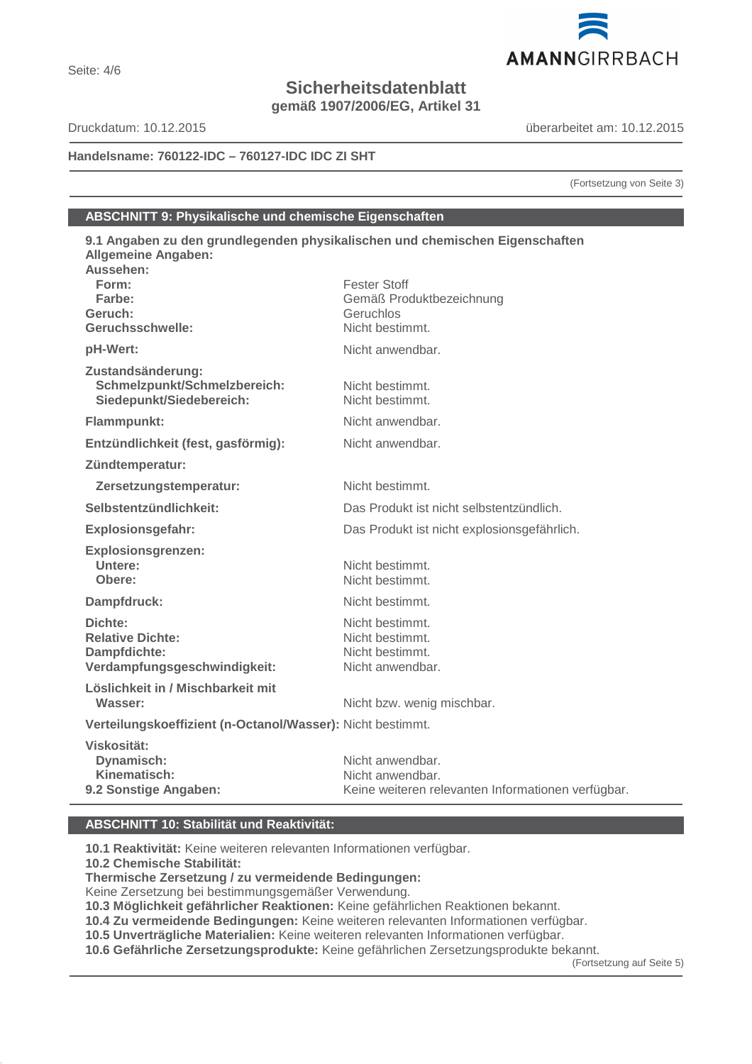# **Sicherheitsdatenblatt**

**gemäß 1907/2006/EG, Artikel 31**

Druckdatum: 10.12.2015 überarbeitet am: 10.12.2015

**Handelsname: 760122-IDC – 760127-IDC IDC ZI SHT**

(Fortsetzung von Seite 3)

# **ABSCHNITT 9: Physikalische und chemische Eigenschaften**

| 9.1 Angaben zu den grundlegenden physikalischen und chemischen Eigenschaften<br><b>Allgemeine Angaben:</b> |                                                                                            |
|------------------------------------------------------------------------------------------------------------|--------------------------------------------------------------------------------------------|
| Aussehen:<br>Form:<br>Farbe:<br>Geruch:<br>Geruchsschwelle:                                                | <b>Fester Stoff</b><br>Gemäß Produktbezeichnung<br>Geruchlos<br>Nicht bestimmt.            |
| pH-Wert:                                                                                                   | Nicht anwendbar.                                                                           |
| Zustandsänderung:<br>Schmelzpunkt/Schmelzbereich:<br>Siedepunkt/Siedebereich:                              | Nicht bestimmt.<br>Nicht bestimmt.                                                         |
| Flammpunkt:                                                                                                | Nicht anwendbar.                                                                           |
| Entzündlichkeit (fest, gasförmig):                                                                         | Nicht anwendbar.                                                                           |
| Zündtemperatur:                                                                                            |                                                                                            |
| Zersetzungstemperatur:                                                                                     | Nicht bestimmt.                                                                            |
| Selbstentzündlichkeit:                                                                                     | Das Produkt ist nicht selbstentzündlich.                                                   |
| <b>Explosionsgefahr:</b>                                                                                   | Das Produkt ist nicht explosionsgefährlich.                                                |
| <b>Explosionsgrenzen:</b><br>Untere:<br>Obere:                                                             | Nicht bestimmt.<br>Nicht bestimmt.                                                         |
| Dampfdruck:                                                                                                | Nicht bestimmt.                                                                            |
| Dichte:<br><b>Relative Dichte:</b><br>Dampfdichte:<br>Verdampfungsgeschwindigkeit:                         | Nicht bestimmt.<br>Nicht bestimmt.<br>Nicht bestimmt.<br>Nicht anwendbar.                  |
| Löslichkeit in / Mischbarkeit mit<br>Wasser:                                                               | Nicht bzw. wenig mischbar.                                                                 |
| Verteilungskoeffizient (n-Octanol/Wasser): Nicht bestimmt.                                                 |                                                                                            |
| Viskosität:<br>Dynamisch:<br>Kinematisch:<br>9.2 Sonstige Angaben:                                         | Nicht anwendbar.<br>Nicht anwendbar.<br>Keine weiteren relevanten Informationen verfügbar. |

#### **ABSCHNITT 10: Stabilität und Reaktivität:**

**10.1 Reaktivität:** Keine weiteren relevanten Informationen verfügbar.

**10.2 Chemische Stabilität:**

**Thermische Zersetzung / zu vermeidende Bedingungen:**

Keine Zersetzung bei bestimmungsgemäßer Verwendung.

**10.3 Möglichkeit gefährlicher Reaktionen:** Keine gefährlichen Reaktionen bekannt.

**10.4 Zu vermeidende Bedingungen:** Keine weiteren relevanten Informationen verfügbar.

**10.5 Unverträgliche Materialien:** Keine weiteren relevanten Informationen verfügbar.

**10.6 Gefährliche Zersetzungsprodukte:** Keine gefährlichen Zersetzungsprodukte bekannt.

(Fortsetzung auf Seite 5)

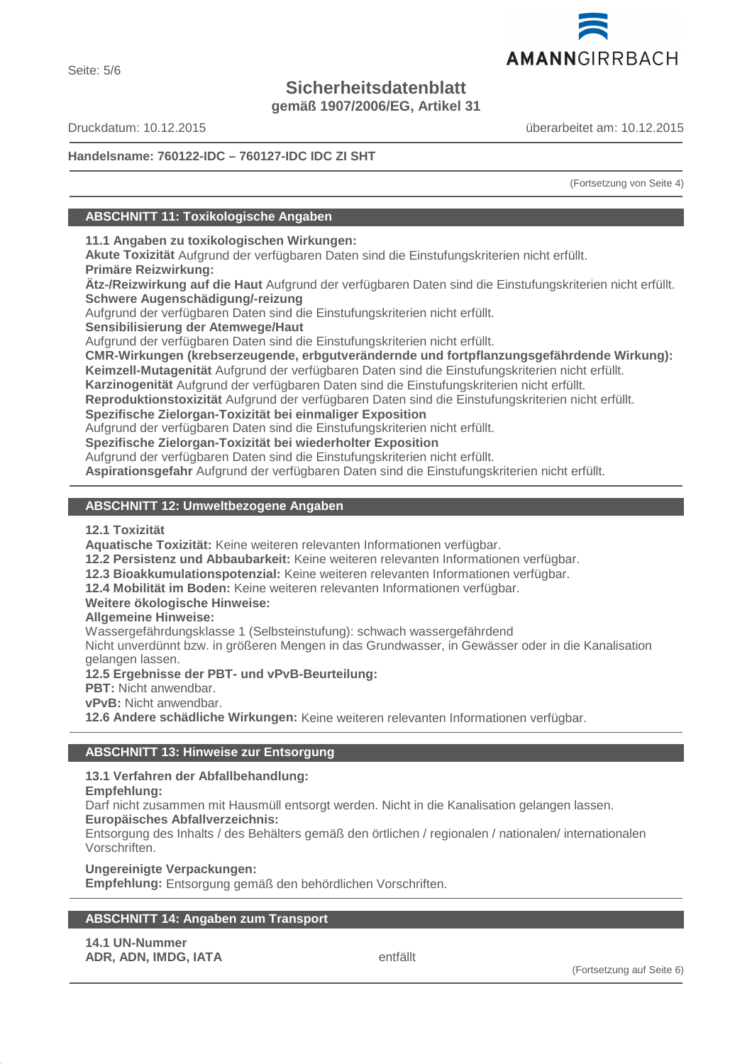# **Sicherheitsdatenblatt**

**gemäß 1907/2006/EG, Artikel 31**

Druckdatum: 10.12.2015 überarbeitet am: 10.12.2015

# **Handelsname: 760122-IDC – 760127-IDC IDC ZI SHT**

(Fortsetzung von Seite 4)

# **ABSCHNITT 11: Toxikologische Angaben**

**11.1 Angaben zu toxikologischen Wirkungen:**

**Akute Toxizität** Aufgrund der verfügbaren Daten sind die Einstufungskriterien nicht erfüllt. **Primäre Reizwirkung:**

**Ätz-/Reizwirkung auf die Haut** Aufgrund der verfügbaren Daten sind die Einstufungskriterien nicht erfüllt. **Schwere Augenschädigung/-reizung**

Aufgrund der verfügbaren Daten sind die Einstufungskriterien nicht erfüllt.

**Sensibilisierung der Atemwege/Haut**

Aufgrund der verfügbaren Daten sind die Einstufungskriterien nicht erfüllt.

**CMR-Wirkungen (krebserzeugende, erbgutverändernde und fortpflanzungsgefährdende Wirkung): Keimzell-Mutagenität** Aufgrund der verfügbaren Daten sind die Einstufungskriterien nicht erfüllt.

**Karzinogenität** Aufgrund der verfügbaren Daten sind die Einstufungskriterien nicht erfüllt.

**Reproduktionstoxizität** Aufgrund der verfügbaren Daten sind die Einstufungskriterien nicht erfüllt.

**Spezifische Zielorgan-Toxizität bei einmaliger Exposition**

Aufgrund der verfügbaren Daten sind die Einstufungskriterien nicht erfüllt.

**Spezifische Zielorgan-Toxizität bei wiederholter Exposition**

Aufgrund der verfügbaren Daten sind die Einstufungskriterien nicht erfüllt.

**Aspirationsgefahr** Aufgrund der verfügbaren Daten sind die Einstufungskriterien nicht erfüllt.

# **ABSCHNITT 12: Umweltbezogene Angaben**

# **12.1 Toxizität**

**Aquatische Toxizität:** Keine weiteren relevanten Informationen verfügbar.

**12.2 Persistenz und Abbaubarkeit:** Keine weiteren relevanten Informationen verfügbar.

**12.3 Bioakkumulationspotenzial:** Keine weiteren relevanten Informationen verfügbar.

**12.4 Mobilität im Boden:** Keine weiteren relevanten Informationen verfügbar.

# **Weitere ökologische Hinweise:**

**Allgemeine Hinweise:**

Wassergefährdungsklasse 1 (Selbsteinstufung): schwach wassergefährdend

Nicht unverdünnt bzw. in größeren Mengen in das Grundwasser, in Gewässer oder in die Kanalisation gelangen lassen.

**12.5 Ergebnisse der PBT- und vPvB-Beurteilung:**

**PBT:** Nicht anwendbar.

**vPvB:** Nicht anwendbar.

**12.6 Andere schädliche Wirkungen:** Keine weiteren relevanten Informationen verfügbar.

# **ABSCHNITT 13: Hinweise zur Entsorgung**

**13.1 Verfahren der Abfallbehandlung:**

**Empfehlung:**

Darf nicht zusammen mit Hausmüll entsorgt werden. Nicht in die Kanalisation gelangen lassen.

**Europäisches Abfallverzeichnis:**

Entsorgung des Inhalts / des Behälters gemäß den örtlichen / regionalen / nationalen/ internationalen Vorschriften.

**Ungereinigte Verpackungen:**

**Empfehlung:** Entsorgung gemäß den behördlichen Vorschriften.

# **ABSCHNITT 14: Angaben zum Transport**

**14.1 UN-Nummer ADR, ADN, IMDG, IATA** entfällt

(Fortsetzung auf Seite 6)

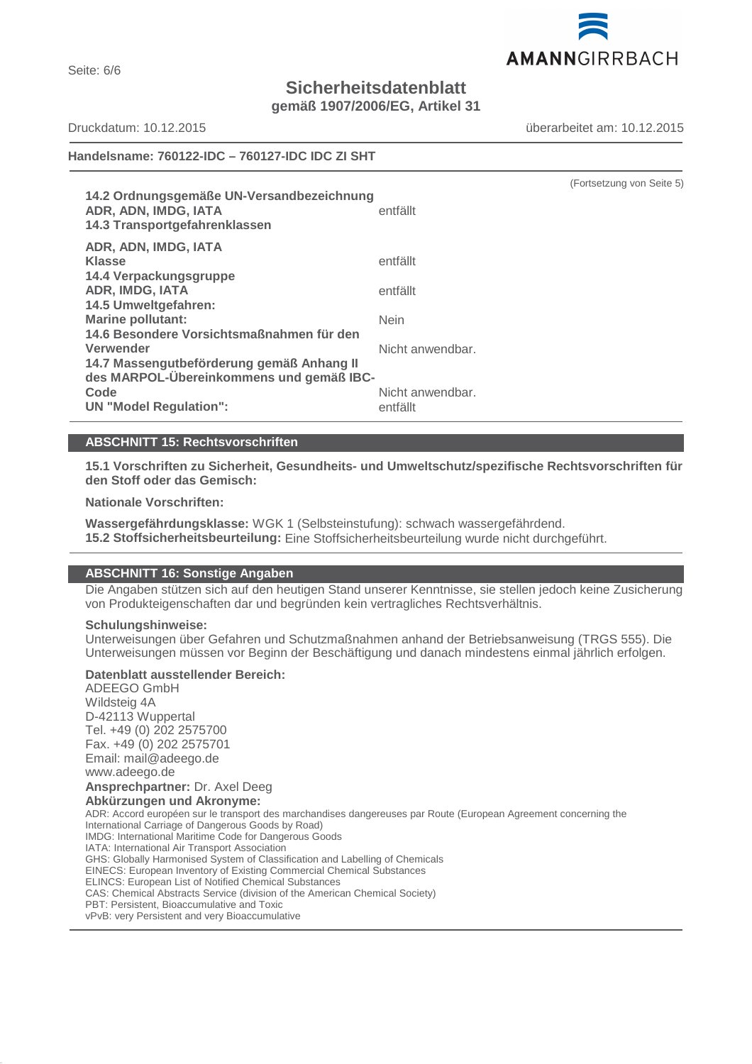AMANNGIRRBACH

# **Sicherheitsdatenblatt**

**gemäß 1907/2006/EG, Artikel 31**

Druckdatum: 10.12.2015 überarbeitet am: 10.12.2015

# **Handelsname: 760122-IDC – 760127-IDC IDC ZI SHT**

|                                                                                                    |                  | (Fortsetzung von Seite 5) |
|----------------------------------------------------------------------------------------------------|------------------|---------------------------|
| 14.2 Ordnungsgemäße UN-Versandbezeichnung<br>ADR, ADN, IMDG, IATA<br>14.3 Transportgefahrenklassen | entfällt         |                           |
| ADR, ADN, IMDG, IATA                                                                               |                  |                           |
| <b>Klasse</b>                                                                                      | entfällt         |                           |
| 14.4 Verpackungsgruppe                                                                             |                  |                           |
| ADR, IMDG, IATA                                                                                    | entfällt         |                           |
| 14.5 Umweltgefahren:                                                                               |                  |                           |
| <b>Marine pollutant:</b>                                                                           | <b>Nein</b>      |                           |
| 14.6 Besondere Vorsichtsmaßnahmen für den                                                          |                  |                           |
| Verwender                                                                                          | Nicht anwendbar. |                           |
| 14.7 Massengutbeförderung gemäß Anhang II                                                          |                  |                           |
| des MARPOL-Übereinkommens und gemäß IBC-                                                           |                  |                           |
| Code                                                                                               | Nicht anwendbar. |                           |
| <b>UN "Model Regulation":</b>                                                                      | entfällt         |                           |

# **ABSCHNITT 15: Rechtsvorschriften**

**15.1 Vorschriften zu Sicherheit, Gesundheits- und Umweltschutz/spezifische Rechtsvorschriften für den Stoff oder das Gemisch:**

#### **Nationale Vorschriften:**

**Wassergefährdungsklasse:** WGK 1 (Selbsteinstufung): schwach wassergefährdend. **15.2 Stoffsicherheitsbeurteilung:** Eine Stoffsicherheitsbeurteilung wurde nicht durchgeführt.

# **ABSCHNITT 16: Sonstige Angaben**

Die Angaben stützen sich auf den heutigen Stand unserer Kenntnisse, sie stellen jedoch keine Zusicherung von Produkteigenschaften dar und begründen kein vertragliches Rechtsverhältnis.

#### **Schulungshinweise:**

Unterweisungen über Gefahren und Schutzmaßnahmen anhand der Betriebsanweisung (TRGS 555). Die Unterweisungen müssen vor Beginn der Beschäftigung und danach mindestens einmal jährlich erfolgen.

# **Datenblatt ausstellender Bereich:**

ADEEGO GmbH Wildsteig 4A D-42113 Wuppertal Tel. +49 (0) 202 2575700 Fax. +49 (0) 202 2575701 Email: mail@adeego.de www.adeego.de **Ansprechpartner:** Dr. Axel Deeg **Abkürzungen und Akronyme:** ADR: Accord européen sur le transport des marchandises dangereuses par Route (European Agreement concerning the International Carriage of Dangerous Goods by Road) IMDG: International Maritime Code for Dangerous Goods IATA: International Air Transport Association GHS: Globally Harmonised System of Classification and Labelling of Chemicals EINECS: European Inventory of Existing Commercial Chemical Substances ELINCS: European List of Notified Chemical Substances CAS: Chemical Abstracts Service (division of the American Chemical Society) PBT: Persistent, Bioaccumulative and Toxic vPvB: very Persistent and very Bioaccumulative

Seite: 6/6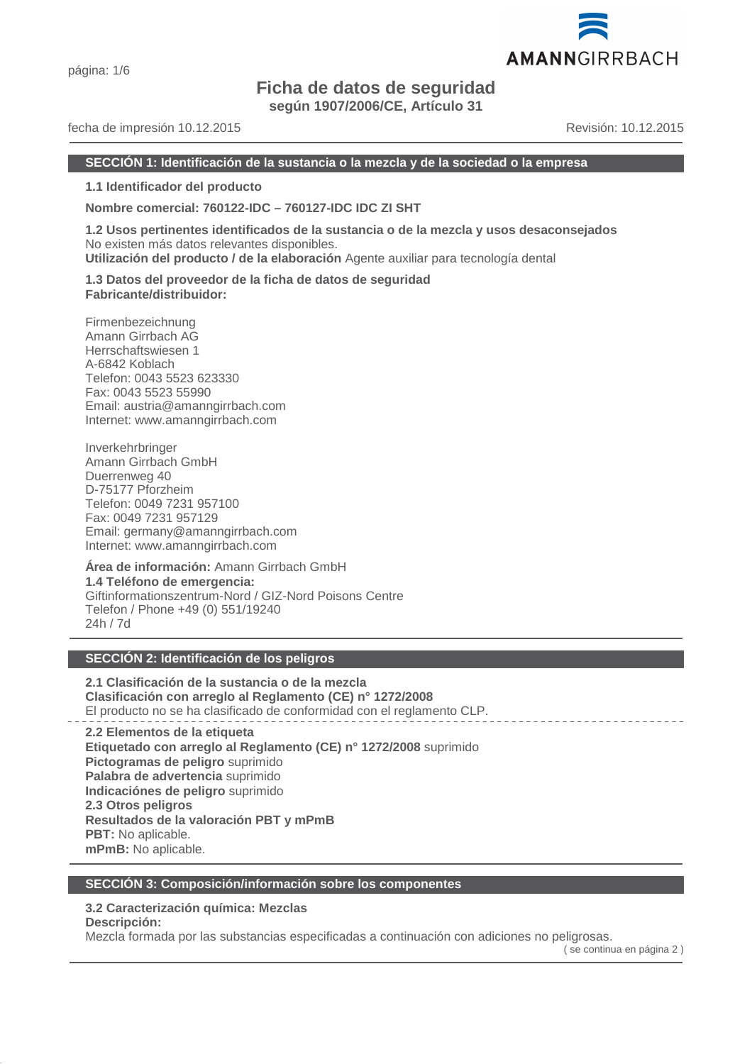# **Ficha de datos de seguridad**

**según 1907/2006/CE, Artículo 31**

# fecha de impresión 10.12.2015 Revisión: 10.12.2015

#### **SECCIÓN 1: Identificación de la sustancia o la mezcla y de la sociedad o la empresa**

**1.1 Identificador del producto**

**Nombre comercial: 760122-IDC – 760127-IDC IDC ZI SHT**

**1.2 Usos pertinentes identificados de la sustancia o de la mezcla y usos desaconsejados** No existen más datos relevantes disponibles.

**Utilización del producto / de la elaboración** Agente auxiliar para tecnología dental

**1.3 Datos del proveedor de la ficha de datos de seguridad Fabricante/distribuidor:**

Firmenbezeichnung Amann Girrbach AG Herrschaftswiesen 1 A-6842 Koblach Telefon: 0043 5523 623330 Fax: 0043 5523 55990 Email: austria@amanngirrbach.com Internet: www.amanngirrbach.com

Inverkehrbringer Amann Girrbach GmbH Duerrenweg 40 D-75177 Pforzheim Telefon: 0049 7231 957100 Fax: 0049 7231 957129 Email: germany@amanngirrbach.com Internet: www.amanngirrbach.com

**Área de información:** Amann Girrbach GmbH **1.4 Teléfono de emergencia:** Giftinformationszentrum-Nord / GIZ-Nord Poisons Centre Telefon / Phone +49 (0) 551/19240 24h / 7d

# **SECCIÓN 2: Identificación de los peligros**

**2.1 Clasificación de la sustancia o de la mezcla Clasificación con arreglo al Reglamento (CE) n° 1272/2008** El producto no se ha clasificado de conformidad con el reglamento CLP.

**2.2 Elementos de la etiqueta Etiquetado con arreglo al Reglamento (CE) n° 1272/2008** suprimido **Pictogramas de peligro** suprimido **Palabra de advertencia** suprimido **Indicaciónes de peligro** suprimido **2.3 Otros peligros Resultados de la valoración PBT y mPmB PBT:** No aplicable. **mPmB:** No aplicable.

# **SECCIÓN 3: Composición/información sobre los componentes**

# **3.2 Caracterización química: Mezclas**

**Descripción:**

Mezcla formada por las substancias especificadas a continuación con adiciones no peligrosas.

( se continua en página 2 )

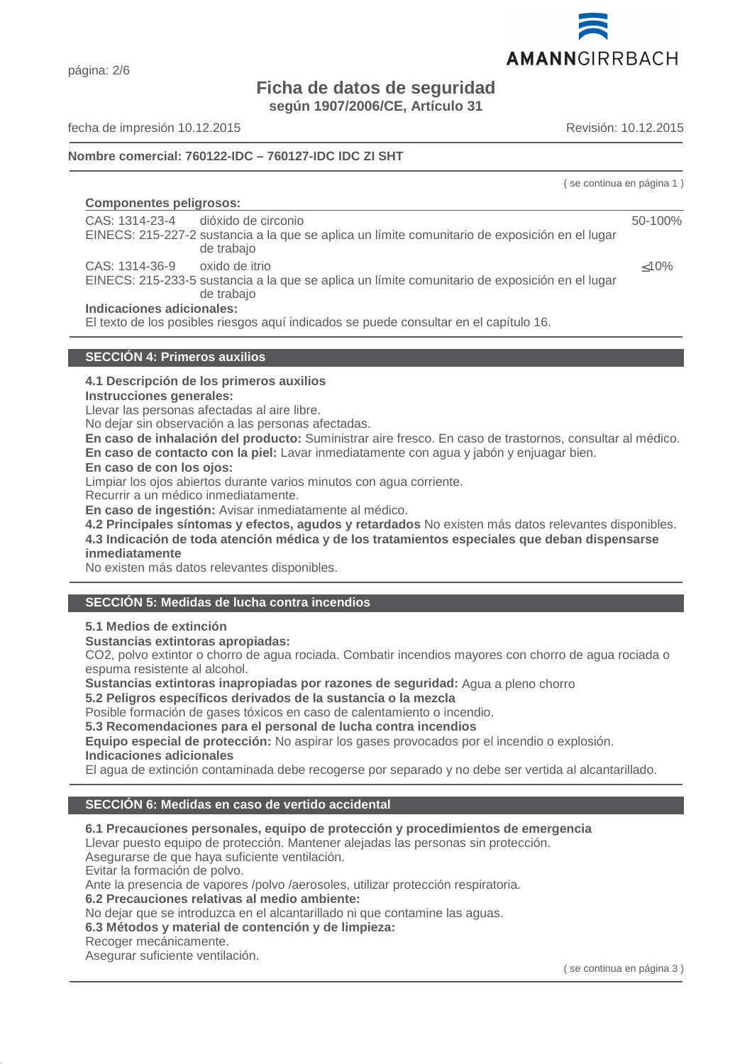

# página: 2/6

# **Ficha de datos de seguridad**

**según 1907/2006/CE, Artículo 31**

fecha de impresión 10.12.2015 Revisión: 10.12.2015

# **Nombre comercial: 760122-IDC – 760127-IDC IDC ZI SHT**

|                                                                                                              | se continua en página 1) |
|--------------------------------------------------------------------------------------------------------------|--------------------------|
| <b>Componentes peligrosos:</b>                                                                               |                          |
| CAS: 1314-23-4<br>dióxido de circonio                                                                        | 50-100%                  |
| EINECS: 215-227-2 sustancia a la que se aplica un límite comunitario de exposición en el lugar<br>de trabajo |                          |
| CAS: 1314-36-9<br>oxido de itrio                                                                             | $<$ 10%                  |
| EINECS: 215-233-5 sustancia a la que se aplica un límite comunitario de exposición en el lugar<br>de trabajo |                          |
| Indicaciones adicionales:                                                                                    |                          |
| El texto de los posibles riesgos aquí indicados se puede consultar en el capítulo 16.                        |                          |

# **SECCIÓN 4: Primeros auxilios**

# **4.1 Descripción de los primeros auxilios**

**Instrucciones generales:**

Llevar las personas afectadas al aire libre.

No dejar sin observación a las personas afectadas.

**En caso de inhalación del producto:** Suministrar aire fresco. En caso de trastornos, consultar al médico.

**En caso de contacto con la piel:** Lavar inmediatamente con agua y jabón y enjuagar bien.

**En caso de con los ojos:**

Limpiar los ojos abiertos durante varios minutos con agua corriente.

Recurrir a un médico inmediatamente.

**En caso de ingestión:** Avisar inmediatamente al médico.

**4.2 Principales síntomas y efectos, agudos y retardados** No existen más datos relevantes disponibles.

**4.3 Indicación de toda atención médica y de los tratamientos especiales que deban dispensarse inmediatamente**

No existen más datos relevantes disponibles.

# **SECCIÓN 5: Medidas de lucha contra incendios**

**5.1 Medios de extinción**

**Sustancias extintoras apropiadas:**

CO2, polvo extintor o chorro de agua rociada. Combatir incendios mayores con chorro de agua rociada o espuma resistente al alcohol.

**Sustancias extintoras inapropiadas por razones de seguridad:** Agua a pleno chorro

**5.2 Peligros específicos derivados de la sustancia o la mezcla**

Posible formación de gases tóxicos en caso de calentamiento o incendio.

**5.3 Recomendaciones para el personal de lucha contra incendios**

**Equipo especial de protección:** No aspirar los gases provocados por el incendio o explosión. **Indicaciones adicionales**

El agua de extinción contaminada debe recogerse por separado y no debe ser vertida al alcantarillado.

# **SECCIÓN 6: Medidas en caso de vertido accidental**

# **6.1 Precauciones personales, equipo de protección y procedimientos de emergencia**

Llevar puesto equipo de protección. Mantener alejadas las personas sin protección.

Asegurarse de que haya suficiente ventilación.

Evitar la formación de polvo.

Ante la presencia de vapores /polvo /aerosoles, utilizar protección respiratoria.

**6.2 Precauciones relativas al medio ambiente:**

No dejar que se introduzca en el alcantarillado ni que contamine las aguas.

**6.3 Métodos y material de contención y de limpieza:**

Recoger mecánicamente.

Asegurar suficiente ventilación.

( se continua en página 3 )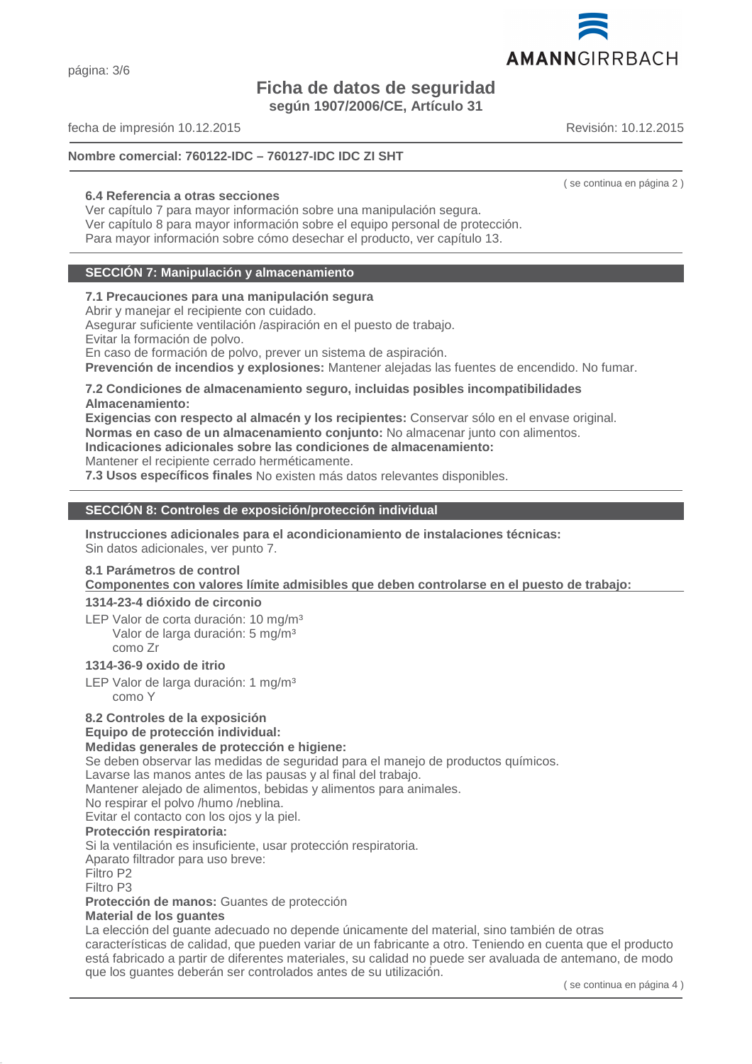# **Ficha de datos de seguridad**

**según 1907/2006/CE, Artículo 31**

fecha de impresión 10.12.2015 Revisión: 10.12.2015

# **Nombre comercial: 760122-IDC – 760127-IDC IDC ZI SHT**

#### **6.4 Referencia a otras secciones**

Ver capítulo 7 para mayor información sobre una manipulación segura. Ver capítulo 8 para mayor información sobre el equipo personal de protección. Para mayor información sobre cómo desechar el producto, ver capítulo 13.

## **SECCIÓN 7: Manipulación y almacenamiento**

# **7.1 Precauciones para una manipulación segura**

Abrir y manejar el recipiente con cuidado.

Asegurar suficiente ventilación /aspiración en el puesto de trabajo.

Evitar la formación de polvo.

En caso de formación de polvo, prever un sistema de aspiración.

**Prevención de incendios y explosiones:** Mantener alejadas las fuentes de encendido. No fumar.

#### **7.2 Condiciones de almacenamiento seguro, incluidas posibles incompatibilidades Almacenamiento:**

**Exigencias con respecto al almacén y los recipientes:** Conservar sólo en el envase original. **Normas en caso de un almacenamiento conjunto:** No almacenar junto con alimentos.

**Indicaciones adicionales sobre las condiciones de almacenamiento:**

Mantener el recipiente cerrado herméticamente.

**7.3 Usos específicos finales** No existen más datos relevantes disponibles.

# **SECCIÓN 8: Controles de exposición/protección individual**

**Instrucciones adicionales para el acondicionamiento de instalaciones técnicas:** Sin datos adicionales, ver punto 7.

#### **8.1 Parámetros de control**

**Componentes con valores límite admisibles que deben controlarse en el puesto de trabajo:** 

#### **1314-23-4 dióxido de circonio**

LEP Valor de corta duración: 10 mg/m<sup>3</sup> Valor de larga duración: 5 mg/m<sup>3</sup> como Zr

# **1314-36-9 oxido de itrio**

LEP Valor de larga duración: 1 mg/m<sup>3</sup> como Y

# **8.2 Controles de la exposición**

#### **Equipo de protección individual:**

#### **Medidas generales de protección e higiene:**

Se deben observar las medidas de seguridad para el manejo de productos químicos.

Lavarse las manos antes de las pausas y al final del trabajo.

Mantener alejado de alimentos, bebidas y alimentos para animales.

No respirar el polvo /humo /neblina.

Evitar el contacto con los ojos y la piel.

# **Protección respiratoria:**

Si la ventilación es insuficiente, usar protección respiratoria.

Aparato filtrador para uso breve:

Filtro P2

Filtro P3

**Protección de manos:** Guantes de protección

# **Material de los guantes**

La elección del guante adecuado no depende únicamente del material, sino también de otras características de calidad, que pueden variar de un fabricante a otro. Teniendo en cuenta que el producto está fabricado a partir de diferentes materiales, su calidad no puede ser avaluada de antemano, de modo que los guantes deberán ser controlados antes de su utilización.



( se continua en página 2 )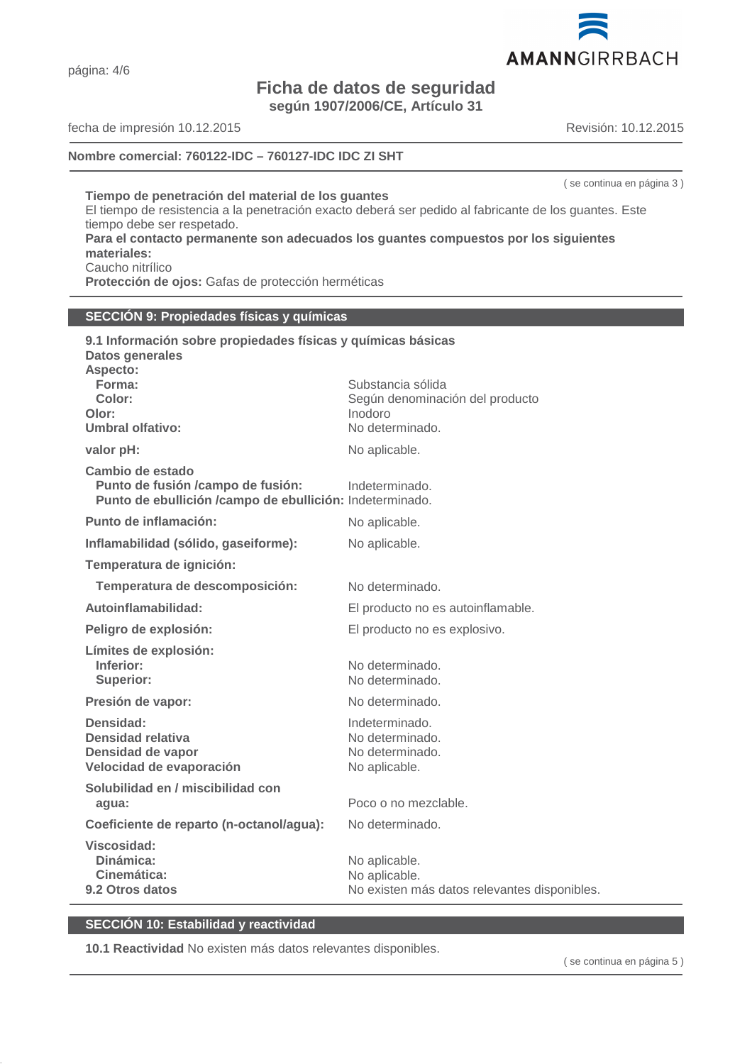**Ficha de datos de seguridad**

**según 1907/2006/CE, Artículo 31**

fecha de impresión 10.12.2015 Revisión: 10.12.2015

#### **Nombre comercial: 760122-IDC – 760127-IDC IDC ZI SHT**

**Tiempo de penetración del material de los guantes** El tiempo de resistencia a la penetración exacto deberá ser pedido al fabricante de los guantes. Este tiempo debe ser respetado.

**Para el contacto permanente son adecuados los guantes compuestos por los siguientes materiales:**

Caucho nitrílico

**Protección de ojos:** Gafas de protección herméticas

# **SECCIÓN 9: Propiedades físicas y químicas**

| 9.1 Información sobre propiedades físicas y químicas básicas<br><b>Datos generales</b><br>Aspecto:<br>Forma:<br>Color:<br>Olor:<br><b>Umbral olfativo:</b> | Substancia sólida<br>Según denominación del producto<br>Inodoro<br>No determinado. |
|------------------------------------------------------------------------------------------------------------------------------------------------------------|------------------------------------------------------------------------------------|
| valor pH:                                                                                                                                                  | No aplicable.                                                                      |
| Cambio de estado<br>Punto de fusión /campo de fusión:<br>Punto de ebullición /campo de ebullición: Indeterminado.                                          | Indeterminado.                                                                     |
| Punto de inflamación:                                                                                                                                      | No aplicable.                                                                      |
| Inflamabilidad (sólido, gaseiforme):                                                                                                                       | No aplicable.                                                                      |
| Temperatura de ignición:                                                                                                                                   |                                                                                    |
| Temperatura de descomposición:                                                                                                                             | No determinado.                                                                    |
| Autoinflamabilidad:                                                                                                                                        | El producto no es autoinflamable.                                                  |
| Peligro de explosión:                                                                                                                                      | El producto no es explosivo.                                                       |
| Límites de explosión:<br>Inferior:<br><b>Superior:</b>                                                                                                     | No determinado.<br>No determinado.                                                 |
| Presión de vapor:                                                                                                                                          | No determinado.                                                                    |
| Densidad:<br>Densidad relativa<br>Densidad de vapor<br>Velocidad de evaporación                                                                            | Indeterminado.<br>No determinado.<br>No determinado.<br>No aplicable.              |
| Solubilidad en / miscibilidad con<br>agua:                                                                                                                 | Poco o no mezclable.                                                               |
| Coeficiente de reparto (n-octanol/agua):                                                                                                                   | No determinado.                                                                    |
| Viscosidad:<br>Dinámica:<br>Cinemática:<br>9.2 Otros datos                                                                                                 | No aplicable.<br>No aplicable.<br>No existen más datos relevantes disponibles.     |

# **SECCIÓN 10: Estabilidad y reactividad**

**10.1 Reactividad** No existen más datos relevantes disponibles.

( se continua en página 5 )



página: 4/6

( se continua en página 3 )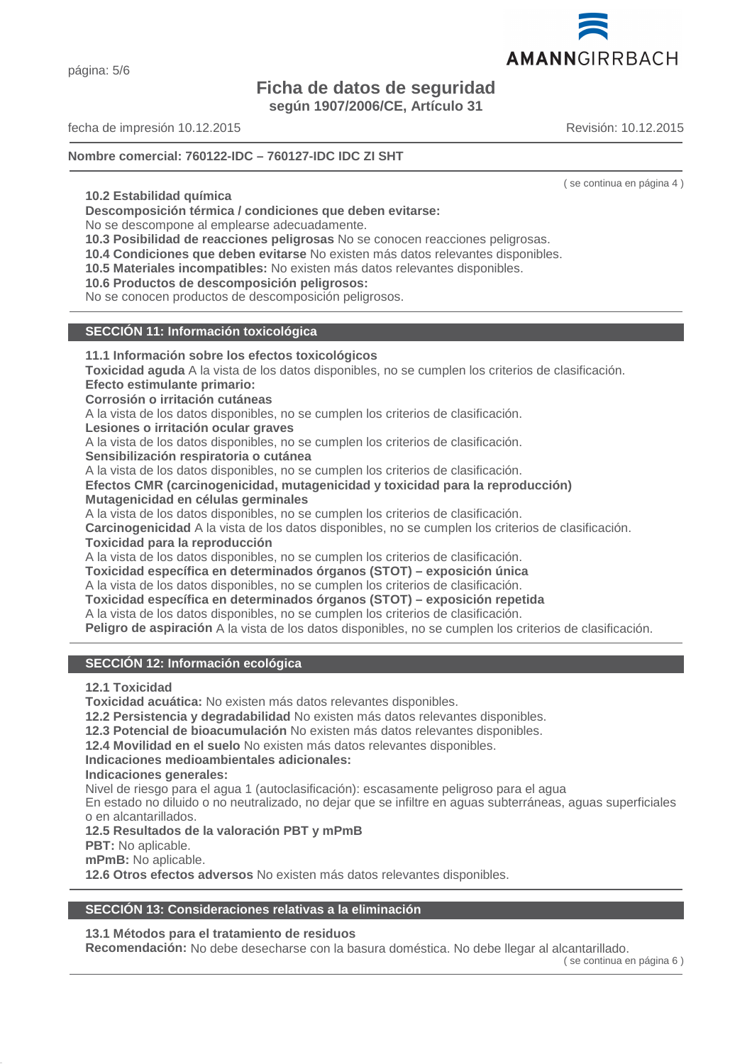página: 5/6

# **Ficha de datos de seguridad**

**según 1907/2006/CE, Artículo 31**

fecha de impresión 10.12.2015 Revisión: 10.12.2015

# **Nombre comercial: 760122-IDC – 760127-IDC IDC ZI SHT**

**10.2 Estabilidad química**

**Descomposición térmica / condiciones que deben evitarse:**

No se descompone al emplearse adecuadamente.

**10.3 Posibilidad de reacciones peligrosas** No se conocen reacciones peligrosas.

**10.4 Condiciones que deben evitarse** No existen más datos relevantes disponibles.

**10.5 Materiales incompatibles:** No existen más datos relevantes disponibles.

**10.6 Productos de descomposición peligrosos:**

No se conocen productos de descomposición peligrosos.

# **SECCIÓN 11: Información toxicológica**

**11.1 Información sobre los efectos toxicológicos**

**Toxicidad aguda** A la vista de los datos disponibles, no se cumplen los criterios de clasificación.

**Efecto estimulante primario:**

**Corrosión o irritación cutáneas**

A la vista de los datos disponibles, no se cumplen los criterios de clasificación.

**Lesiones o irritación ocular graves**

A la vista de los datos disponibles, no se cumplen los criterios de clasificación.

**Sensibilización respiratoria o cutánea**

A la vista de los datos disponibles, no se cumplen los criterios de clasificación.

**Efectos CMR (carcinogenicidad, mutagenicidad y toxicidad para la reproducción) Mutagenicidad en células germinales**

A la vista de los datos disponibles, no se cumplen los criterios de clasificación.

**Carcinogenicidad** A la vista de los datos disponibles, no se cumplen los criterios de clasificación. **Toxicidad para la reproducción**

A la vista de los datos disponibles, no se cumplen los criterios de clasificación.

**Toxicidad específica en determinados órganos (STOT) – exposición única**

A la vista de los datos disponibles, no se cumplen los criterios de clasificación.

**Toxicidad específica en determinados órganos (STOT) – exposición repetida**

A la vista de los datos disponibles, no se cumplen los criterios de clasificación.

**Peligro de aspiración** A la vista de los datos disponibles, no se cumplen los criterios de clasificación.

# **SECCIÓN 12: Información ecológica**

**12.1 Toxicidad**

**Toxicidad acuática:** No existen más datos relevantes disponibles.

**12.2 Persistencia y degradabilidad** No existen más datos relevantes disponibles.

**12.3 Potencial de bioacumulación** No existen más datos relevantes disponibles.

**12.4 Movilidad en el suelo** No existen más datos relevantes disponibles.

# **Indicaciones medioambientales adicionales:**

**Indicaciones generales:**

Nivel de riesgo para el agua 1 (autoclasificación): escasamente peligroso para el agua

En estado no diluido o no neutralizado, no dejar que se infiltre en aguas subterráneas, aguas superficiales o en alcantarillados.

# **12.5 Resultados de la valoración PBT y mPmB**

**PBT:** No aplicable.

**mPmB:** No aplicable.

**12.6 Otros efectos adversos** No existen más datos relevantes disponibles.

# **SECCIÓN 13: Consideraciones relativas a la eliminación**

# **13.1 Métodos para el tratamiento de residuos**

**Recomendación:** No debe desecharse con la basura doméstica. No debe llegar al alcantarillado.



( se continua en página 4 )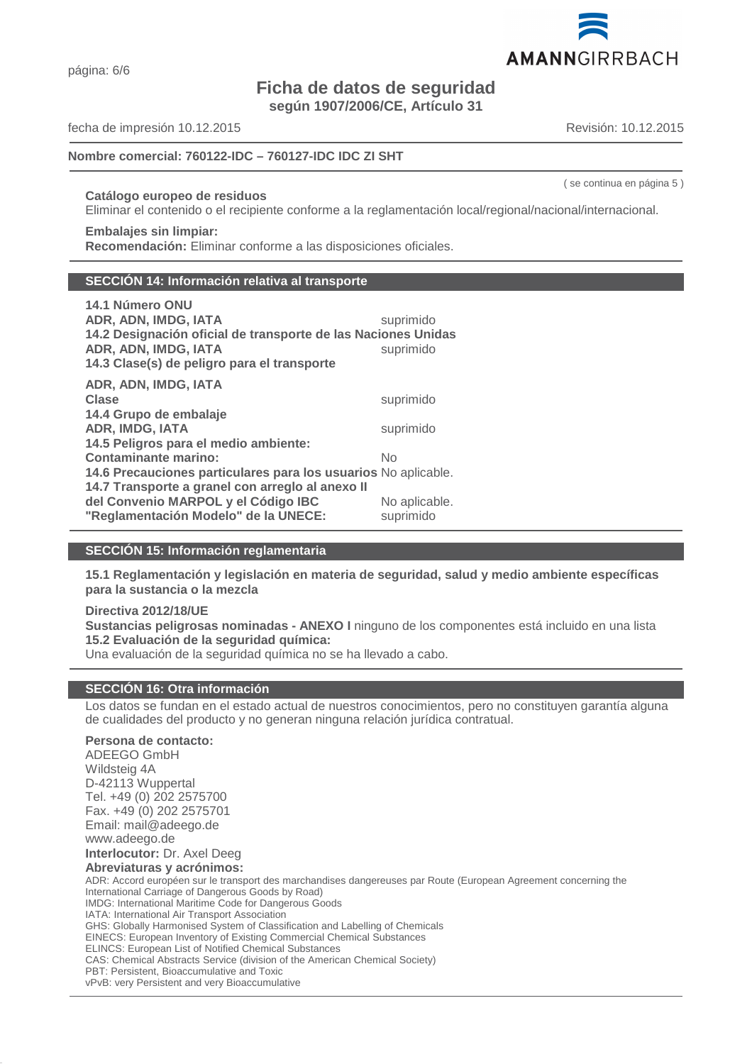

**según 1907/2006/CE, Artículo 31**

fecha de impresión 10.12.2015 Revisión: 10.12.2015

# **Nombre comercial: 760122-IDC – 760127-IDC IDC ZI SHT**

# **Catálogo europeo de residuos**

Eliminar el contenido o el recipiente conforme a la reglamentación local/regional/nacional/internacional.

# **Embalajes sin limpiar:**

**Recomendación:** Eliminar conforme a las disposiciones oficiales.

# **SECCIÓN 14: Información relativa al transporte**

| 14.1 Número ONU<br>ADR, ADN, IMDG, IATA<br>14.2 Designación oficial de transporte de las Naciones Unidas<br>ADR, ADN, IMDG, IATA<br>14.3 Clase(s) de peligro para el transporte | suprimido<br>suprimido |
|---------------------------------------------------------------------------------------------------------------------------------------------------------------------------------|------------------------|
| ADR, ADN, IMDG, IATA<br><b>Clase</b><br>14.4 Grupo de embalaje                                                                                                                  | suprimido              |
| <b>ADR, IMDG, IATA</b>                                                                                                                                                          | suprimido              |
| 14.5 Peligros para el medio ambiente:                                                                                                                                           |                        |
| <b>Contaminante marino:</b>                                                                                                                                                     | Nο                     |
| 14.6 Precauciones particulares para los usuarios No aplicable.                                                                                                                  |                        |
| 14.7 Transporte a granel con arregio al anexo II                                                                                                                                |                        |
| del Convenio MARPOL y el Código IBC                                                                                                                                             | No aplicable.          |
| "Reglamentación Modelo" de la UNECE:                                                                                                                                            | suprimido              |

# **SECCIÓN 15: Información reglamentaria**

**15.1 Reglamentación y legislación en materia de seguridad, salud y medio ambiente específicas para la sustancia o la mezcla**

# **Directiva 2012/18/UE**

**Sustancias peligrosas nominadas - ANEXO I** ninguno de los componentes está incluido en una lista **15.2 Evaluación de la seguridad química:**

Una evaluación de la seguridad química no se ha llevado a cabo.

# **SECCIÓN 16: Otra información**

Los datos se fundan en el estado actual de nuestros conocimientos, pero no constituyen garantía alguna de cualidades del producto y no generan ninguna relación jurídica contratual.

# **Persona de contacto:**

ADEEGO GmbH Wildsteig 4A D-42113 Wuppertal Tel. +49 (0) 202 2575700 Fax. +49 (0) 202 2575701 Email: mail@adeego.de www.adeego.de

**Interlocutor:** Dr. Axel Deeg

**Abreviaturas y acrónimos:**

ADR: Accord européen sur le transport des marchandises dangereuses par Route (European Agreement concerning the International Carriage of Dangerous Goods by Road) IMDG: International Maritime Code for Dangerous Goods IATA: International Air Transport Association GHS: Globally Harmonised System of Classification and Labelling of Chemicals EINECS: European Inventory of Existing Commercial Chemical Substances ELINCS: European List of Notified Chemical Substances CAS: Chemical Abstracts Service (division of the American Chemical Society) PBT: Persistent, Bioaccumulative and Toxic

vPvB: very Persistent and very Bioaccumulative





( se continua en página 5 )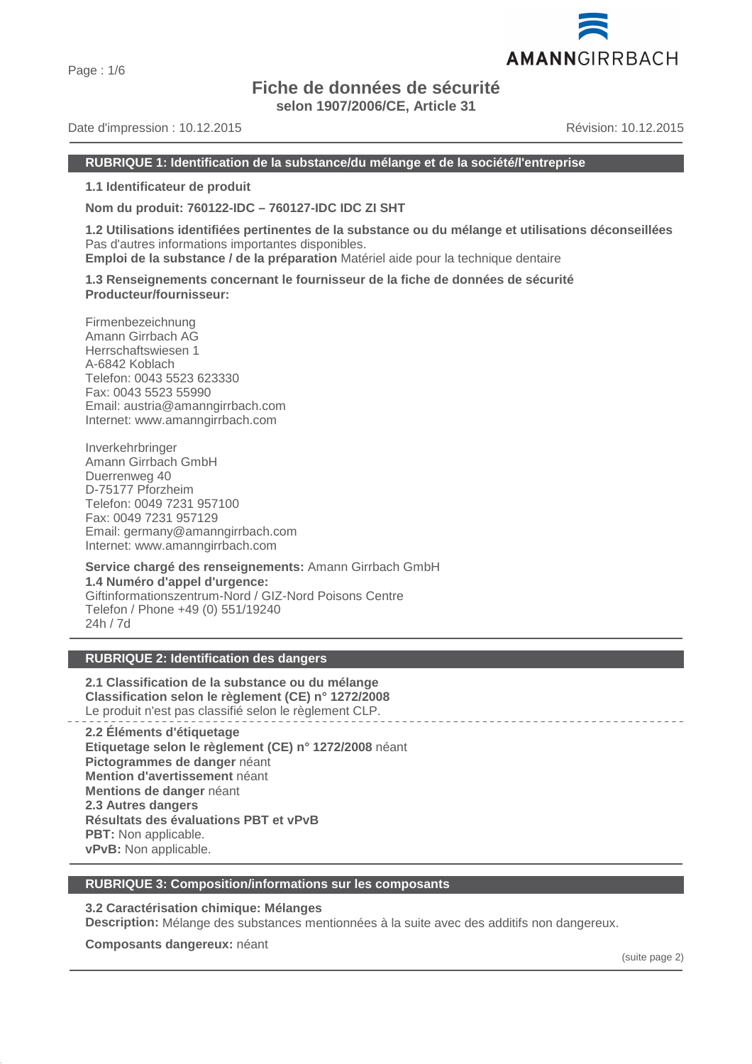# **Fiche de données de sécurité**

**selon 1907/2006/CE, Article 31**

Date d'impression : 10.12.2015 Révision: 10.12.2015

#### **RUBRIQUE 1: Identification de la substance/du mélange et de la société/l'entreprise**

**1.1 Identificateur de produit**

**Nom du produit: 760122-IDC – 760127-IDC IDC ZI SHT**

**1.2 Utilisations identifiées pertinentes de la substance ou du mélange et utilisations déconseillées** Pas d'autres informations importantes disponibles.

**Emploi de la substance / de la préparation** Matériel aide pour la technique dentaire

**1.3 Renseignements concernant le fournisseur de la fiche de données de sécurité Producteur/fournisseur:**

Firmenbezeichnung Amann Girrbach AG Herrschaftswiesen 1 A-6842 Koblach Telefon: 0043 5523 623330 Fax: 0043 5523 55990 Email: austria@amanngirrbach.com Internet: www.amanngirrbach.com

Inverkehrbringer Amann Girrbach GmbH Duerrenweg 40 D-75177 Pforzheim Telefon: 0049 7231 957100 Fax: 0049 7231 957129 Email: germany@amanngirrbach.com Internet: www.amanngirrbach.com

**Service chargé des renseignements:** Amann Girrbach GmbH **1.4 Numéro d'appel d'urgence:** Giftinformationszentrum-Nord / GIZ-Nord Poisons Centre Telefon / Phone +49 (0) 551/19240 24h / 7d

# **RUBRIQUE 2: Identification des dangers**

**2.1 Classification de la substance ou du mélange Classification selon le règlement (CE) n° 1272/2008** Le produit n'est pas classifié selon le règlement CLP.

**2.2 Éléments d'étiquetage Etiquetage selon le règlement (CE) n° 1272/2008** néant **Pictogrammes de danger** néant **Mention d'avertissement** néant **Mentions de danger** néant **2.3 Autres dangers Résultats des évaluations PBT et vPvB PBT:** Non applicable. **vPvB:** Non applicable.

#### **RUBRIQUE 3: Composition/informations sur les composants**

**3.2 Caractérisation chimique: Mélanges**

**Description:** Mélange des substances mentionnées à la suite avec des additifs non dangereux.

**Composants dangereux:** néant

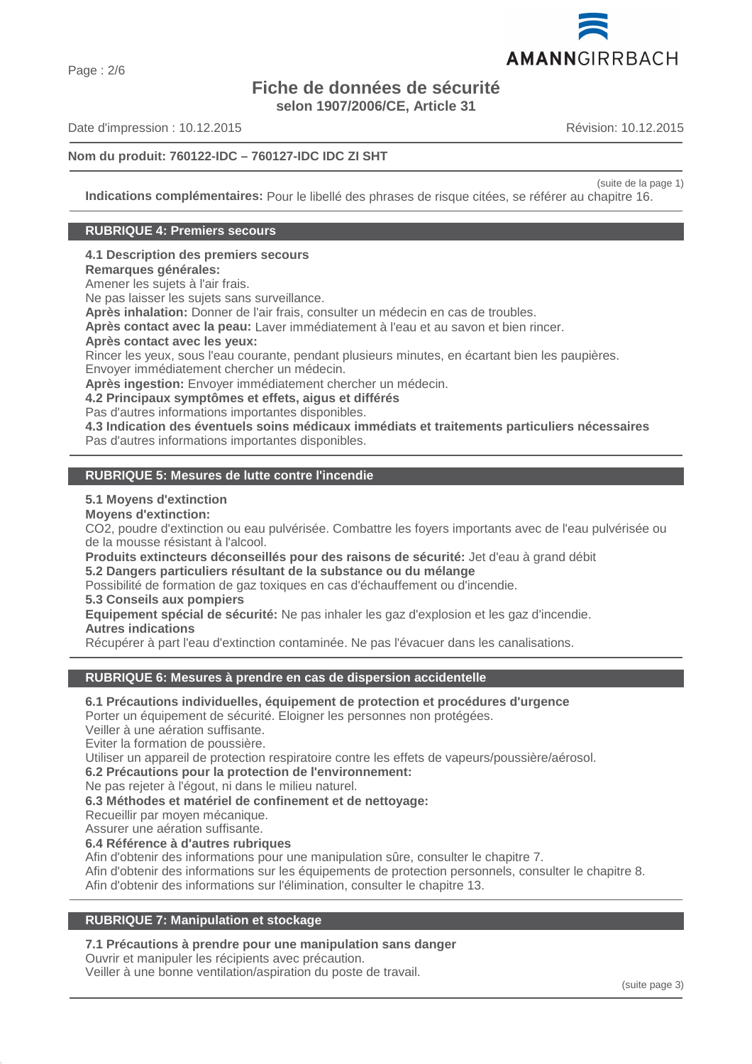# **Fiche de données de sécurité selon 1907/2006/CE, Article 31**

Date d'impression : 10.12.2015 Révision: 10.12.2015

# **Nom du produit: 760122-IDC – 760127-IDC IDC ZI SHT**

(suite de la page 1)

**Indications complémentaires:** Pour le libellé des phrases de risque citées, se référer au chapitre 16.

#### **RUBRIQUE 4: Premiers secours**

**4.1 Description des premiers secours**

**Remarques générales:**

Amener les sujets à l'air frais.

Ne pas laisser les sujets sans surveillance.

**Après inhalation:** Donner de l'air frais, consulter un médecin en cas de troubles.

**Après contact avec la peau:** Laver immédiatement à l'eau et au savon et bien rincer.

**Après contact avec les yeux:**

Rincer les yeux, sous l'eau courante, pendant plusieurs minutes, en écartant bien les paupières.

Envoyer immédiatement chercher un médecin.

**Après ingestion:** Envoyer immédiatement chercher un médecin.

**4.2 Principaux symptômes et effets, aigus et différés**

Pas d'autres informations importantes disponibles.

**4.3 Indication des éventuels soins médicaux immédiats et traitements particuliers nécessaires** Pas d'autres informations importantes disponibles.

#### **RUBRIQUE 5: Mesures de lutte contre l'incendie**

#### **5.1 Moyens d'extinction**

**Moyens d'extinction:**

CO2, poudre d'extinction ou eau pulvérisée. Combattre les foyers importants avec de l'eau pulvérisée ou de la mousse résistant à l'alcool.

**Produits extincteurs déconseillés pour des raisons de sécurité:** Jet d'eau à grand débit

**5.2 Dangers particuliers résultant de la substance ou du mélange**

Possibilité de formation de gaz toxiques en cas d'échauffement ou d'incendie.

# **5.3 Conseils aux pompiers**

**Equipement spécial de sécurité:** Ne pas inhaler les gaz d'explosion et les gaz d'incendie. **Autres indications**

Récupérer à part l'eau d'extinction contaminée. Ne pas l'évacuer dans les canalisations.

# **RUBRIQUE 6: Mesures à prendre en cas de dispersion accidentelle**

**6.1 Précautions individuelles, équipement de protection et procédures d'urgence**

Porter un équipement de sécurité. Eloigner les personnes non protégées.

Veiller à une aération suffisante.

Eviter la formation de poussière.

Utiliser un appareil de protection respiratoire contre les effets de vapeurs/poussière/aérosol.

**6.2 Précautions pour la protection de l'environnement:**

Ne pas rejeter à l'égout, ni dans le milieu naturel.

**6.3 Méthodes et matériel de confinement et de nettoyage:**

Recueillir par moyen mécanique.

Assurer une aération suffisante.

**6.4 Référence à d'autres rubriques**

Afin d'obtenir des informations pour une manipulation sûre, consulter le chapitre 7.

Afin d'obtenir des informations sur les équipements de protection personnels, consulter le chapitre 8.

Afin d'obtenir des informations sur l'élimination, consulter le chapitre 13.

#### **RUBRIQUE 7: Manipulation et stockage**

#### **7.1 Précautions à prendre pour une manipulation sans danger**

Ouvrir et manipuler les récipients avec précaution.

Veiller à une bonne ventilation/aspiration du poste de travail.

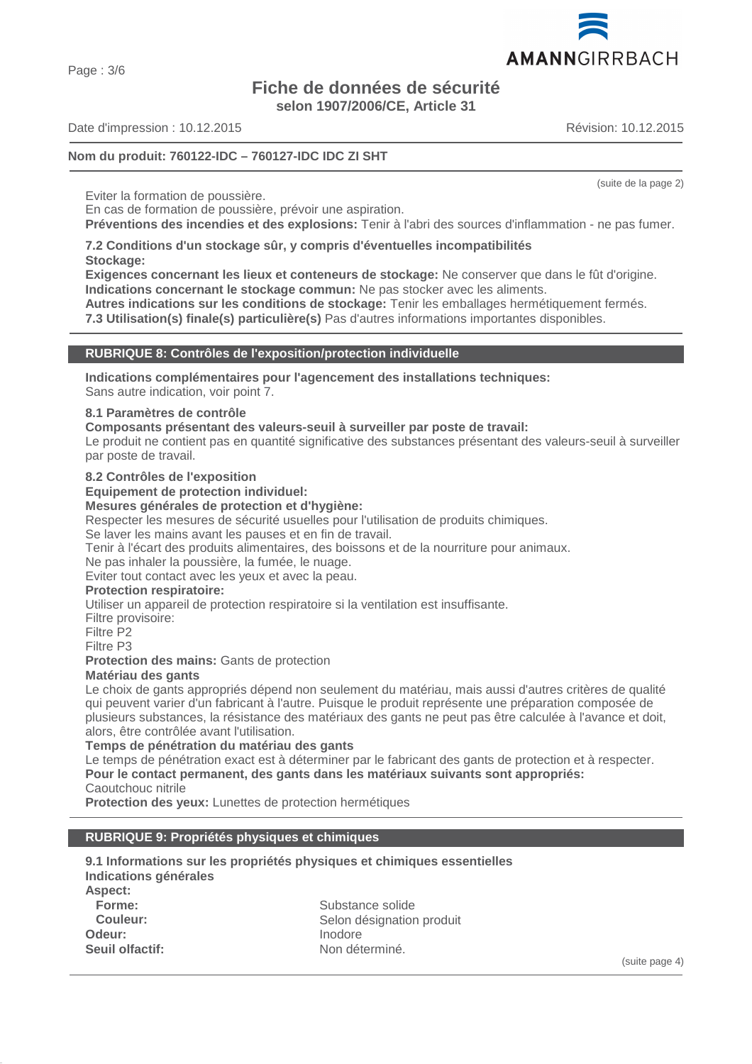Page : 3/6

# **Fiche de données de sécurité**

**selon 1907/2006/CE, Article 31**

Date d'impression : 10.12.2015 Révision: 10.12.2015

# **Nom du produit: 760122-IDC – 760127-IDC IDC ZI SHT**

Eviter la formation de poussière.

En cas de formation de poussière, prévoir une aspiration.

**Préventions des incendies et des explosions:** Tenir à l'abri des sources d'inflammation - ne pas fumer.

#### **7.2 Conditions d'un stockage sûr, y compris d'éventuelles incompatibilités Stockage:**

**Exigences concernant les lieux et conteneurs de stockage:** Ne conserver que dans le fût d'origine. **Indications concernant le stockage commun:** Ne pas stocker avec les aliments.

**Autres indications sur les conditions de stockage:** Tenir les emballages hermétiquement fermés.

**7.3 Utilisation(s) finale(s) particulière(s)** Pas d'autres informations importantes disponibles.

# **RUBRIQUE 8: Contrôles de l'exposition/protection individuelle**

**Indications complémentaires pour l'agencement des installations techniques:**

Sans autre indication, voir point 7.

# **8.1 Paramètres de contrôle**

**Composants présentant des valeurs-seuil à surveiller par poste de travail:**

Le produit ne contient pas en quantité significative des substances présentant des valeurs-seuil à surveiller par poste de travail.

#### **8.2 Contrôles de l'exposition**

**Equipement de protection individuel:**

#### **Mesures générales de protection et d'hygiène:**

Respecter les mesures de sécurité usuelles pour l'utilisation de produits chimiques.

Se laver les mains avant les pauses et en fin de travail.

Tenir à l'écart des produits alimentaires, des boissons et de la nourriture pour animaux.

Ne pas inhaler la poussière, la fumée, le nuage.

Eviter tout contact avec les yeux et avec la peau.

# **Protection respiratoire:**

Utiliser un appareil de protection respiratoire si la ventilation est insuffisante.

Filtre provisoire:

Filtre P2

Filtre P3

**Protection des mains:** Gants de protection

# **Matériau des gants**

Le choix de gants appropriés dépend non seulement du matériau, mais aussi d'autres critères de qualité qui peuvent varier d'un fabricant à l'autre. Puisque le produit représente une préparation composée de plusieurs substances, la résistance des matériaux des gants ne peut pas être calculée à l'avance et doit, alors, être contrôlée avant l'utilisation.

**Temps de pénétration du matériau des gants**

Le temps de pénétration exact est à déterminer par le fabricant des gants de protection et à respecter. **Pour le contact permanent, des gants dans les matériaux suivants sont appropriés:** Caoutchouc nitrile

**Protection des yeux:** Lunettes de protection hermétiques

# **RUBRIQUE 9: Propriétés physiques et chimiques**

|                       | 9.1 Informations sur les propriétés physiques et chimiques essentielles |
|-----------------------|-------------------------------------------------------------------------|
| Indications générales |                                                                         |
| Aspect:               |                                                                         |
| Forme:                | Substance solide                                                        |
| Couleur:              | Selon désignation produit                                               |
| Odeur:                | Inodore                                                                 |
| Seuil olfactif:       | Non déterminé.                                                          |

(suite page 4)



(suite de la page 2)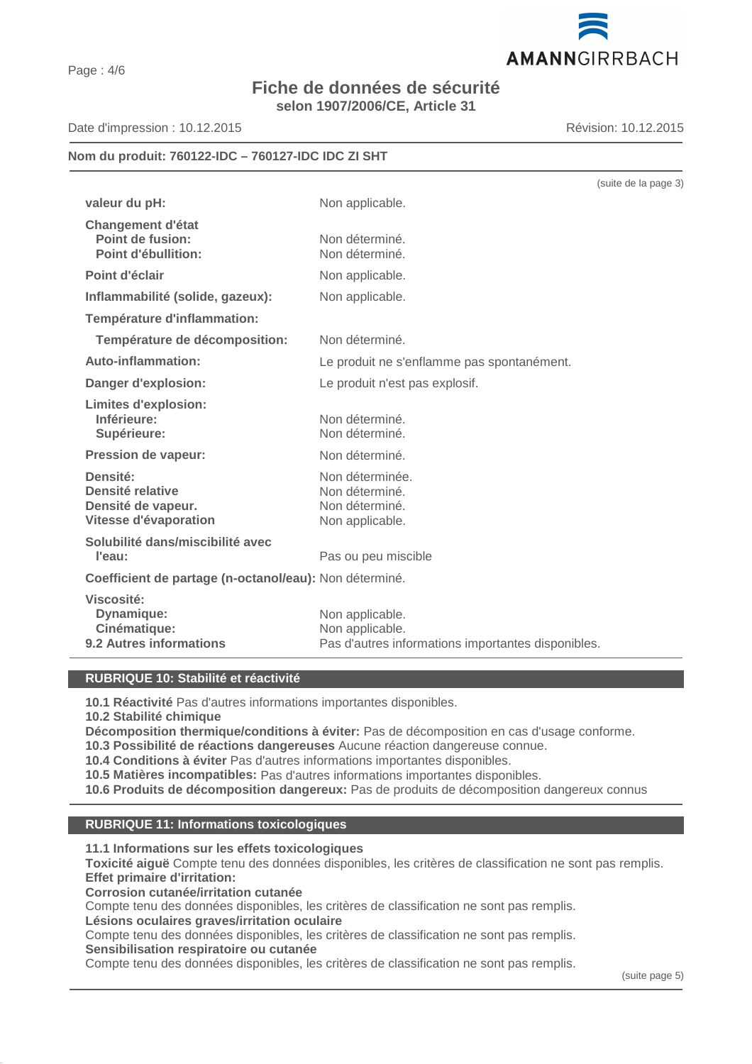

# **Fiche de données de sécurité selon 1907/2006/CE, Article 31**

Date d'impression : 10.12.2015 Révision: 10.12.2015

AMANNGIRRBACH

# **Nom du produit: 760122-IDC – 760127-IDC IDC ZI SHT**

|                                                                             | (suite de la page 3)                                                                     |
|-----------------------------------------------------------------------------|------------------------------------------------------------------------------------------|
| valeur du pH:                                                               | Non applicable.                                                                          |
| <b>Changement d'état</b><br>Point de fusion:<br><b>Point d'ébullition:</b>  | Non déterminé.<br>Non déterminé.                                                         |
| Point d'éclair                                                              | Non applicable.                                                                          |
| Inflammabilité (solide, gazeux):                                            | Non applicable.                                                                          |
| Température d'inflammation:                                                 |                                                                                          |
| Température de décomposition:                                               | Non déterminé.                                                                           |
| Auto-inflammation:                                                          | Le produit ne s'enflamme pas spontanément.                                               |
| Danger d'explosion:                                                         | Le produit n'est pas explosif.                                                           |
| <b>Limites d'explosion:</b><br>Inférieure:<br>Supérieure:                   | Non déterminé.<br>Non déterminé.                                                         |
| Pression de vapeur:                                                         | Non déterminé.                                                                           |
| Densité:<br>Densité relative<br>Densité de vapeur.<br>Vitesse d'évaporation | Non déterminée.<br>Non déterminé.<br>Non déterminé.<br>Non applicable.                   |
| Solubilité dans/miscibilité avec<br>l'eau:                                  | Pas ou peu miscible                                                                      |
| Coefficient de partage (n-octanol/eau): Non déterminé.                      |                                                                                          |
| Viscosité:<br>Dynamique:<br>Cinématique:<br>9.2 Autres informations         | Non applicable.<br>Non applicable.<br>Pas d'autres informations importantes disponibles. |

#### **RUBRIQUE 10: Stabilité et réactivité**

**10.1 Réactivité** Pas d'autres informations importantes disponibles.

**10.2 Stabilité chimique**

**Décomposition thermique/conditions à éviter:** Pas de décomposition en cas d'usage conforme.

**10.3 Possibilité de réactions dangereuses** Aucune réaction dangereuse connue.

**10.4 Conditions à éviter** Pas d'autres informations importantes disponibles.

**10.5 Matières incompatibles:** Pas d'autres informations importantes disponibles.

**10.6 Produits de décomposition dangereux:** Pas de produits de décomposition dangereux connus

#### **RUBRIQUE 11: Informations toxicologiques**

**11.1 Informations sur les effets toxicologiques**

**Toxicité aiguë** Compte tenu des données disponibles, les critères de classification ne sont pas remplis. **Effet primaire d'irritation:**

**Corrosion cutanée/irritation cutanée**

Compte tenu des données disponibles, les critères de classification ne sont pas remplis.

**Lésions oculaires graves/irritation oculaire**

Compte tenu des données disponibles, les critères de classification ne sont pas remplis.

**Sensibilisation respiratoire ou cutanée**

Compte tenu des données disponibles, les critères de classification ne sont pas remplis.

(suite page 5)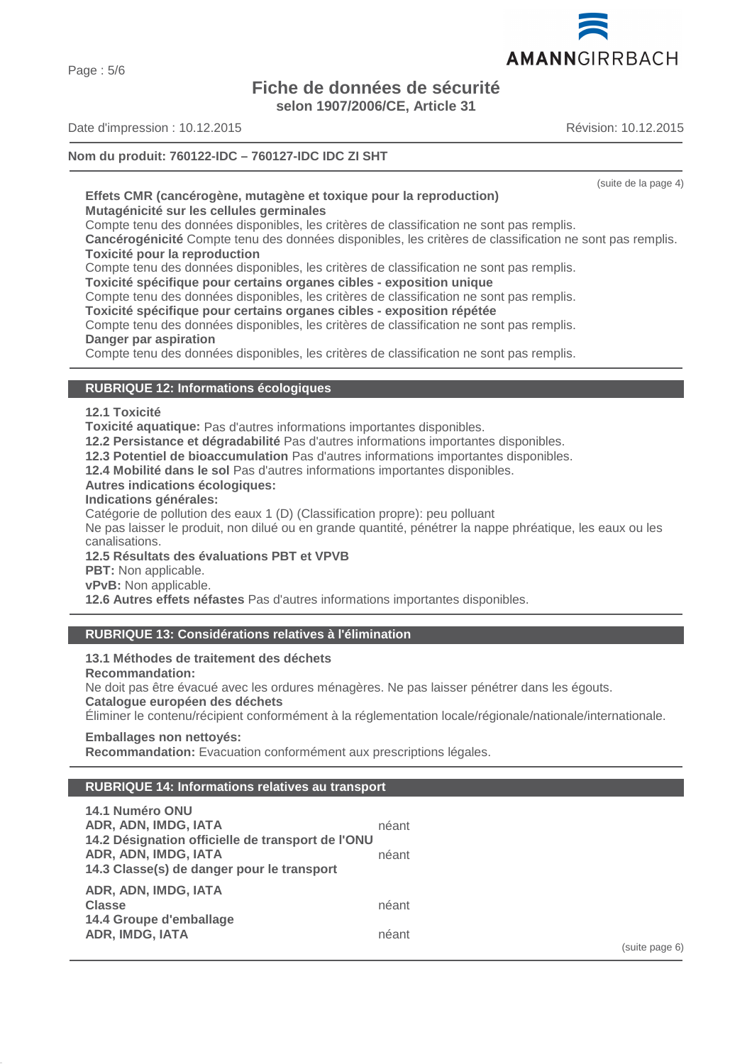Page : 5/6

# **Fiche de données de sécurité**

**selon 1907/2006/CE, Article 31**

Date d'impression : 10.12.2015 Révision: 10.12.2015

# **Nom du produit: 760122-IDC – 760127-IDC IDC ZI SHT**

**Effets CMR (cancérogène, mutagène et toxique pour la reproduction) Mutagénicité sur les cellules germinales**

Compte tenu des données disponibles, les critères de classification ne sont pas remplis.

**Cancérogénicité** Compte tenu des données disponibles, les critères de classification ne sont pas remplis. **Toxicité pour la reproduction**

Compte tenu des données disponibles, les critères de classification ne sont pas remplis.

**Toxicité spécifique pour certains organes cibles - exposition unique**

Compte tenu des données disponibles, les critères de classification ne sont pas remplis.

# **Toxicité spécifique pour certains organes cibles - exposition répétée**

Compte tenu des données disponibles, les critères de classification ne sont pas remplis. **Danger par aspiration**

Compte tenu des données disponibles, les critères de classification ne sont pas remplis.

# **RUBRIQUE 12: Informations écologiques**

# **12.1 Toxicité**

**Toxicité aquatique:** Pas d'autres informations importantes disponibles.

**12.2 Persistance et dégradabilité** Pas d'autres informations importantes disponibles.

**12.3 Potentiel de bioaccumulation** Pas d'autres informations importantes disponibles.

**12.4 Mobilité dans le sol** Pas d'autres informations importantes disponibles.

# **Autres indications écologiques:**

# **Indications générales:**

Catégorie de pollution des eaux 1 (D) (Classification propre): peu polluant

Ne pas laisser le produit, non dilué ou en grande quantité, pénétrer la nappe phréatique, les eaux ou les canalisations.

# **12.5 Résultats des évaluations PBT et VPVB**

**PBT:** Non applicable.

**vPvB:** Non applicable.

**12.6 Autres effets néfastes** Pas d'autres informations importantes disponibles.

# **RUBRIQUE 13: Considérations relatives à l'élimination**

# **13.1 Méthodes de traitement des déchets**

**Recommandation:**

Ne doit pas être évacué avec les ordures ménagères. Ne pas laisser pénétrer dans les égouts.

# **Catalogue européen des déchets**

Éliminer le contenu/récipient conformément à la réglementation locale/régionale/nationale/internationale.

# **Emballages non nettoyés:**

**Recommandation:** Evacuation conformément aux prescriptions légales.

# **RUBRIQUE 14: Informations relatives au transport**

| 14.1 Numéro ONU                                   |       |
|---------------------------------------------------|-------|
| ADR, ADN, IMDG, IATA                              | néant |
| 14.2 Désignation officielle de transport de l'ONU |       |
| ADR, ADN, IMDG, IATA                              | néant |
| 14.3 Classe(s) de danger pour le transport        |       |
| ADR, ADN, IMDG, IATA                              |       |
| <b>Classe</b>                                     | néant |
| 14.4 Groupe d'emballage                           |       |
| <b>ADR, IMDG, IATA</b>                            | néant |

(suite page 6)



(suite de la page 4)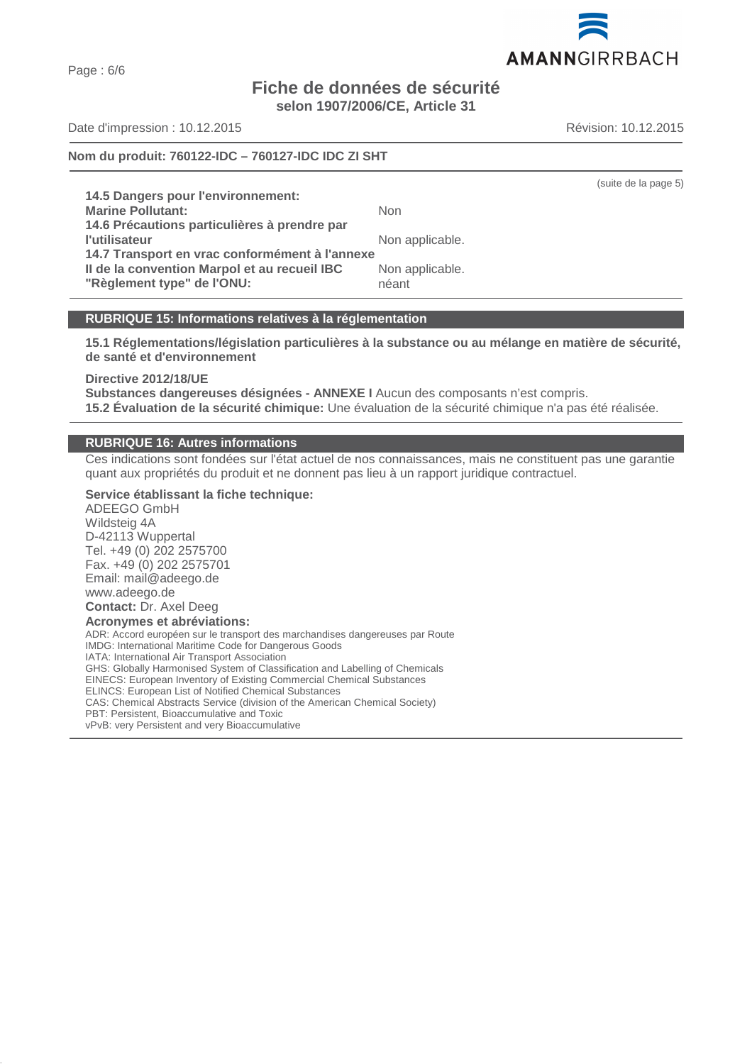Page : 6/6

# **Fiche de données de sécurité**

**selon 1907/2006/CE, Article 31**

Date d'impression : 10.12.2015 Révision: 10.12.2015

# **Nom du produit: 760122-IDC – 760127-IDC IDC ZI SHT**

**14.5 Dangers pour l'environnement: Marine Pollutant:** Non **14.6 Précautions particulières à prendre par l'utilisateur** Non applicable. **14.7 Transport en vrac conformément à l'annexe II de la convention Marpol et au recueil IBC** Non applicable. **"Règlement type" de l'ONU:** néant

#### **RUBRIQUE 15: Informations relatives à la réglementation**

**15.1 Réglementations/législation particulières à la substance ou au mélange en matière de sécurité, de santé et d'environnement**

**Directive 2012/18/UE**

**Substances dangereuses désignées - ANNEXE I** Aucun des composants n'est compris. **15.2 Évaluation de la sécurité chimique:** Une évaluation de la sécurité chimique n'a pas été réalisée.

# **RUBRIQUE 16: Autres informations**

Ces indications sont fondées sur l'état actuel de nos connaissances, mais ne constituent pas une garantie quant aux propriétés du produit et ne donnent pas lieu à un rapport juridique contractuel.

**Service établissant la fiche technique:** ADEEGO GmbH Wildsteig 4A D-42113 Wuppertal Tel. +49 (0) 202 2575700 Fax. +49 (0) 202 2575701 Email: mail@adeego.de www.adeego.de **Contact:** Dr. Axel Deeg **Acronymes et abréviations:** ADR: Accord européen sur le transport des marchandises dangereuses par Route IMDG: International Maritime Code for Dangerous Goods IATA: International Air Transport Association GHS: Globally Harmonised System of Classification and Labelling of Chemicals EINECS: European Inventory of Existing Commercial Chemical Substances ELINCS: European List of Notified Chemical Substances CAS: Chemical Abstracts Service (division of the American Chemical Society) PBT: Persistent, Bioaccumulative and Toxic vPvB: very Persistent and very Bioaccumulative



(suite de la page 5)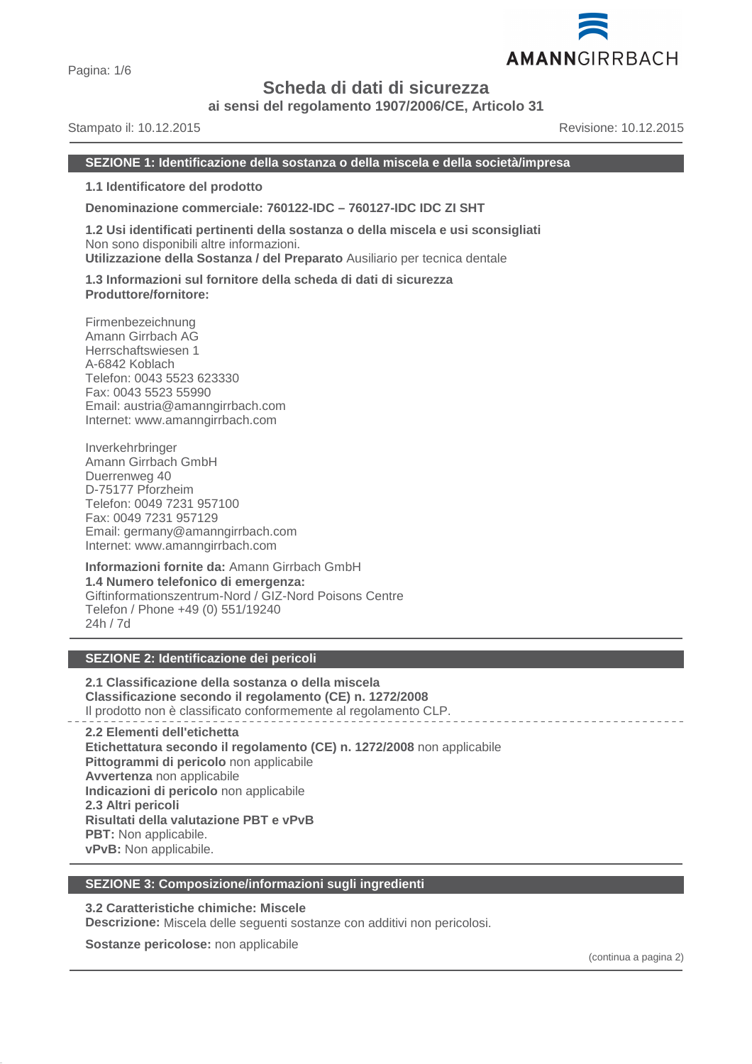

# **Scheda di dati di sicurezza**

**ai sensi del regolamento 1907/2006/CE, Articolo 31**

Stampato il: 10.12.2015 Revisione: 10.12.2015

AMANNGIRRBACH

#### **SEZIONE 1: Identificazione della sostanza o della miscela e della società/impresa**

**1.1 Identificatore del prodotto**

**Denominazione commerciale: 760122-IDC – 760127-IDC IDC ZI SHT**

**1.2 Usi identificati pertinenti della sostanza o della miscela e usi sconsigliati** Non sono disponibili altre informazioni. **Utilizzazione della Sostanza / del Preparato** Ausiliario per tecnica dentale

**1.3 Informazioni sul fornitore della scheda di dati di sicurezza**

**Produttore/fornitore:**

Firmenbezeichnung Amann Girrbach AG Herrschaftswiesen 1 A-6842 Koblach Telefon: 0043 5523 623330 Fax: 0043 5523 55990 Email: austria@amanngirrbach.com Internet: www.amanngirrbach.com

Inverkehrbringer Amann Girrbach GmbH Duerrenweg 40 D-75177 Pforzheim Telefon: 0049 7231 957100 Fax: 0049 7231 957129 Email: germany@amanngirrbach.com Internet: www.amanngirrbach.com

**Informazioni fornite da:** Amann Girrbach GmbH **1.4 Numero telefonico di emergenza:** Giftinformationszentrum-Nord / GIZ-Nord Poisons Centre Telefon / Phone +49 (0) 551/19240 24h / 7d

# **SEZIONE 2: Identificazione dei pericoli**

**2.1 Classificazione della sostanza o della miscela Classificazione secondo il regolamento (CE) n. 1272/2008** Il prodotto non è classificato conformemente al regolamento CLP.

**2.2 Elementi dell'etichetta Etichettatura secondo il regolamento (CE) n. 1272/2008** non applicabile **Pittogrammi di pericolo** non applicabile **Avvertenza** non applicabile **Indicazioni di pericolo** non applicabile **2.3 Altri pericoli Risultati della valutazione PBT e vPvB PBT:** Non applicabile. **vPvB:** Non applicabile.

#### **SEZIONE 3: Composizione/informazioni sugli ingredienti**

**3.2 Caratteristiche chimiche: Miscele**

**Descrizione:** Miscela delle seguenti sostanze con additivi non pericolosi.

**Sostanze pericolose:** non applicabile

(continua a pagina 2)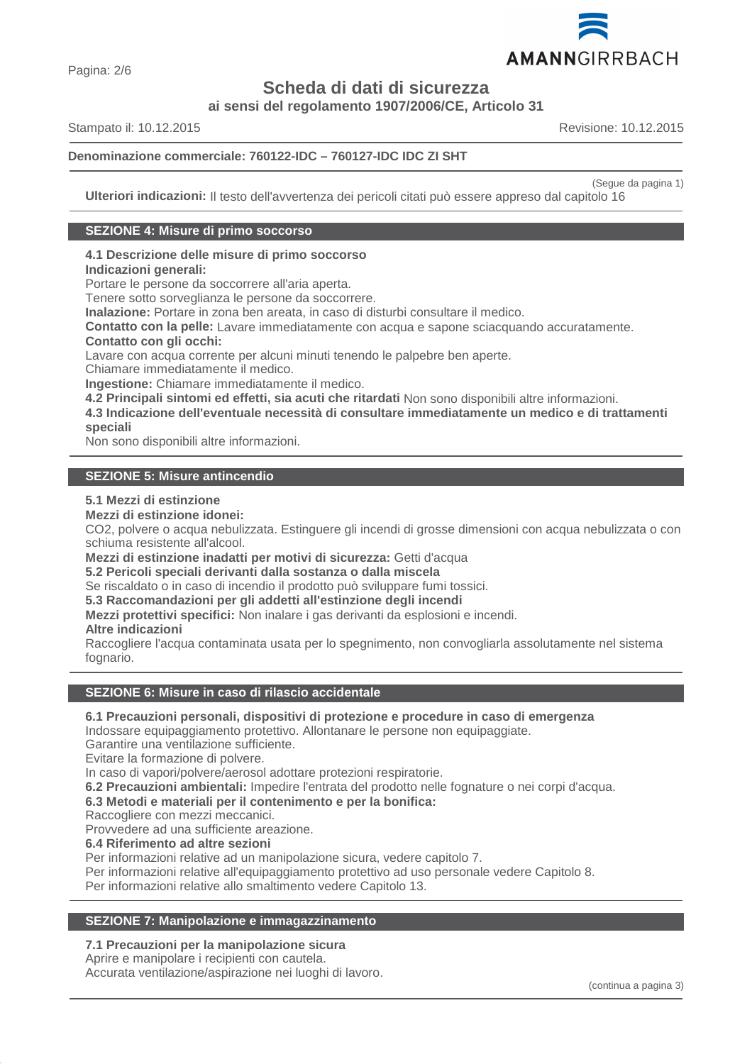

**Scheda di dati di sicurezza**

**ai sensi del regolamento 1907/2006/CE, Articolo 31**

Stampato il: 10.12.2015 Revisione: 10.12.2015

# **Denominazione commerciale: 760122-IDC – 760127-IDC IDC ZI SHT**

(Segue da pagina 1)

**Ulteriori indicazioni:** Il testo dell'avvertenza dei pericoli citati può essere appreso dal capitolo 16

#### **SEZIONE 4: Misure di primo soccorso**

# **4.1 Descrizione delle misure di primo soccorso**

## **Indicazioni generali:**

Portare le persone da soccorrere all'aria aperta.

Tenere sotto sorveglianza le persone da soccorrere.

**Inalazione:** Portare in zona ben areata, in caso di disturbi consultare il medico.

**Contatto con la pelle:** Lavare immediatamente con acqua e sapone sciacquando accuratamente.

# **Contatto con gli occhi:**

Lavare con acqua corrente per alcuni minuti tenendo le palpebre ben aperte.

Chiamare immediatamente il medico.

**Ingestione:** Chiamare immediatamente il medico.

**4.2 Principali sintomi ed effetti, sia acuti che ritardati** Non sono disponibili altre informazioni.

**4.3 Indicazione dell'eventuale necessità di consultare immediatamente un medico e di trattamenti speciali**

Non sono disponibili altre informazioni.

# **SEZIONE 5: Misure antincendio**

#### **5.1 Mezzi di estinzione**

**Mezzi di estinzione idonei:**

CO2, polvere o acqua nebulizzata. Estinguere gli incendi di grosse dimensioni con acqua nebulizzata o con schiuma resistente all'alcool.

**Mezzi di estinzione inadatti per motivi di sicurezza:** Getti d'acqua

**5.2 Pericoli speciali derivanti dalla sostanza o dalla miscela**

Se riscaldato o in caso di incendio il prodotto può sviluppare fumi tossici.

**5.3 Raccomandazioni per gli addetti all'estinzione degli incendi**

**Mezzi protettivi specifici:** Non inalare i gas derivanti da esplosioni e incendi.

# **Altre indicazioni**

Raccogliere l'acqua contaminata usata per lo spegnimento, non convogliarla assolutamente nel sistema fognario.

# **SEZIONE 6: Misure in caso di rilascio accidentale**

# **6.1 Precauzioni personali, dispositivi di protezione e procedure in caso di emergenza**

Indossare equipaggiamento protettivo. Allontanare le persone non equipaggiate.

Garantire una ventilazione sufficiente.

Evitare la formazione di polvere.

In caso di vapori/polvere/aerosol adottare protezioni respiratorie.

**6.2 Precauzioni ambientali:** Impedire l'entrata del prodotto nelle fognature o nei corpi d'acqua.

**6.3 Metodi e materiali per il contenimento e per la bonifica:**

Raccogliere con mezzi meccanici.

Provvedere ad una sufficiente areazione.

# **6.4 Riferimento ad altre sezioni**

Per informazioni relative ad un manipolazione sicura, vedere capitolo 7.

Per informazioni relative all'equipaggiamento protettivo ad uso personale vedere Capitolo 8.

Per informazioni relative allo smaltimento vedere Capitolo 13.

# **SEZIONE 7: Manipolazione e immagazzinamento**

# **7.1 Precauzioni per la manipolazione sicura**

Aprire e manipolare i recipienti con cautela. Accurata ventilazione/aspirazione nei luoghi di lavoro.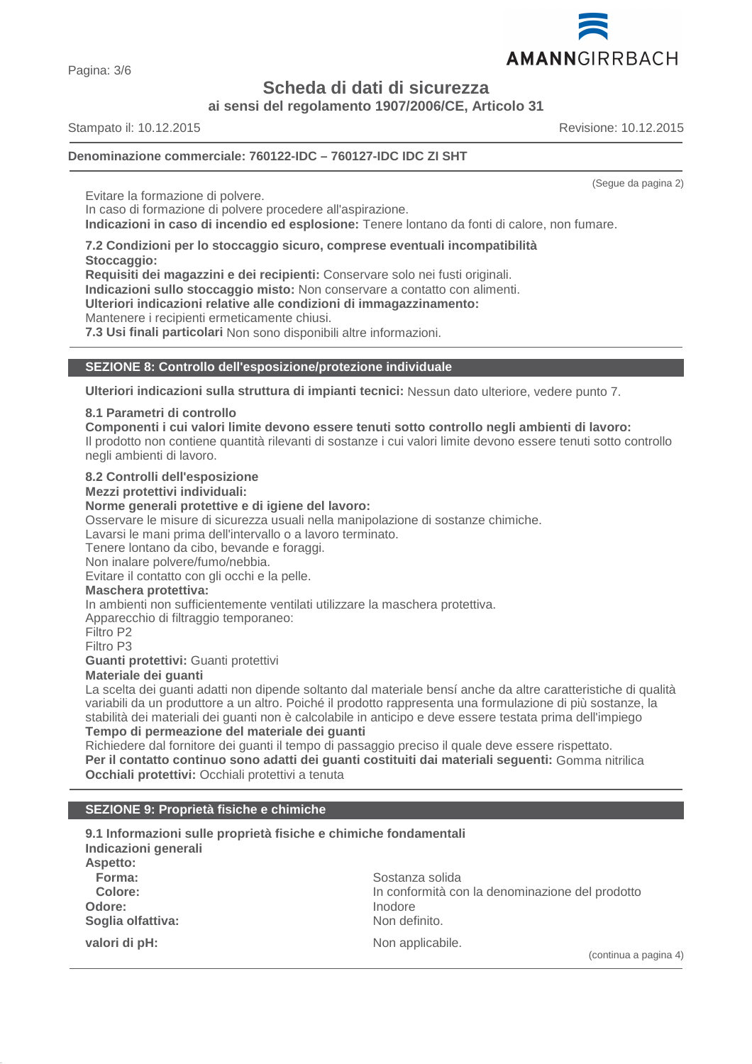

Pagina: 3/6

**Scheda di dati di sicurezza**

**ai sensi del regolamento 1907/2006/CE, Articolo 31**

Stampato il: 10.12.2015 Revisione: 10.12.2015

# **Denominazione commerciale: 760122-IDC – 760127-IDC IDC ZI SHT**

Evitare la formazione di polvere.

In caso di formazione di polvere procedere all'aspirazione.

**Indicazioni in caso di incendio ed esplosione:** Tenere lontano da fonti di calore, non fumare.

**7.2 Condizioni per lo stoccaggio sicuro, comprese eventuali incompatibilità Stoccaggio:**

**Requisiti dei magazzini e dei recipienti:** Conservare solo nei fusti originali.

**Indicazioni sullo stoccaggio misto:** Non conservare a contatto con alimenti.

**Ulteriori indicazioni relative alle condizioni di immagazzinamento:**

Mantenere i recipienti ermeticamente chiusi.

**7.3 Usi finali particolari** Non sono disponibili altre informazioni.

#### **SEZIONE 8: Controllo dell'esposizione/protezione individuale**

**Ulteriori indicazioni sulla struttura di impianti tecnici:** Nessun dato ulteriore, vedere punto 7.

#### **8.1 Parametri di controllo**

**Componenti i cui valori limite devono essere tenuti sotto controllo negli ambienti di lavoro:**

Il prodotto non contiene quantità rilevanti di sostanze i cui valori limite devono essere tenuti sotto controllo negli ambienti di lavoro.

#### **8.2 Controlli dell'esposizione**

#### **Mezzi protettivi individuali:**

#### **Norme generali protettive e di igiene del lavoro:**

Osservare le misure di sicurezza usuali nella manipolazione di sostanze chimiche.

Lavarsi le mani prima dell'intervallo o a lavoro terminato.

Tenere lontano da cibo, bevande e foraggi.

Non inalare polvere/fumo/nebbia.

Evitare il contatto con gli occhi e la pelle.

# **Maschera protettiva:**

In ambienti non sufficientemente ventilati utilizzare la maschera protettiva.

Apparecchio di filtraggio temporaneo:

Filtro P2

Filtro P3

**Guanti protettivi:** Guanti protettivi

# **Materiale dei guanti**

La scelta dei guanti adatti non dipende soltanto dal materiale bensí anche da altre caratteristiche di qualità variabili da un produttore a un altro. Poiché il prodotto rappresenta una formulazione di più sostanze, la stabilità dei materiali dei guanti non è calcolabile in anticipo e deve essere testata prima dell'impiego **Tempo di permeazione del materiale dei guanti**

Richiedere dal fornitore dei guanti il tempo di passaggio preciso il quale deve essere rispettato. **Per il contatto continuo sono adatti dei guanti costituiti dai materiali seguenti:** Gomma nitrilica **Occhiali protettivi:** Occhiali protettivi a tenuta

# **SEZIONE 9: Proprietà fisiche e chimiche**

| Indicazioni generali | 9.1 Informazioni sulle proprietà fisiche e chimiche fondamentali |
|----------------------|------------------------------------------------------------------|
| Aspetto:             |                                                                  |
| Forma:               | Sostanza solida                                                  |
| Colore:              | In conformità con la denominazione del prodotto                  |
| Odore:               | Inodore                                                          |
| Soglia olfattiva:    | Non definito.                                                    |
| valori di pH:        | Non applicabile.                                                 |
|                      | (continua a pagina 4)                                            |

(Segue da pagina 2)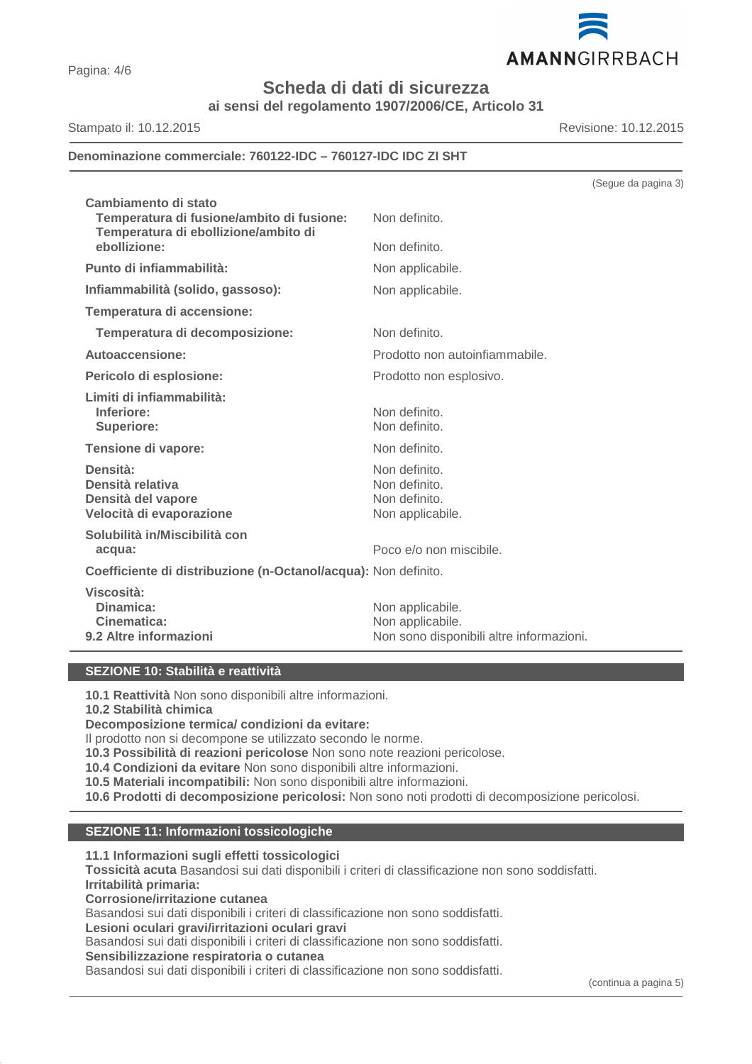

(Segue da pagina 3)

Pagina: 4/6

**Scheda di dati di sicurezza**

**ai sensi del regolamento 1907/2006/CE, Articolo 31**

Stampato il: 10.12.2015 Revisione: 10.12.2015

**Denominazione commerciale: 760122-IDC – 760127-IDC IDC ZI SHT**

| Non definito.<br>Non definito.                                                   |
|----------------------------------------------------------------------------------|
|                                                                                  |
|                                                                                  |
| Non applicabile.                                                                 |
| Non applicabile.                                                                 |
|                                                                                  |
| Non definito.                                                                    |
| Prodotto non autoinfiammabile.                                                   |
| Prodotto non esplosivo.                                                          |
| Non definito.<br>Non definito.                                                   |
| Non definito.                                                                    |
| Non definito.<br>Non definito.<br>Non definito.<br>Non applicabile.              |
| Poco e/o non miscibile.                                                          |
| Coefficiente di distribuzione (n-Octanol/acqua): Non definito.                   |
| Non applicabile.<br>Non applicabile.<br>Non sono disponibili altre informazioni. |
|                                                                                  |

# **SEZIONE 10: Stabilità e reattività**

**10.1 Reattività** Non sono disponibili altre informazioni.

**10.2 Stabilità chimica**

**Decomposizione termica/ condizioni da evitare:**

Il prodotto non si decompone se utilizzato secondo le norme.

**10.3 Possibilità di reazioni pericolose** Non sono note reazioni pericolose.

**10.4 Condizioni da evitare** Non sono disponibili altre informazioni.

**10.5 Materiali incompatibili:** Non sono disponibili altre informazioni.

**10.6 Prodotti di decomposizione pericolosi:** Non sono noti prodotti di decomposizione pericolosi.

# **SEZIONE 11: Informazioni tossicologiche**

**11.1 Informazioni sugli effetti tossicologici**

**Tossicità acuta** Basandosi sui dati disponibili i criteri di classificazione non sono soddisfatti. **Irritabilità primaria: Corrosione/irritazione cutanea**

Basandosi sui dati disponibili i criteri di classificazione non sono soddisfatti.

**Lesioni oculari gravi/irritazioni oculari gravi**

Basandosi sui dati disponibili i criteri di classificazione non sono soddisfatti.

**Sensibilizzazione respiratoria o cutanea**

Basandosi sui dati disponibili i criteri di classificazione non sono soddisfatti.

(continua a pagina 5)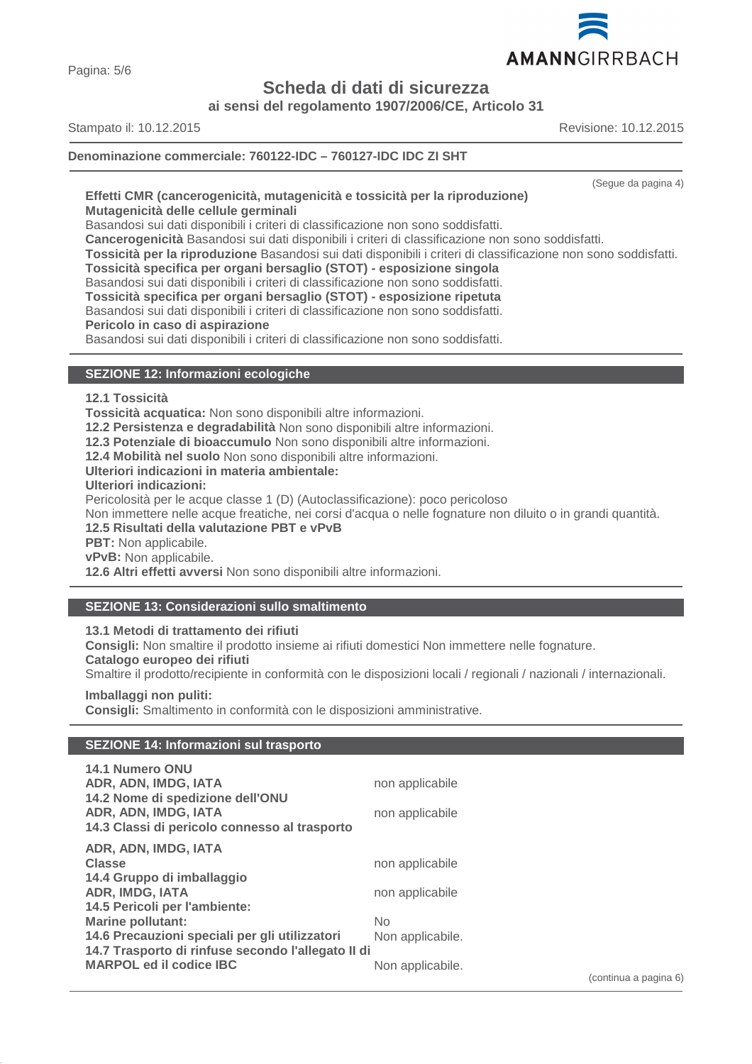

Pagina: 5/6

# **Scheda di dati di sicurezza**

**ai sensi del regolamento 1907/2006/CE, Articolo 31**

Stampato il: 10.12.2015 Revisione: 10.12.2015

# **Denominazione commerciale: 760122-IDC – 760127-IDC IDC ZI SHT**

(Segue da pagina 4)

#### **Effetti CMR (cancerogenicità, mutagenicità e tossicità per la riproduzione) Mutagenicità delle cellule germinali**

Basandosi sui dati disponibili i criteri di classificazione non sono soddisfatti.

**Cancerogenicità** Basandosi sui dati disponibili i criteri di classificazione non sono soddisfatti.

**Tossicità per la riproduzione** Basandosi sui dati disponibili i criteri di classificazione non sono soddisfatti.

**Tossicità specifica per organi bersaglio (STOT) - esposizione singola**

Basandosi sui dati disponibili i criteri di classificazione non sono soddisfatti.

**Tossicità specifica per organi bersaglio (STOT) - esposizione ripetuta**

Basandosi sui dati disponibili i criteri di classificazione non sono soddisfatti.

**Pericolo in caso di aspirazione**

Basandosi sui dati disponibili i criteri di classificazione non sono soddisfatti.

# **SEZIONE 12: Informazioni ecologiche**

**12.1 Tossicità**

**Tossicità acquatica:** Non sono disponibili altre informazioni.

**12.2 Persistenza e degradabilità** Non sono disponibili altre informazioni.

**12.3 Potenziale di bioaccumulo** Non sono disponibili altre informazioni.

**12.4 Mobilità nel suolo** Non sono disponibili altre informazioni.

**Ulteriori indicazioni in materia ambientale:**

**Ulteriori indicazioni:**

Pericolosità per le acque classe 1 (D) (Autoclassificazione): poco pericoloso

Non immettere nelle acque freatiche, nei corsi d'acqua o nelle fognature non diluito o in grandi quantità.

**12.5 Risultati della valutazione PBT e vPvB**

**PBT:** Non applicabile.

**vPvB:** Non applicabile.

**12.6 Altri effetti avversi** Non sono disponibili altre informazioni.

# **SEZIONE 13: Considerazioni sullo smaltimento**

**13.1 Metodi di trattamento dei rifiuti**

**Consigli:** Non smaltire il prodotto insieme ai rifiuti domestici Non immettere nelle fognature. **Catalogo europeo dei rifiuti**

Smaltire il prodotto/recipiente in conformità con le disposizioni locali / regionali / nazionali / internazionali.

**Imballaggi non puliti:**

**Consigli:** Smaltimento in conformità con le disposizioni amministrative.

# **SEZIONE 14: Informazioni sul trasporto**

| <b>14.1 Numero ONU</b>                             |                  |
|----------------------------------------------------|------------------|
| ADR, ADN, IMDG, IATA                               | non applicabile  |
| 14.2 Nome di spedizione dell'ONU                   |                  |
| ADR, ADN, IMDG, IATA                               | non applicabile  |
| 14.3 Classi di pericolo connesso al trasporto      |                  |
| ADR, ADN, IMDG, IATA                               |                  |
| <b>Classe</b>                                      | non applicabile  |
| 14.4 Gruppo di imballaggio                         |                  |
| <b>ADR, IMDG, IATA</b>                             | non applicabile  |
| 14.5 Pericoli per l'ambiente:                      |                  |
| <b>Marine pollutant:</b>                           | <b>No</b>        |
| 14.6 Precauzioni speciali per gli utilizzatori     | Non applicabile. |
| 14.7 Trasporto di rinfuse secondo l'allegato II di |                  |
| <b>MARPOL ed il codice IBC</b>                     | Non applicabile. |
|                                                    |                  |

(continua a pagina 6)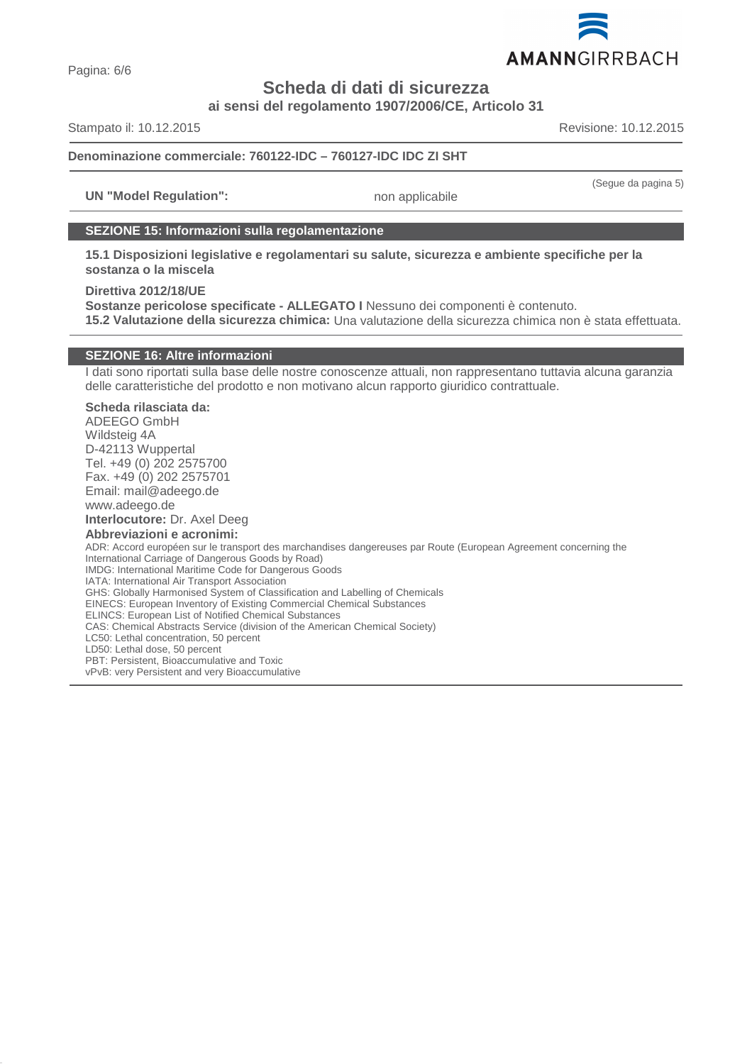

Pagina: 6/6

# **Scheda di dati di sicurezza**

**ai sensi del regolamento 1907/2006/CE, Articolo 31**

Stampato il: 10.12.2015 Revisione: 10.12.2015

# **Denominazione commerciale: 760122-IDC – 760127-IDC IDC ZI SHT**

**UN "Model Regulation":** non applicabile

(Segue da pagina 5)

# **SEZIONE 15: Informazioni sulla regolamentazione**

**15.1 Disposizioni legislative e regolamentari su salute, sicurezza e ambiente specifiche per la sostanza o la miscela**

**Direttiva 2012/18/UE**

**Sostanze pericolose specificate - ALLEGATO I** Nessuno dei componenti è contenuto. **15.2 Valutazione della sicurezza chimica:** Una valutazione della sicurezza chimica non è stata effettuata.

# **SEZIONE 16: Altre informazioni**

I dati sono riportati sulla base delle nostre conoscenze attuali, non rappresentano tuttavia alcuna garanzia delle caratteristiche del prodotto e non motivano alcun rapporto giuridico contrattuale.

# **Scheda rilasciata da:**

ADEEGO GmbH Wildsteig 4A D-42113 Wuppertal Tel. +49 (0) 202 2575700 Fax. +49 (0) 202 2575701 Email: mail@adeego.de www.adeego.de

# **Interlocutore:** Dr. Axel Deeg

**Abbreviazioni e acronimi:** ADR: Accord européen sur le transport des marchandises dangereuses par Route (European Agreement concerning the International Carriage of Dangerous Goods by Road) IMDG: International Maritime Code for Dangerous Goods IATA: International Air Transport Association GHS: Globally Harmonised System of Classification and Labelling of Chemicals EINECS: European Inventory of Existing Commercial Chemical Substances ELINCS: European List of Notified Chemical Substances CAS: Chemical Abstracts Service (division of the American Chemical Society) LC50: Lethal concentration, 50 percent LD50: Lethal dose, 50 percent PBT: Persistent, Bioaccumulative and Toxic vPvB: very Persistent and very Bioaccumulative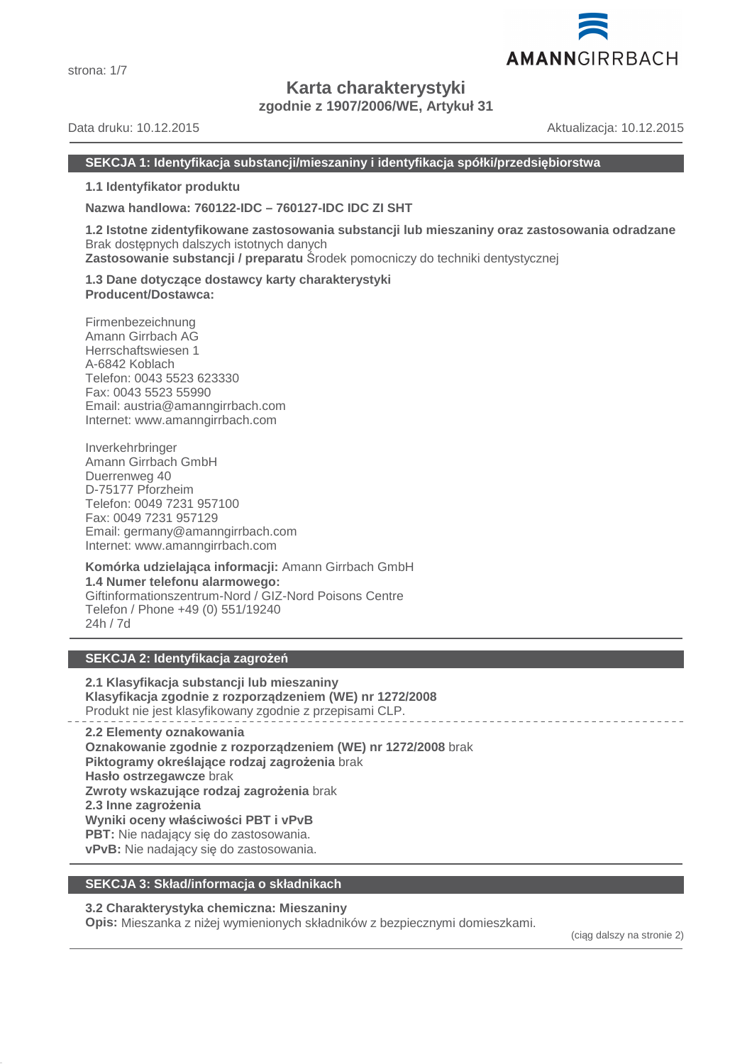

# **Karta charakterystyki**

**zgodnie z 1907/2006/WE, Artykuł 31**

Data druku: 10.12.2015 Aktualizacja: 10.12.2015

AMANNGIRRBACH

# **SEKCJA 1: Identyfikacja substancji/mieszaniny i identyfikacja spółki/przedsiębiorstwa**

**1.1 Identyfikator produktu**

**Nazwa handlowa: 760122-IDC – 760127-IDC IDC ZI SHT**

**1.2 Istotne zidentyfikowane zastosowania substancji lub mieszaniny oraz zastosowania odradzane** Brak dostępnych dalszych istotnych danych **Zastosowanie substancji / preparatu** Środek pomocniczy do techniki dentystycznej

**1.3 Dane dotyczące dostawcy karty charakterystyki Producent/Dostawca:**

Firmenbezeichnung Amann Girrbach AG Herrschaftswiesen 1 A-6842 Koblach Telefon: 0043 5523 623330 Fax: 0043 5523 55990 Email: austria@amanngirrbach.com Internet: www.amanngirrbach.com

Inverkehrbringer Amann Girrbach GmbH Duerrenweg 40 D-75177 Pforzheim Telefon: 0049 7231 957100 Fax: 0049 7231 957129 Email: germany@amanngirrbach.com Internet: www.amanngirrbach.com

**Komórka udzielająca informacji:** Amann Girrbach GmbH **1.4 Numer telefonu alarmowego:** Giftinformationszentrum-Nord / GIZ-Nord Poisons Centre Telefon / Phone +49 (0) 551/19240 24h / 7d

# **SEKCJA 2: Identyfikacja zagrożeń**

**2.1 Klasyfikacja substancji lub mieszaniny Klasyfikacja zgodnie z rozporządzeniem (WE) nr 1272/2008** Produkt nie jest klasyfikowany zgodnie z przepisami CLP.

**2.2 Elementy oznakowania Oznakowanie zgodnie z rozporządzeniem (WE) nr 1272/2008** brak **Piktogramy określające rodzaj zagrożenia** brak **Hasło ostrzegawcze** brak **Zwroty wskazujące rodzaj zagrożenia** brak **2.3 Inne zagrożenia Wyniki oceny właściwości PBT i vPvB PBT:** Nie nadający się do zastosowania. **vPvB:** Nie nadający się do zastosowania.

# **SEKCJA 3: Skład/informacja o składnikach**

# **3.2 Charakterystyka chemiczna: Mieszaniny**

**Opis:** Mieszanka z niżej wymienionych składników z bezpiecznymi domieszkami.

(ciąg dalszy na stronie 2)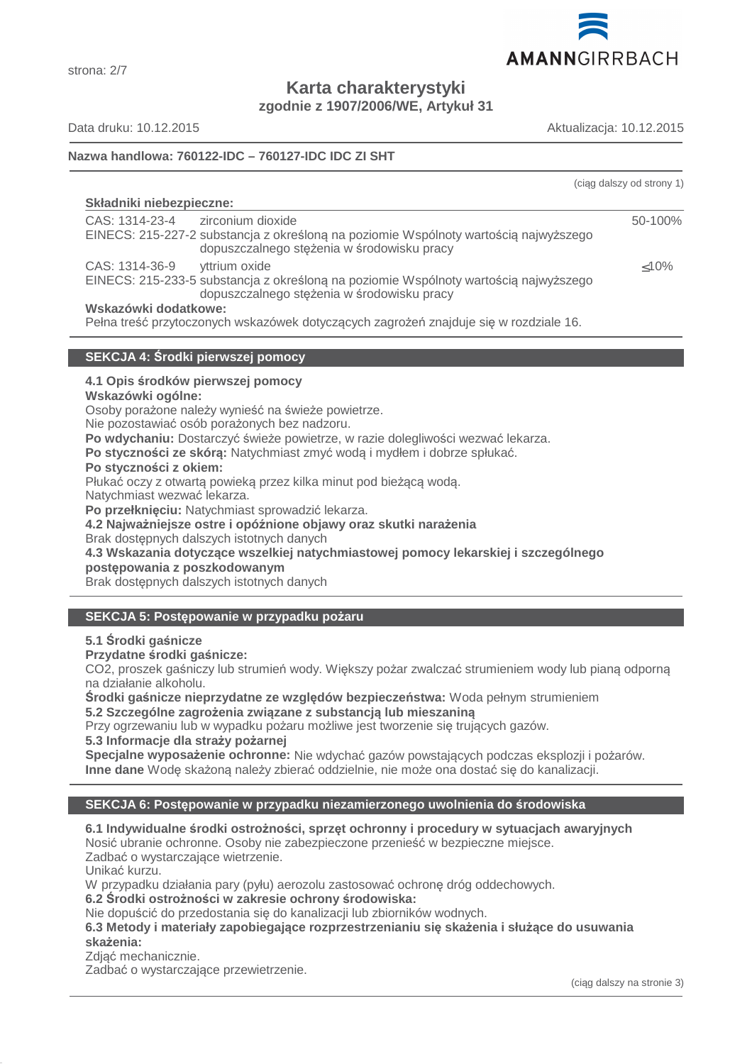

**Karta charakterystyki zgodnie z 1907/2006/WE, Artykuł 31**

strona: 2/7

Data druku: 10.12.2015 Aktualizacja: 10.12.2015

# **Nazwa handlowa: 760122-IDC – 760127-IDC IDC ZI SHT**

|                                                                                                                                                                           | (ciag dalszy od strony 1) |
|---------------------------------------------------------------------------------------------------------------------------------------------------------------------------|---------------------------|
| Składniki niebezpieczne:                                                                                                                                                  |                           |
| CAS: 1314-23-4<br>zirconium dioxide<br>EINECS: 215-227-2 substancja z określoną na poziomie Wspólnoty wartością najwyższego<br>dopuszczalnego stężenia w środowisku pracy | 50-100%                   |
| CAS: 1314-36-9<br>yttrium oxide<br>EINECS: 215-233-5 substancja z określoną na poziomie Wspólnoty wartością najwyższego<br>dopuszczalnego stężenia w środowisku pracy     | $<$ 10%                   |
| Wskazówki dodatkowe:<br>Pełna treść przytoczonych wskazówek dotyczących zagrożeń znajduje się w rozdziale 16.                                                             |                           |

# **SEKCJA 4: Środki pierwszej pomocy**

# **4.1 Opis środków pierwszej pomocy**

# **Wskazówki ogólne:**

Osoby porażone należy wynieść na świeże powietrze.

Nie pozostawiać osób porażonych bez nadzoru.

**Po wdychaniu:** Dostarczyć świeże powietrze, w razie dolegliwości wezwać lekarza.

**Po styczności ze skórą:** Natychmiast zmyć wodą i mydłem i dobrze spłukać.

#### **Po styczności z okiem:**

Płukać oczy z otwartą powieką przez kilka minut pod bieżącą wodą.

Natychmiast wezwać lekarza.

**Po przełknięciu:** Natychmiast sprowadzić lekarza.

**4.2 Najważniejsze ostre i opóźnione objawy oraz skutki narażenia**

Brak dostępnych dalszych istotnych danych

**4.3 Wskazania dotyczące wszelkiej natychmiastowej pomocy lekarskiej i szczególnego**

#### **postępowania z poszkodowanym**

Brak dostępnych dalszych istotnych danych

# **SEKCJA 5: Postępowanie w przypadku pożaru**

# **5.1 Środki gaśnicze**

**Przydatne środki gaśnicze:**

CO2, proszek gaśniczy lub strumień wody. Większy pożar zwalczać strumieniem wody lub pianą odporną na działanie alkoholu.

**Środki gaśnicze nieprzydatne ze względów bezpieczeństwa:** Woda pełnym strumieniem **5.2 Szczególne zagrożenia związane z substancją lub mieszaniną**

Przy ogrzewaniu lub w wypadku pożaru możliwe jest tworzenie się trujących gazów.

**5.3 Informacje dla straży pożarnej**

**Specjalne wyposażenie ochronne:** Nie wdychać gazów powstających podczas eksplozji i pożarów. **Inne dane** Wodę skażoną należy zbierać oddzielnie, nie może ona dostać się do kanalizacji.

# **SEKCJA 6: Postępowanie w przypadku niezamierzonego uwolnienia do środowiska**

# **6.1 Indywidualne środki ostrożności, sprzęt ochronny i procedury w sytuacjach awaryjnych**

Nosić ubranie ochronne. Osoby nie zabezpieczone przenieść w bezpieczne miejsce. Zadbać o wystarczające wietrzenie.

Unikać kurzu.

W przypadku działania pary (pyłu) aerozolu zastosować ochronę dróg oddechowych.

**6.2 Środki ostrożności w zakresie ochrony środowiska:**

Nie dopuścić do przedostania się do kanalizacji lub zbiorników wodnych.

**6.3 Metody i materiały zapobiegające rozprzestrzenianiu się skażenia i służące do usuwania skażenia:**

Zdjąć mechanicznie.

Zadbać o wystarczające przewietrzenie.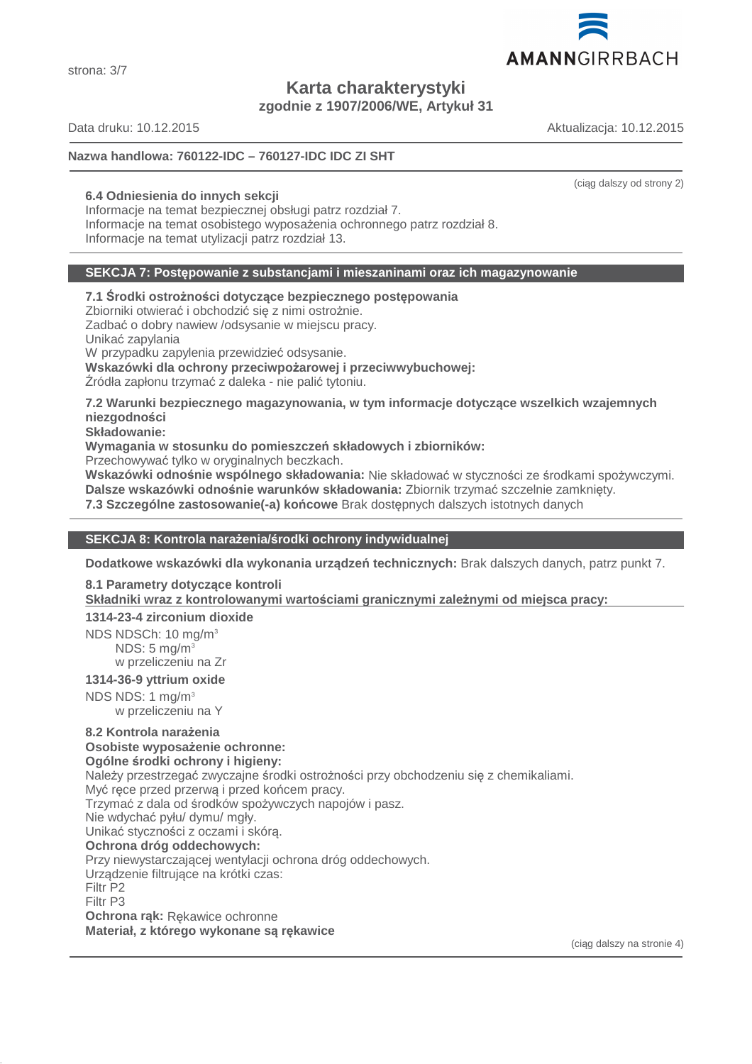

**Karta charakterystyki**

**zgodnie z 1907/2006/WE, Artykuł 31**

Data druku: 10.12.2015 Aktualizacja: 10.12.2015

# **Nazwa handlowa: 760122-IDC – 760127-IDC IDC ZI SHT**

# **6.4 Odniesienia do innych sekcji**

Informacje na temat bezpiecznej obsługi patrz rozdział 7. Informacje na temat osobistego wyposażenia ochronnego patrz rozdział 8. Informacje na temat utylizacji patrz rozdział 13.

# **SEKCJA 7: Postępowanie z substancjami i mieszaninami oraz ich magazynowanie**

**7.1 Środki ostrożności dotyczące bezpiecznego postępowania** Zbiorniki otwierać i obchodzić się z nimi ostrożnie. Zadbać o dobry nawiew /odsysanie w miejscu pracy. Unikać zapylania W przypadku zapylenia przewidzieć odsysanie. **Wskazówki dla ochrony przeciwpożarowej i przeciwwybuchowej:** Źródła zapłonu trzymać z daleka - nie palić tytoniu.

**7.2 Warunki bezpiecznego magazynowania, w tym informacje dotyczące wszelkich wzajemnych niezgodności**

**Składowanie:**

**Wymagania w stosunku do pomieszczeń składowych i zbiorników:**

Przechowywać tylko w oryginalnych beczkach.

**Wskazówki odnośnie wspólnego składowania:** Nie składować w styczności ze środkami spożywczymi. **Dalsze wskazówki odnośnie warunków składowania:** Zbiornik trzymać szczelnie zamknięty.

**7.3 Szczególne zastosowanie(-a) końcowe** Brak dostępnych dalszych istotnych danych

# **SEKCJA 8: Kontrola narażenia/środki ochrony indywidualnej**

**Dodatkowe wskazówki dla wykonania urządzeń technicznych:** Brak dalszych danych, patrz punkt 7.

**8.1 Parametry dotyczące kontroli**

**Składniki wraz z kontrolowanymi warto ściami granicznymi zale żnymi od miejsca pracy:** 

**1314-23-4 zirconium dioxide** NDS NDSCh: 10 mg/m<sup>3</sup>  $NDS: 5$  mg/m<sup>3</sup> w przeliczeniu na Zr

# **1314-36-9 yttrium oxide**

NDS NDS: 1 mg/m<sup>3</sup> w przeliczeniu na Y

# **8.2 Kontrola narażenia**

**Osobiste wyposażenie ochronne: Ogólne środki ochrony i higieny:** Należy przestrzegać zwyczajne środki ostrożności przy obchodzeniu się z chemikaliami. Myć ręce przed przerwą i przed końcem pracy. Trzymać z dala od środków spożywczych napojów i pasz. Nie wdychać pyłu/ dymu/ mgły. Unikać styczności z oczami i skórą. **Ochrona dróg oddechowych:** Przy niewystarczającej wentylacji ochrona dróg oddechowych. Urządzenie filtrujące na krótki czas: Filtr P2 Filtr P3 **Ochrona rąk:** Rękawice ochronne **Materiał, z którego wykonane są rękawice**

(ciąg dalszy na stronie 4)



(ciąg dalszy od strony 2)

strona: 3/7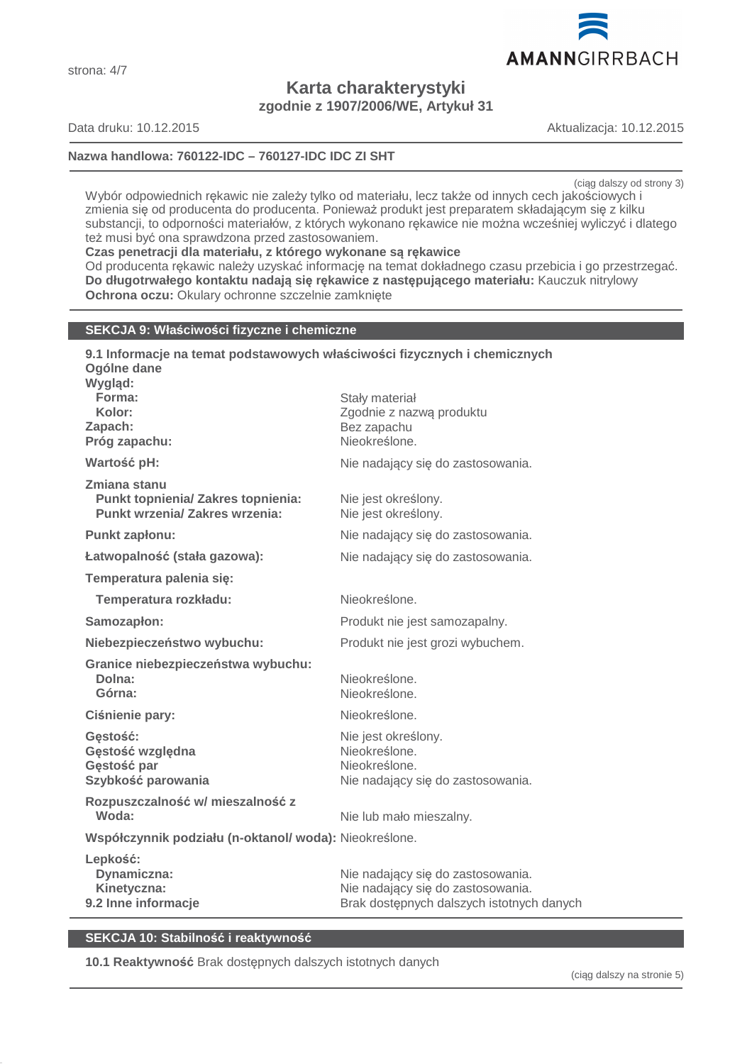

**Karta charakterystyki zgodnie z 1907/2006/WE, Artykuł 31**

strona: 4/7

Data druku: 10.12.2015 Aktualizacja: 10.12.2015

# **Nazwa handlowa: 760122-IDC – 760127-IDC IDC ZI SHT**

(ciąg dalszy od strony 3)

Wybór odpowiednich rękawic nie zależy tylko od materiału, lecz także od innych cech jakościowych i zmienia się od producenta do producenta. Ponieważ produkt jest preparatem składającym się z kilku substancji, to odporności materiałów, z których wykonano rękawice nie można wcześniej wyliczyć i dlatego też musi być ona sprawdzona przed zastosowaniem.

**Czas penetracji dla materiału, z którego wykonane są rękawice**

Od producenta rękawic należy uzyskać informację na temat dokładnego czasu przebicia i go przestrzegać. **Do długotrwałego kontaktu nadają się rękawice z następującego materiału:** Kauczuk nitrylowy **Ochrona oczu:** Okulary ochronne szczelnie zamknięte

#### **SEKCJA 9: Właściwości fizyczne i chemiczne**

| 9.1 Informacje na temat podstawowych właściwości fizycznych i chemicznych<br>Ogólne dane           |                                                                                                                     |
|----------------------------------------------------------------------------------------------------|---------------------------------------------------------------------------------------------------------------------|
| Wygląd:<br>Forma:<br>Kolor:<br>Zapach:<br>Próg zapachu:                                            | Stały materiał<br>Zgodnie z nazwą produktu<br>Bez zapachu<br>Nieokreślone                                           |
| Wartość pH:                                                                                        | Nie nadający się do zastosowania.                                                                                   |
| Zmiana stanu<br><b>Punkt topnienia/ Zakres topnienia:</b><br><b>Punkt wrzenia/ Zakres wrzenia:</b> | Nie jest określony.<br>Nie jest określony.                                                                          |
| <b>Punkt zapłonu:</b>                                                                              | Nie nadający się do zastosowania.                                                                                   |
| Łatwopalność (stała gazowa):                                                                       | Nie nadający się do zastosowania.                                                                                   |
| Temperatura palenia się:                                                                           |                                                                                                                     |
| Temperatura rozkładu:                                                                              | Nieokreślone.                                                                                                       |
| Samozapłon:                                                                                        | Produkt nie jest samozapalny.                                                                                       |
| Niebezpieczeństwo wybuchu:                                                                         | Produkt nie jest grozi wybuchem.                                                                                    |
| Granice niebezpieczeństwa wybuchu:<br>Dolna:<br>Górna:                                             | Nieokreślone.<br>Nieokreślone.                                                                                      |
| Ciśnienie pary:                                                                                    | Nieokreślone.                                                                                                       |
| Gęstość:<br>Gęstość względna<br>Gęstość par<br>Szybkość parowania                                  | Nie jest określony.<br>Nieokreślone.<br>Nieokreślone.<br>Nie nadający się do zastosowania.                          |
| Rozpuszczalność w/ mieszalność z<br>Woda:                                                          | Nie lub mało mieszalny.                                                                                             |
| Współczynnik podziału (n-oktanol/woda): Nieokreślone.                                              |                                                                                                                     |
| Lepkość:<br>Dynamiczna:<br>Kinetyczna:<br>9.2 Inne informacje                                      | Nie nadający się do zastosowania.<br>Nie nadający się do zastosowania.<br>Brak dostępnych dalszych istotnych danych |

# **SEKCJA 10: Stabilność i reaktywność**

**10.1 Reaktywność** Brak dostępnych dalszych istotnych danych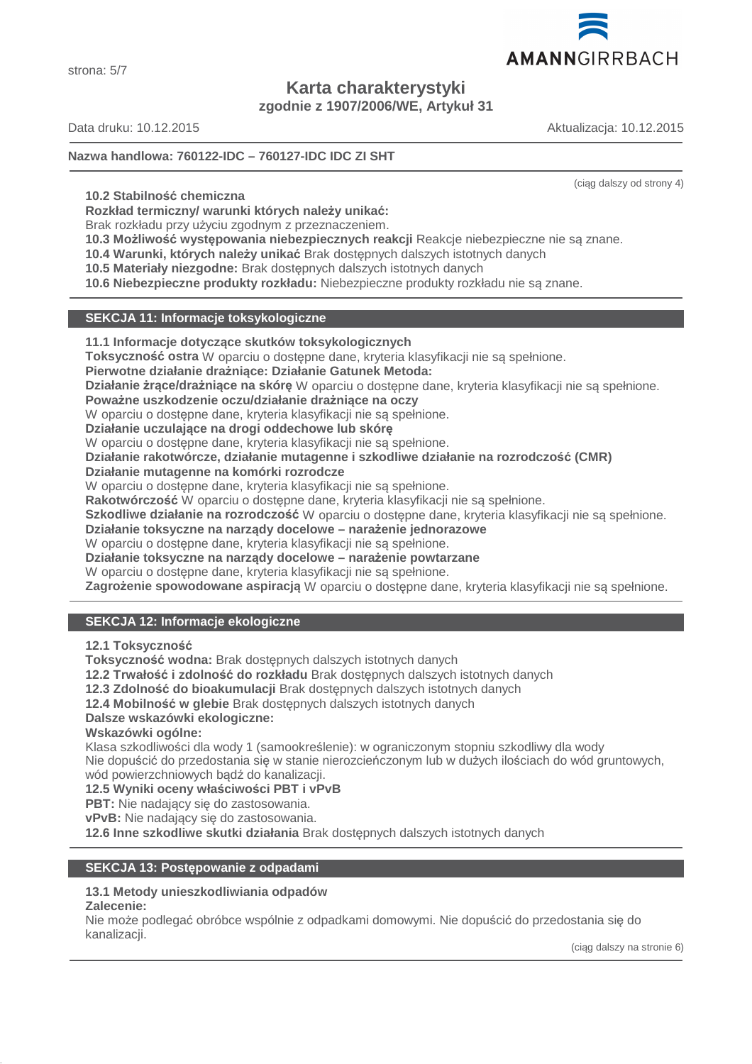

**Karta charakterystyki**

**zgodnie z 1907/2006/WE, Artykuł 31**

Data druku: 10.12.2015 Aktualizacja: 10.12.2015

**Nazwa handlowa: 760122-IDC – 760127-IDC IDC ZI SHT**

(ciąg dalszy od strony 4)

**10.2 Stabilność chemiczna**

**Rozkład termiczny/ warunki których należy unikać:**

Brak rozkładu przy użyciu zgodnym z przeznaczeniem.

**10.3 Możliwość występowania niebezpiecznych reakcji** Reakcje niebezpieczne nie są znane.

**10.4 Warunki, których należy unikać** Brak dostępnych dalszych istotnych danych

**10.5 Materiały niezgodne:** Brak dostępnych dalszych istotnych danych

**10.6 Niebezpieczne produkty rozkładu:** Niebezpieczne produkty rozkładu nie są znane.

# **SEKCJA 11: Informacje toksykologiczne**

**11.1 Informacje dotyczące skutków toksykologicznych**

**Toksyczność ostra** W oparciu o dostępne dane, kryteria klasyfikacji nie są spełnione.

**Pierwotne działanie drażniące: Działanie Gatunek Metoda:**

**Działanie żrące/drażniące na skórę** W oparciu o dostępne dane, kryteria klasyfikacji nie są spełnione.

**Poważne uszkodzenie oczu/działanie drażniące na oczy**

W oparciu o dostępne dane, kryteria klasyfikacji nie są spełnione.

**Działanie uczulające na drogi oddechowe lub skórę**

W oparciu o dostępne dane, kryteria klasyfikacji nie są spełnione.

**Działanie rakotwórcze, działanie mutagenne i szkodliwe działanie na rozrodczość (CMR)**

**Działanie mutagenne na komórki rozrodcze**

W oparciu o dostępne dane, kryteria klasyfikacji nie są spełnione.

**Rakotwórczość** W oparciu o dostępne dane, kryteria klasyfikacji nie są spełnione.

**Szkodliwe działanie na rozrodczość** W oparciu o dostępne dane, kryteria klasyfikacji nie są spełnione.

**Działanie toksyczne na narządy docelowe – narażenie jednorazowe**

W oparciu o dostępne dane, kryteria klasyfikacji nie są spełnione.

**Działanie toksyczne na narządy docelowe – narażenie powtarzane**

W oparciu o dostępne dane, kryteria klasyfikacji nie są spełnione.

**Zagrożenie spowodowane aspiracją** W oparciu o dostępne dane, kryteria klasyfikacji nie są spełnione.

# **SEKCJA 12: Informacje ekologiczne**

# **12.1 Toksyczność**

**Toksyczność wodna:** Brak dostępnych dalszych istotnych danych

**12.2 Trwałość i zdolność do rozkładu** Brak dostępnych dalszych istotnych danych

**12.3 Zdolność do bioakumulacji** Brak dostępnych dalszych istotnych danych

**12.4 Mobilność w glebie** Brak dostępnych dalszych istotnych danych

# **Dalsze wskazówki ekologiczne:**

# **Wskazówki ogólne:**

Klasa szkodliwości dla wody 1 (samookreślenie): w ograniczonym stopniu szkodliwy dla wody Nie dopuścić do przedostania się w stanie nierozcieńczonym lub w dużych ilościach do wód gruntowych, wód powierzchniowych bądź do kanalizacji.

**12.5 Wyniki oceny właściwości PBT i vPvB**

**PBT:** Nie nadający się do zastosowania.

**vPvB:** Nie nadający się do zastosowania.

**12.6 Inne szkodliwe skutki działania** Brak dostępnych dalszych istotnych danych

# **SEKCJA 13: Postępowanie z odpadami**

# **13.1 Metody unieszkodliwiania odpadów**

# **Zalecenie:**

Nie może podlegać obróbce wspólnie z odpadkami domowymi. Nie dopuścić do przedostania się do kanalizacji.

(ciąg dalszy na stronie 6)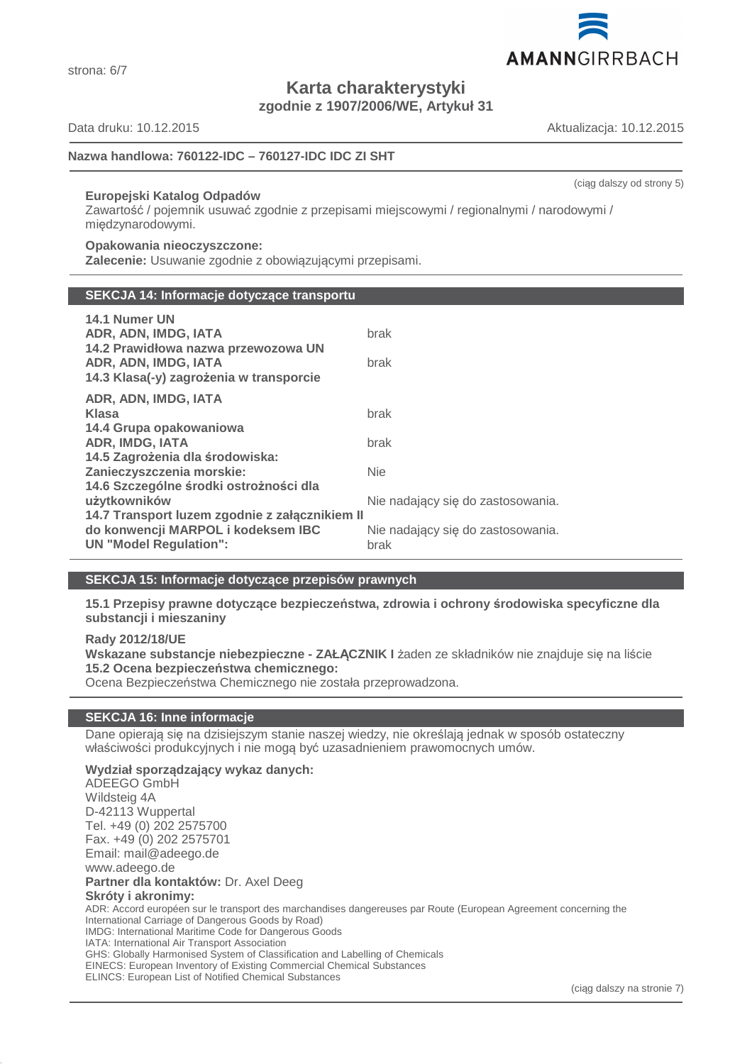(ciąg dalszy na stronie 7)

# **Karta charakterystyki**

**zgodnie z 1907/2006/WE, Artykuł 31**

Data druku: 10.12.2015 Aktualizacja: 10.12.2015

# **Nazwa handlowa: 760122-IDC – 760127-IDC IDC ZI SHT**

# **Europejski Katalog Odpadów**

Zawartość / pojemnik usuwać zgodnie z przepisami miejscowymi / regionalnymi / narodowymi / międzynarodowymi.

#### **Opakowania nieoczyszczone:**

**Zalecenie:** Usuwanie zgodnie z obowiązującymi przepisami.

# **SEKCJA 14: Informacje dotyczące transportu**

| 14.1 Numer UN<br>ADR, ADN, IMDG, IATA<br>14.2 Prawidłowa nazwa przewozowa UN | brak                              |
|------------------------------------------------------------------------------|-----------------------------------|
| ADR, ADN, IMDG, IATA<br>14.3 Klasa(-y) zagrożenia w transporcie              | brak                              |
| ADR, ADN, IMDG, IATA                                                         |                                   |
| Klasa                                                                        | brak                              |
| 14.4 Grupa opakowaniowa                                                      |                                   |
| <b>ADR, IMDG, IATA</b>                                                       | brak                              |
| 14.5 Zagrożenia dla środowiska:                                              |                                   |
| Zanieczyszczenia morskie:                                                    | <b>Nie</b>                        |
| 14.6 Szczególne środki ostrożności dla                                       |                                   |
| użytkowników                                                                 | Nie nadający się do zastosowania. |
| 14.7 Transport luzem zgodnie z załącznikiem II                               |                                   |
| do konwencji MARPOL i kodeksem IBC                                           | Nie nadający się do zastosowania. |
| <b>UN "Model Regulation":</b>                                                | brak                              |

# **SEKCJA 15: Informacje dotyczące przepisów prawnych**

**15.1 Przepisy prawne dotyczące bezpieczeństwa, zdrowia i ochrony środowiska specyficzne dla substancji i mieszaniny**

**Rady 2012/18/UE**

**Wskazane substancje niebezpieczne - ZAŁĄCZNIK I** żaden ze składników nie znajduje się na liście **15.2 Ocena bezpieczeństwa chemicznego:**

Ocena Bezpieczeństwa Chemicznego nie została przeprowadzona.

# **SEKCJA 16: Inne informacje**

Dane opierają się na dzisiejszym stanie naszej wiedzy, nie określają jednak w sposób ostateczny właściwości produkcyjnych i nie mogą być uzasadnieniem prawomocnych umów.

# **Wydział sporządzający wykaz danych:**

ADEEGO GmbH Wildsteig 4A D-42113 Wuppertal Tel. +49 (0) 202 2575700 Fax. +49 (0) 202 2575701 Email: mail@adeego.de www.adeego.de **Partner dla kontaktów:** Dr. Axel Deeg **Skróty i akronimy:** ADR: Accord européen sur le transport des marchandises dangereuses par Route (European Agreement concerning the International Carriage of Dangerous Goods by Road) IMDG: International Maritime Code for Dangerous Goods IATA: International Air Transport Association GHS: Globally Harmonised System of Classification and Labelling of Chemicals

EINECS: European Inventory of Existing Commercial Chemical Substances

ELINCS: European List of Notified Chemical Substances



(ciąg dalszy od strony 5)

strona: 6/7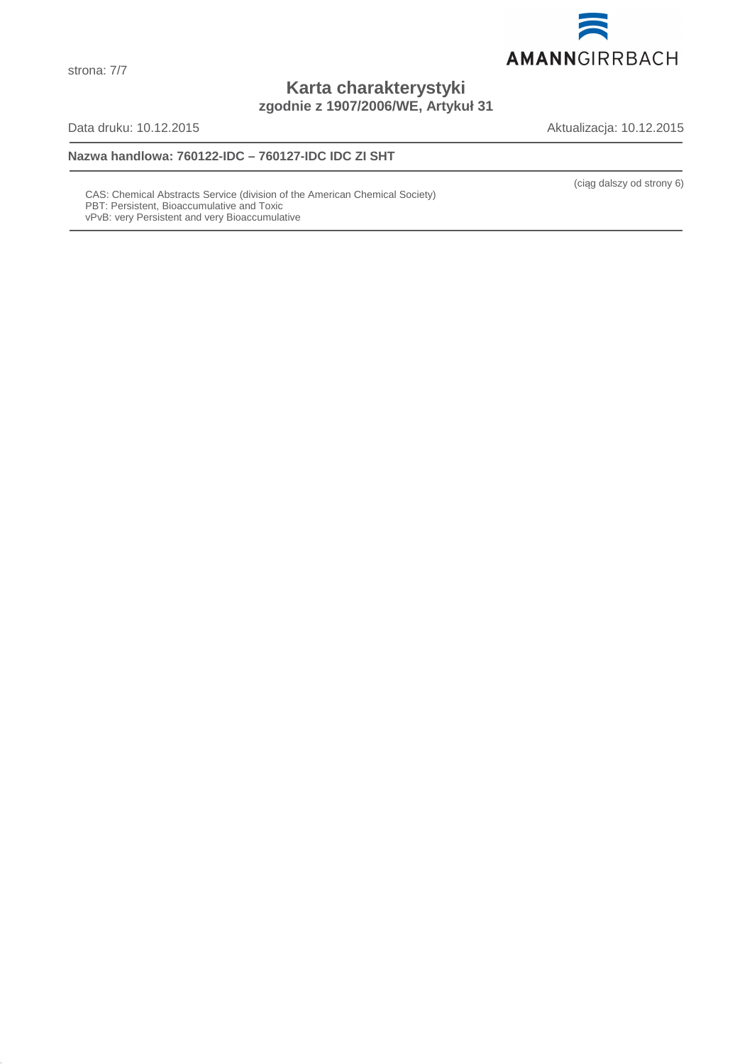

(ciąg dalszy od strony 6)

**Karta charakterystyki zgodnie z 1907/2006/WE, Artykuł 31**

# **Nazwa handlowa: 760122-IDC – 760127-IDC IDC ZI SHT**

CAS: Chemical Abstracts Service (division of the American Chemical Society) PBT: Persistent, Bioaccumulative and Toxic vPvB: very Persistent and very Bioaccumulative

Data druku: 10.12.2015 Aktualizacja: 10.12.2015

strona: 7/7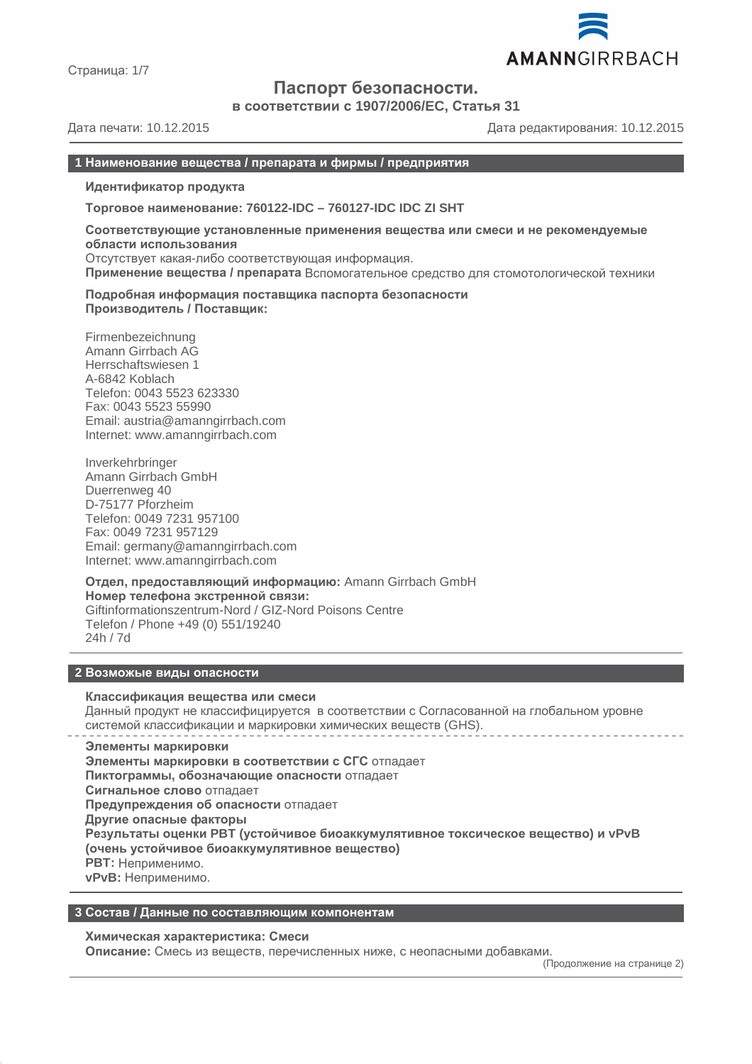

Страница: 1/7

# **Паспорт безопасности.**

**в соответствии с 1907/2006/EC, Статья 31**

Дата печати: 10.12.2015 Дата редактирования: 10.12.2015

# **1 Наименование вещества / препарата и фирмы / предприятия**

**Идентификатор продукта**

**Торговое наименование: 760122-IDC – 760127-IDC IDC ZI SHT**

**Соответствующие установленные применения вещества или смеси и не рекомендуемые области использования** Отсутствует какая-либо соответствующая информация.

**Применение вещества / препарата** Вспомогательное средство для стомотологической техники

**Подробная информация поставщика паспорта безопасности Производитель / Поставщик:**

Firmenbezeichnung Amann Girrbach AG Herrschaftswiesen 1 A-6842 Koblach Telefon: 0043 5523 623330 Fax: 0043 5523 55990 Email: austria@amanngirrbach.com Internet: www.amanngirrbach.com

Inverkehrbringer Amann Girrbach GmbH Duerrenweg 40 D-75177 Pforzheim Telefon: 0049 7231 957100 Fax: 0049 7231 957129 Email: germany@amanngirrbach.com Internet: www.amanngirrbach.com

**Отдел, предоставляющий информацию:** Amann Girrbach GmbH **Номер телефона экстренной связи:** Giftinformationszentrum-Nord / GIZ-Nord Poisons Centre Telefon / Phone +49 (0) 551/19240 24h / 7d

#### **2 Возможые виды опасности**

#### **Классификация вещества или смеси**

Данный продукт не классифицируется в соответствии с Согласованной на глобальном уровне системой классификации и маркировки химических веществ (GHS).

**Элементы маркировки Элементы маркировки в соответствии с СГС** отпадает **Пиктограммы, обозначающие опасности** отпадает **Сигнальное слово** отпадает **Предупреждения об опасности** отпадает **Другие опасные факторы Результаты оценки PBT (устойчивое биоаккумулятивное токсическое вещество) и vPvB (очень устойчивое биоаккумулятивное вещество) PBT:** Неприменимо. **vPvB:** Неприменимо.

# **3 Состав / Данные по составляющим компонентам**

#### **Химическая характеристика: Смеси**

**Описание:** Смесь из веществ, перечисленных ниже, с неопасными добавками.

(Продолжение на странице 2)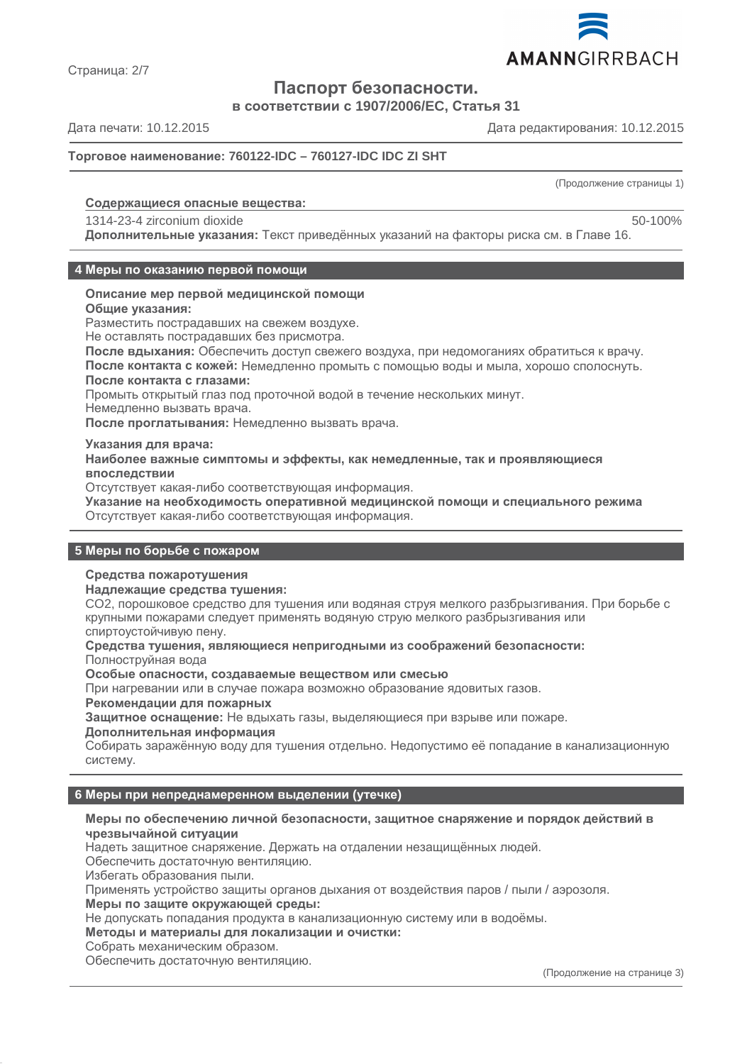

Страница: 2/7

# **Паспорт безопасности.**

**в соответствии с 1907/2006/EC, Статья 31**

Дата печати: 10.12.2015 Дата редактирования: 10.12.2015

# **Торговое наименование: 760122-IDC – 760127-IDC IDC ZI SHT**

(Продолжение страницы 1)

#### **Содержащиеся опасные вещества :**

# 1314-23-4 zirconium dioxide 50-100%

**Дополнительные указания:** Текст приведённых указаний на факторы риска см. в Главе 16.

#### **4 Меры по оказанию первой помощи**

#### **Описание мер первой медицинской помощи**

**Общие указания:**

Разместить пострадавших на свежем воздухе.

Не оставлять пострадавших без присмотра.

**После вдыхания:** Обеспечить доступ свежего воздуха, при недомоганиях обратиться к врачу. **После контакта с кожей:** Немедленно промыть с помощью воды и мыла, хорошо сполоснуть.

**После контакта с глазами:**

Промыть открытый глаз под проточной водой в течение нескольких минут.

Немедленно вызвать врача.

**После проглатывания:** Немедленно вызвать врача.

#### **Указания для врача:**

**Наиболее важные симптомы и эффекты, как немедленные, так и проявляющиеся впоследствии**

Отсутствует какая-либо соответствующая информация.

**Указание на необходимость оперативной медицинской помощи и специального режима** Отсутствует какая-либо соответствующая информация.

# **5 Меры по борьбе с пожаром**

# **Средства пожаротушения**

#### **Надлежащие средства тушения:**

CO2, порошковое средство для тушения или водяная струя мелкого разбрызгивания. При борьбе с крупными пожарами следует применять водяную струю мелкого разбрызгивания или спиртоустойчивую пену.

**Средства тушения, являющиеся непригодными из соображений безопасности:**

Полноструйная вода

**Особые опасности, создаваемые веществом или смесью**

При нагревании или в случае пожара возможно образование ядовитых газов.

#### **Рекомендации для пожарных**

**Защитное оснащение:** Не вдыхать газы, выделяющиеся при взрыве или пожаре.

#### **Дополнительная информация**

Собирать заражённую воду для тушения отдельно. Недопустимо её попадание в канализационную систему.

# **6 Меры при непреднамеренном выделении (утечке)**

#### **Меры по обеспечению личной безопасности, защитное снаряжение и порядок действий в чрезвычайной ситуации**

Надеть защитное снаряжение. Держать на отдалении незащищённых людей.

Обеспечить достаточную вентиляцию.

Избегать образования пыли.

Применять устройство защиты органов дыхания от воздействия паров / пыли / аэрозоля.

**Меры по защите окружающей среды:**

Не допускать попадания продукта в канализационную систему или в водоёмы.

**Методы и материалы для локализации и очистки:**

Собрать механическим образом.

Обеспечить достаточную вентиляцию.

(Продолжение на странице 3)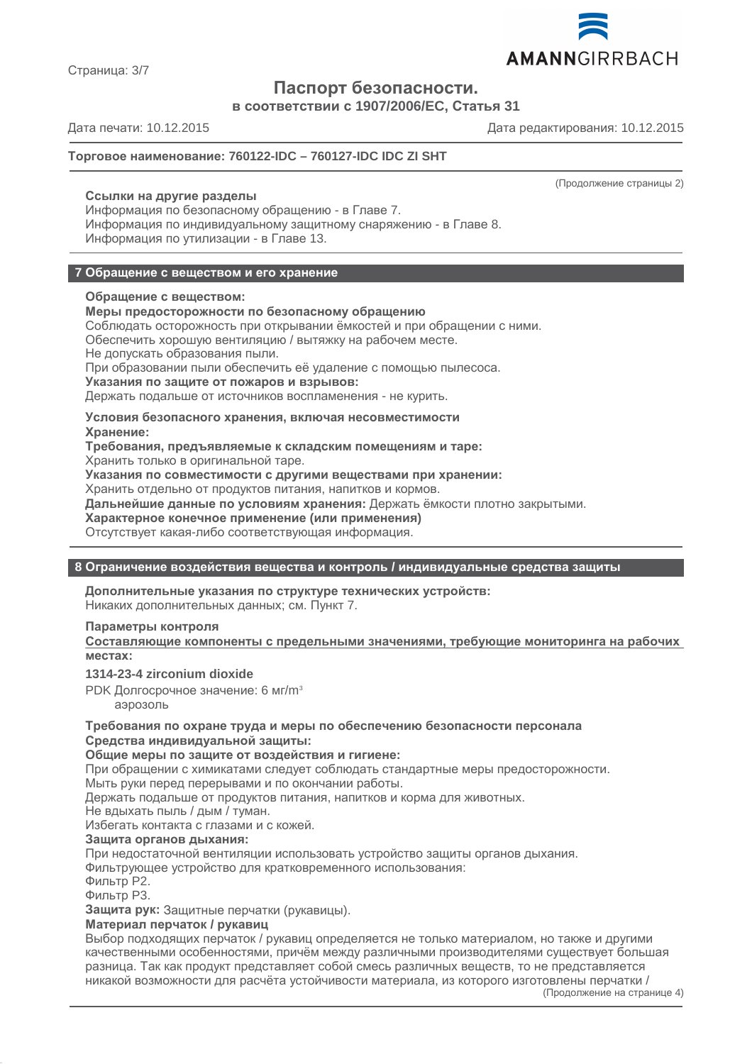

Страница: 3/7

# **Паспорт безопасности.**

**в соответствии с 1907/2006/EC, Статья 31**

Дата печати: 10.12.2015 Дата редактирования: 10.12.2015

(Продолжение страницы 2)

# **Торговое наименование: 760122-IDC – 760127-IDC IDC ZI SHT**

#### **Ссылки на другие разделы**

Информация по безопасному обращению - в Главе 7. Информация по индивидуальному защитному снаряжению - в Главе 8. Информация по утилизации - в Главе 13.

# **7 Обращение с веществом и его хранение**

#### **Обращение с веществом:**

#### **Меры предосторожности по безопасному обращению**

Соблюдать осторожность при открывании ёмкостей и при обращении с ними.

Обеспечить хорошую вентиляцию / вытяжку на рабочем месте.

Не допускать образования пыли.

При образовании пыли обеспечить её удаление с помощью пылесоса.

**Указания по защите от пожаров и взрывов:**

Держать подальше от источников воспламенения - не курить.

**Условия безопасного хранения, включая несовместимости**

**Хранение:**

**Требования, предъявляемые к складским помещениям и таре:**

Хранить только в оригинальной таре.

**Указания по совместимости с другими веществами при хранении:**

Хранить отдельно от продуктов питания, напитков и кормов.

**Дальнейшие данные по условиям хранения:** Держать ёмкости плотно закрытыми.

**Характерное конечное применение (или применения)**

Отсутствует какая-либо соответствующая информация.

# **8 Ограничение воздействия вещества и контроль / индивидуальные средства защиты**

**Дополнительные указания по структуре технических устройств:** Никаких дополнительных данных; см. Пункт 7.

# **Параметры контроля**

**Составляющие компоненты с предельными значениями, требующие мониторинга на рабочих местах:**

# **1314-23-4 zirconium dioxide**

PDK Долгосрочное значение: 6 мг/m<sup>3</sup>

аэрозоль

**Требования по охране труда и меры по обеспечению безопасности персонала Средства индивидуальной защиты:**

# **Общие меры по защите от воздействия и гигиене:**

При обращении с химикатами следует соблюдать стандартные меры предосторожности. Мыть руки перед перерывами и по окончании работы.

Держать подальше от продуктов питания, напитков и корма для животных.

Не вдыхать пыль / дым / туман.

Избегать контакта с глазами и с кожей.

# **Защита органов дыхания:**

При недостаточной вентиляции использовать устройство защиты органов дыхания. Фильтрующее устройство для кратковременного использования:

Фильтр P2. Фильтр P3.

**Защита рук:** Защитные перчатки (рукавицы).

# **Материал перчаток / рукавиц**

Выбор подходящих перчаток / рукавиц определяется не только материалом, но также и другими качественными особенностями, причём между различными производителями существует большая разница. Так как продукт представляет собой смесь различных веществ, то не представляется никакой возможности для расчёта устойчивости материала, из которого изготовлены перчатки /

(Продолжение на странице 4)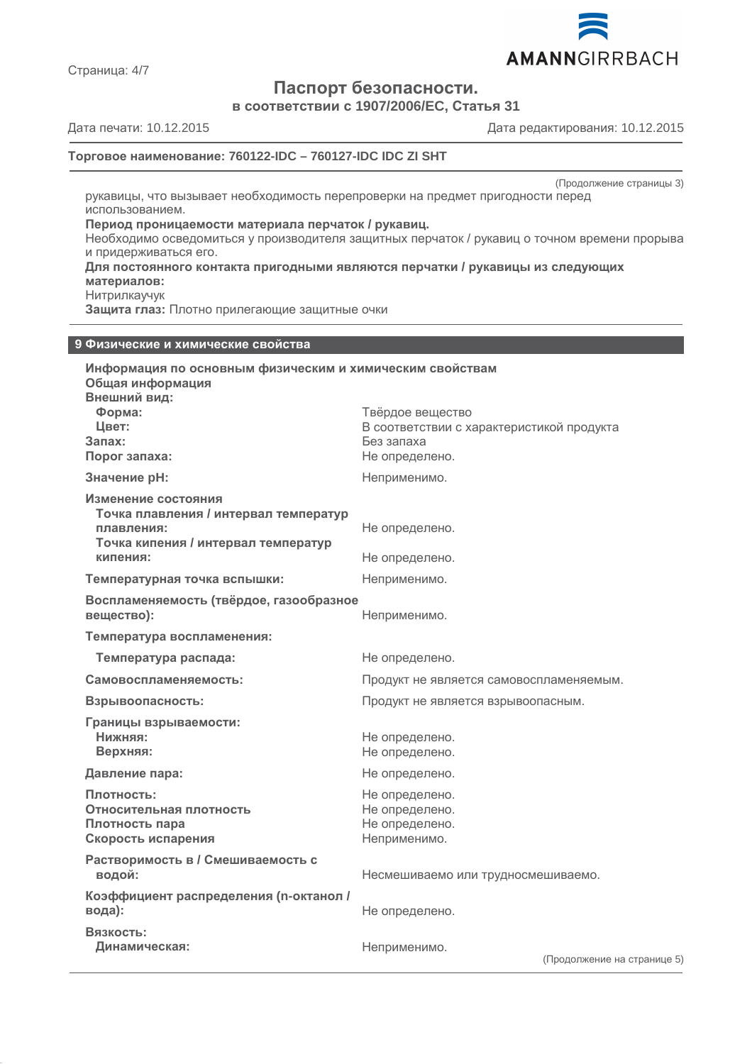

Страница: 4/7

# **Паспорт безопасности.**

**в соответствии с 1907/2006/EC, Статья 31**

Дата печати: 10.12.2015 Дата редактирования: 10.12.2015

# **Торговое наименование: 760122-IDC – 760127-IDC IDC ZI SHT**

(Продолжение страницы 3)

рукавицы, что вызывает необходимость перепроверки на предмет пригодности перед использованием.

#### **Период проницаемости материала перчаток / рукавиц.**

Необходимо осведомиться у производителя защитных перчаток / рукавиц о точном времени прорыва и придерживаться его.

#### **Для постоянного контакта пригодными являются перчатки / рукавицы из следующих материалов:**

Нитрилкаучук

**Защита глаз:** Плотно прилегающие защитные очки

#### **9 Физические и химические свойства**

| Информация по основным физическим и химическим свойствам<br>Общая информация<br>Внешний вид:<br>Форма:<br>Цвет:<br>Запах:<br>Порог запаха: | Твёрдое вещество<br>В соответствии с характеристикой продукта<br>Без запаха<br>Не определено. |
|--------------------------------------------------------------------------------------------------------------------------------------------|-----------------------------------------------------------------------------------------------|
| Значение рН:                                                                                                                               | Неприменимо.                                                                                  |
| Изменение состояния<br>Точка плавления / интервал температур<br>плавления:<br>Точка кипения / интервал температур<br>кипения:              | Не определено.<br>Не определено.                                                              |
| Температурная точка вспышки:                                                                                                               | Неприменимо.                                                                                  |
| Воспламеняемость (твёрдое, газообразное<br>вещество):                                                                                      | Неприменимо.                                                                                  |
| Температура воспламенения:                                                                                                                 |                                                                                               |
| Температура распада:                                                                                                                       | Не определено.                                                                                |
| Самовоспламеняемость:                                                                                                                      | Продукт не является самовоспламеняемым.                                                       |
| Взрывоопасность:                                                                                                                           | Продукт не является взрывоопасным.                                                            |
| Границы взрываемости:<br>Нижняя:<br>Верхняя:                                                                                               | Не определено.<br>Не определено.                                                              |
| Давление пара:                                                                                                                             | Не определено.                                                                                |
| Плотность:<br>Относительная плотность<br>Плотность пара<br>Скорость испарения                                                              | Не определено.<br>Не определено.<br>Не определено.<br>Неприменимо.                            |
| Растворимость в / Смешиваемость с<br>водой:                                                                                                | Несмешиваемо или трудносмешиваемо.                                                            |
| Коэффициент распределения (n-октанол /<br>вода):                                                                                           | Не определено.                                                                                |
| Вязкость:<br>Динамическая:                                                                                                                 | Неприменимо.<br>(Продолжение на странице 5)                                                   |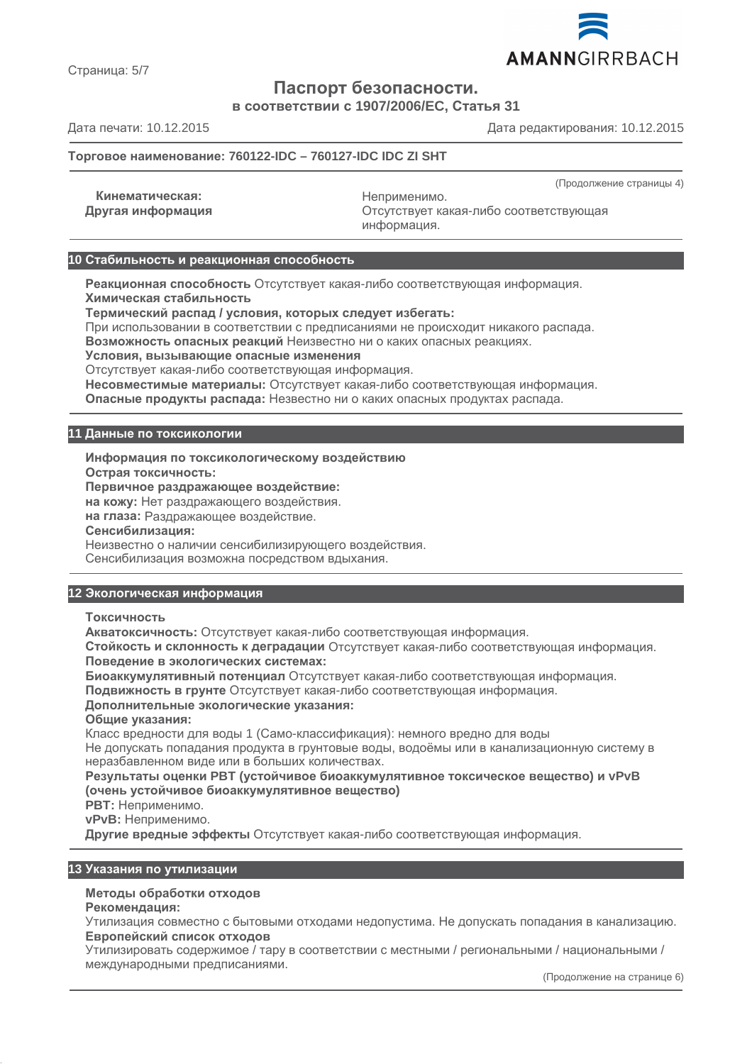

Страница: 5/7

# **Паспорт безопасности.**

**в соответствии с 1907/2006/EC, Статья 31**

Дата печати: 10.12.2015 Дата редактирования: 10.12.2015

# **Торговое наименование: 760122-IDC – 760127-IDC IDC ZI SHT**

(Продолжение страницы 4)

| Кинематическая:   | Неприменимо.                           |
|-------------------|----------------------------------------|
| Другая информация | Отсутствует какая-либо соответствующая |
|                   | информация.                            |

#### **10 Стабильность и реакционная способность**

**Реакционная способность** Отсутствует какая-либо соответствующая информация. **Химическая стабильность**

**Термический распад / условия, которых следует избегать:**

При использовании в соответствии с предписаниями не происходит никакого распада.

**Возможность опасных реакций** Неизвестно ни о каких опасных реакциях.

**Условия, вызывающие опасные изменения**

Отсутствует какая-либо соответствующая информация.

**Несовместимые материалы:** Отсутствует какая-либо соответствующая информация.

**Опасные продукты распада:** Незвестно ни о каких опасных продуктах распада.

# **11 Данные по токсикологии**

**Информация по токсикологическому воздействию Острая токсичность:**

**Первичное раздражающее воздействие: на кожу:** Нет раздражающего воздействия.

**на глаза:** Раздражающее воздействие.

**Сенсибилизация:**

Неизвестно о наличии сенсибилизирующего воздействия.

Сенсибилизация возможна посредством вдыхания.

#### **12 Экологическая информация**

**Токсичность**

**Акватоксичность:** Отсутствует какая-либо соответствующая информация.

**Стойкость и склонность к деградации** Отсутствует какая-либо соответствующая информация. **Поведение в экологических системах:**

**Биоаккумулятивный потенциал** Отсутствует какая-либо соответствующая информация.

**Подвижность в грунте** Отсутствует какая-либо соответствующая информация.

#### **Дополнительные экологические указания:**

**Общие указания:**

Класс вредности для воды 1 (Само-классификация): немного вредно для воды

Не допускать попадания продукта в грунтовые воды, водоёмы или в канализационную систему в неразбавленном виде или в больших количествах.

**Результаты оценки PBT (устойчивое биоаккумулятивное токсическое вещество) и vPvB (очень устойчивое биоаккумулятивное вещество)**

**PBT:** Неприменимо.

**vPvB:** Неприменимо.

**Другие вредные эффекты** Отсутствует какая-либо соответствующая информация.

# **13 Указания по утилизации**

#### **Методы обработки отходов**

**Рекомендация:**

Утилизация совместно с бытовыми отходами недопустима. Не допускать попадания в канализацию. **Европейский список отходов**

Утилизировать содержимое / тару в соответствии с местными / региональными / национальными / международными предписаниями.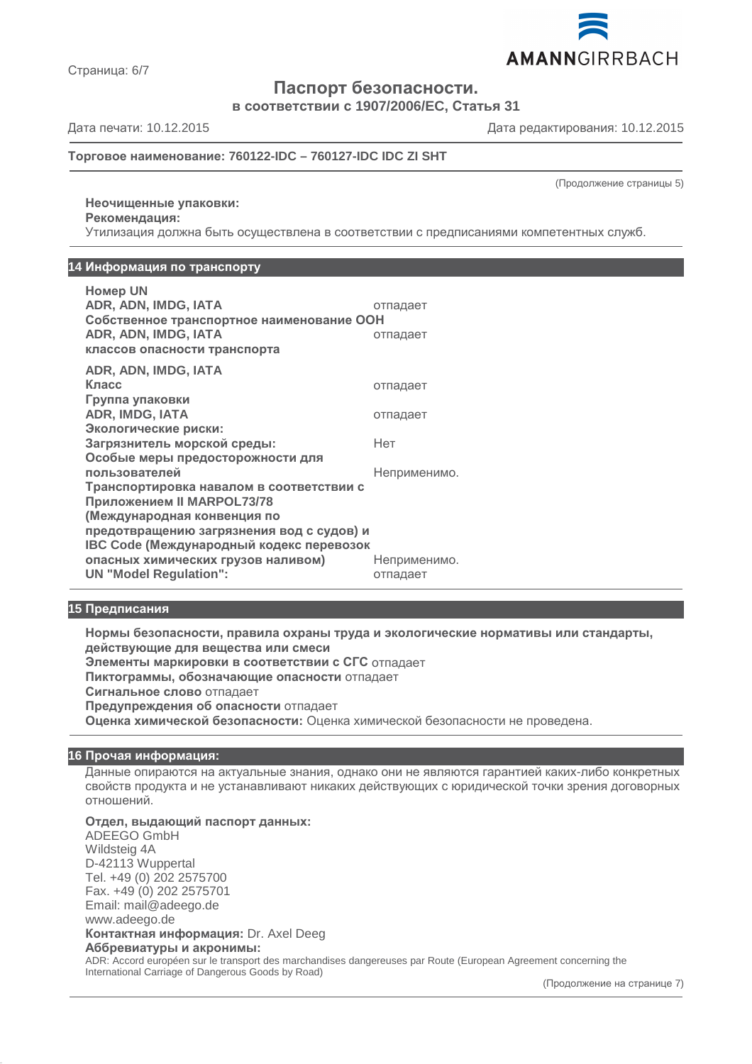

Страница: 6/7

**Паспорт безопасности.**

**в соответствии с 1907/2006/EC, Статья 31**

Дата печати: 10.12.2015 Дата редактирования: 10.12.2015

# **Торговое наименование: 760122-IDC – 760127-IDC IDC ZI SHT**

(Продолжение страницы 5)

# **Неочищенные упаковки: Рекомендация:**

Утилизация должна быть осуществлена в соответствии с предписаниями компетентных служб.

## **14 Информация по транспорту**

| <b>Homep UN</b>                           |              |
|-------------------------------------------|--------------|
| ADR, ADN, IMDG, IATA                      | отпадает     |
| Собственное транспортное наименование ООН |              |
| ADR, ADN, IMDG, IATA                      | отпадает     |
| классов опасности транспорта              |              |
| ADR, ADN, IMDG, IATA                      |              |
| Класс                                     | отпадает     |
| Группа упаковки                           |              |
| <b>ADR, IMDG, IATA</b>                    | отпадает     |
| Экологические риски:                      |              |
| Загрязнитель морской среды:               | Нет          |
| Особые меры предосторожности для          |              |
| пользователей                             | Неприменимо. |
| Транспортировка навалом в соответствии с  |              |
| Приложением II MARPOL73/78                |              |
| (Международная конвенция по               |              |
| предотвращению загрязнения вод с судов) и |              |
| IBC Code (Международный кодекс перевозок  |              |
| опасных химических грузов наливом)        | Неприменимо. |
| <b>UN "Model Regulation":</b>             | отпадает     |

# **15 Предписания**

**Нормы безопасности, правила охраны труда и экологические нормативы или стандарты, действующие для вещества или смеси Элементы маркировки в соответствии с СГС** отпадает **Пиктограммы, обозначающие опасности** отпадает **Сигнальное слово** отпадает **Предупреждения об опасности** отпадает **Оценка химической безопасности:** Оценка химической безопасности не проведена.

# **16 Прочая информация:**

Данные опираются на актуальные знания, однако они не являются гарантией каких-либо конкретных свойств продукта и не устанавливают никаких действующих с юридической точки зрения договорных отношений.

# **Отдел, выдающий паспорт данных:**

ADEEGO GmbH Wildsteig 4A D-42113 Wuppertal Tel. +49 (0) 202 2575700 Fax. +49 (0) 202 2575701 Email: mail@adeego.de www.adeego.de **Контактная информация:** Dr. Axel Deeg

#### **Аббревиатуры и акронимы:**

ADR: Accord européen sur le transport des marchandises dangereuses par Route (European Agreement concerning the International Carriage of Dangerous Goods by Road)

(Продолжение на странице 7)